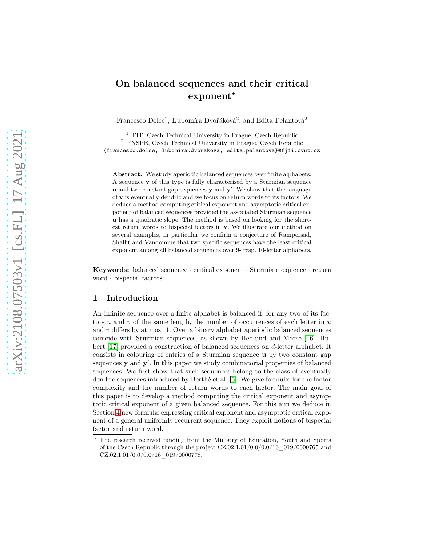# On balanced sequences and their critical  $exponent*$

Francesco Dolce<sup>1</sup>, L'ubomíra Dvořáková<sup>2</sup>, and Edita Pelantová<sup>2</sup>

<sup>1</sup> FIT, Czech Technical University in Prague, Czech Republic <sup>2</sup> FNSPE, Czech Technical University in Prague, Czech Republic {francesco.dolce, lubomira.dvorakova, edita.pelantova}@fjfi.cvut.cz

Abstract. We study aperiodic balanced sequences over finite alphabets. A sequence v of this type is fully characterised by a Sturmian sequence **u** and two constant gap sequences **y** and  $y'$ . We show that the language of v is eventually dendric and we focus on return words to its factors. We deduce a method computing critical exponent and asymptotic critical exponent of balanced sequences provided the associated Sturmian sequence u has a quadratic slope. The method is based on looking for the shortest return words to bispecial factors in v. We illustrate our method on several examples, in particular we confirm a conjecture of Rampersad, Shallit and Vandomme that two specific sequences have the least critical exponent among all balanced sequences over 9- resp. 10-letter alphabets.

Keywords: balanced sequence · critical exponent · Sturmian sequence · return word · bispecial factors

### 1 Introduction

An infinite sequence over a finite alphabet is balanced if, for any two of its factors u and v of the same length, the number of occurrences of each letter in  $u$ and  $v$  differs by at most 1. Over a binary alphabet aperiodic balanced sequences coincide with Sturmian sequences, as shown by Hedlund and Morse [\[16\]](#page-37-0). Hubert [\[17\]](#page-37-1) provided a construction of balanced sequences on d-letter alphabet. It consists in colouring of entries of a Sturmian sequence u by two constant gap sequences **y** and **y'**. In this paper we study combinatorial properties of balanced sequences. We first show that such sequences belong to the class of eventually dendric sequences introduced by Berthé et al. [\[5\]](#page-37-2). We give formulæ for the factor complexity and the number of return words to each factor. The main goal of this paper is to develop a method computing the critical exponent and asymptotic critical exponent of a given balanced sequence. For this aim we deduce in Section [4](#page-11-0) new formulæ expressing critical exponent and asymptotic critical exponent of a general uniformly recurrent sequence. They exploit notions of bispecial factor and return word.

The research received funding from the Ministry of Education, Youth and Sports of the Czech Republic through the project  $CZ.02.1.01/0.0/0.0/16$  019/0000765 and  $CZ.02.1.01/0.0/0.0/16$  019/0000778.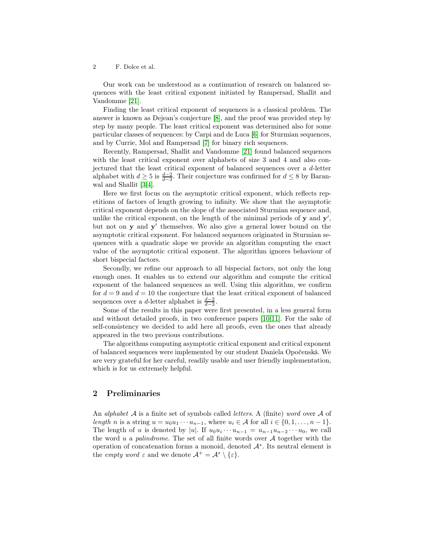Our work can be understood as a continuation of research on balanced sequences with the least critical exponent initiated by Rampersad, Shallit and Vandomme [\[21\]](#page-38-0).

Finding the least critical exponent of sequences is a classical problem. The answer is known as Dejean's conjecture [\[8\]](#page-37-3), and the proof was provided step by step by many people. The least critical exponent was determined also for some particular classes of sequences: by Carpi and de Luca [\[6\]](#page-37-4) for Sturmian sequences, and by Currie, Mol and Rampersad [\[7\]](#page-37-5) for binary rich sequences.

Recently, Rampersad, Shallit and Vandomme [\[21\]](#page-38-0) found balanced sequences with the least critical exponent over alphabets of size 3 and 4 and also conjectured that the least critical exponent of balanced sequences over a d-letter alphabet with  $d \geq 5$  is  $\frac{d-2}{d-3}$ . Their conjecture was confirmed for  $d \leq 8$  by Baranwal and Shallit [\[3](#page-37-6)[,4\]](#page-37-7).

Here we first focus on the asymptotic critical exponent, which reflects repetitions of factors of length growing to infinity. We show that the asymptotic critical exponent depends on the slope of the associated Sturmian sequence and, unlike the critical exponent, on the length of the minimal periods of  $y$  and  $y'$ , but not on y and y ′ themselves. We also give a general lower bound on the asymptotic critical exponent. For balanced sequences originated in Sturmian sequences with a quadratic slope we provide an algorithm computing the exact value of the asymptotic critical exponent. The algorithm ignores behaviour of short bispecial factors.

Secondly, we refine our approach to all bispecial factors, not only the long enough ones. It enables us to extend our algorithm and compute the critical exponent of the balanced sequences as well. Using this algorithm, we confirm for  $d = 9$  and  $d = 10$  the conjecture that the least critical exponent of balanced sequences over a d-letter alphabet is  $\frac{d-2}{d-3}$ .

Some of the results in this paper were first presented, in a less general form and without detailed proofs, in two conference papers [\[10](#page-37-8)[,11\]](#page-37-9). For the sake of self-consistency we decided to add here all proofs, even the ones that already appeared in the two previous contributions.

The algorithms computing asymptotic critical exponent and critical exponent of balanced sequences were implemented by our student Daniela Opočenská. We are very grateful for her careful, readily usable and user friendly implementation, which is for us extremely helpful.

### 2 Preliminaries

An *alphabet*  $A$  is a finite set of symbols called *letters*. A (finite) word over  $A$  of length n is a string  $u = u_0u_1 \cdots u_{n-1}$ , where  $u_i \in \mathcal{A}$  for all  $i \in \{0, 1, \ldots, n-1\}$ . The length of u is denoted by |u|. If  $u_0u_i \cdots u_{n-1} = u_{n-1}u_{n-2} \cdots u_0$ , we call the word u a palindrome. The set of all finite words over  $A$  together with the operation of concatenation forms a monoid, denoted A<sup>∗</sup> . Its neutral element is the *empty word*  $\varepsilon$  and we denote  $\mathcal{A}^+ = \mathcal{A}^* \setminus {\varepsilon}.$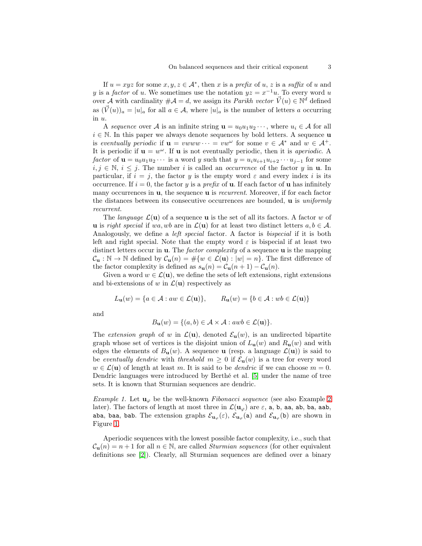If  $u = xyz$  for some  $x, y, z \in \mathcal{A}^*$ , then x is a prefix of u, z is a suffix of u and y is a *factor* of u. We sometimes use the notation  $yz = x^{-1}u$ . To every word u over  $\overrightarrow{A}$  with cardinality  $\#\mathcal{A} = d$ , we assign its *Parikh vector*  $\overrightarrow{V}(u) \in \mathbb{N}^d$  defined as  $(\vec{V}(u))_a = |u|_a$  for all  $a \in \mathcal{A}$ , where  $|u|_a$  is the number of letters a occurring in u.

A sequence over A is an infinite string  $\mathbf{u} = u_0 u_1 u_2 \cdots$ , where  $u_i \in \mathcal{A}$  for all  $i \in \mathbb{N}$ . In this paper we always denote sequences by bold letters. A sequence **u** is eventually periodic if  $\mathbf{u} = vwww \cdots = vw^{\omega}$  for some  $v \in \mathcal{A}^*$  and  $w \in \mathcal{A}^+$ . It is periodic if  $\mathbf{u} = w^{\omega}$ . If **u** is not eventually periodic, then it is *aperiodic*. A factor of  $\mathbf{u} = u_0 u_1 u_2 \cdots$  is a word y such that  $y = u_i u_{i+1} u_{i+2} \cdots u_{j-1}$  for some  $i, j \in \mathbb{N}, i \leq j$ . The number i is called an *occurrence* of the factor y in **u**. In particular, if  $i = j$ , the factor y is the empty word  $\varepsilon$  and every index i is its occurrence. If  $i = 0$ , the factor y is a *prefix* of **u**. If each factor of **u** has infinitely many occurrences in  $\mathbf{u}$ , the sequence  $\mathbf{u}$  is *recurrent*. Moreover, if for each factor the distances between its consecutive occurrences are bounded, **u** is *uniformly* recurrent.

The *language*  $\mathcal{L}(\mathbf{u})$  of a sequence **u** is the set of all its factors. A factor w of u is right special if wa, wb are in  $\mathcal{L}(\mathbf{u})$  for at least two distinct letters  $a, b \in \mathcal{A}$ . Analogously, we define a *left special* factor. A factor is *bispecial* if it is both left and right special. Note that the empty word  $\varepsilon$  is bispecial if at least two distinct letters occur in **u**. The *factor complexity* of a sequence **u** is the mapping  $\mathcal{C}_{\mathbf{u}} : \mathbb{N} \to \mathbb{N}$  defined by  $\mathcal{C}_{\mathbf{u}}(n) = \#\{w \in \mathcal{L}(\mathbf{u}) : |w| = n\}.$  The first difference of the factor complexity is defined as  $s_{\mathbf{u}}(n) = C_{\mathbf{u}}(n+1) - C_{\mathbf{u}}(n)$ .

Given a word  $w \in \mathcal{L}(\mathbf{u})$ , we define the sets of left extensions, right extensions and bi-extensions of w in  $\mathcal{L}(\mathbf{u})$  respectively as

$$
L_{\mathbf{u}}(w) = \{ a \in \mathcal{A} : aw \in \mathcal{L}(\mathbf{u}) \}, \qquad R_{\mathbf{u}}(w) = \{ b \in \mathcal{A} : wb \in \mathcal{L}(\mathbf{u}) \}
$$

and

$$
B_{\mathbf{u}}(w) = \{ (a, b) \in \mathcal{A} \times \mathcal{A} : awb \in \mathcal{L}(\mathbf{u}) \}.
$$

The extension graph of w in  $\mathcal{L}(\mathbf{u})$ , denoted  $\mathcal{E}_{\mathbf{u}}(w)$ , is an undirected bipartite graph whose set of vertices is the disjoint union of  $L_{\bf u}(w)$  and  $R_{\bf u}(w)$  and with edges the elements of  $B_u(w)$ . A sequence **u** (resp. a language  $\mathcal{L}(u)$ ) is said to be eventually dendric with threshold  $m \geq 0$  if  $\mathcal{E}_{\mathbf{u}}(w)$  is a tree for every word  $w \in \mathcal{L}(\mathbf{u})$  of length at least m. It is said to be *dendric* if we can choose  $m = 0$ . Dendric languages were introduced by Berthé et al. [\[5\]](#page-37-2) under the name of tree sets. It is known that Sturmian sequences are dendric.

*Example 1.* Let  $\mathbf{u}_{\varphi}$  be the well-known *Fibonacci sequence* (see also Example [2](#page-3-0)) later). The factors of length at most three in  $\mathcal{L}(\mathbf{u}_{\varphi})$  are  $\varepsilon$ , a, b, aa, ab, ba, aab, aba, baa, bab. The extension graphs  $\mathcal{E}_{\mathbf{u}_{\varphi}}(\varepsilon)$ ,  $\mathcal{E}_{\mathbf{u}_{\varphi}}(\mathsf{a})$  and  $\mathcal{E}_{\mathbf{u}_{\varphi}}(\mathsf{b})$  are shown in Figure [1.](#page-3-1)

Aperiodic sequences with the lowest possible factor complexity, i.e., such that  $C_{\mathbf{u}}(n) = n+1$  for all  $n \in \mathbb{N}$ , are called *Sturmian sequences* (for other equivalent definitions see [\[2\]](#page-37-10)). Clearly, all Sturmian sequences are defined over a binary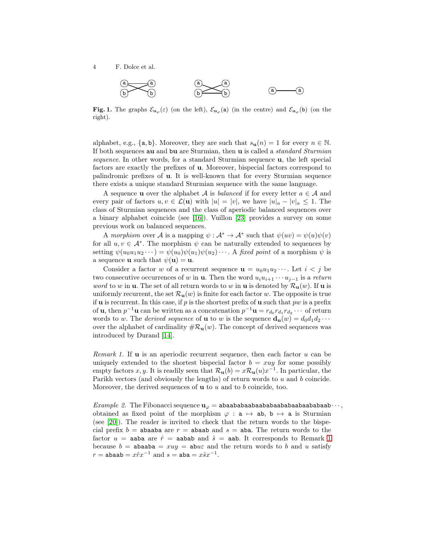

<span id="page-3-1"></span>Fig. 1. The graphs  $\mathcal{E}_{\mathbf{u}_{\varphi}}(\varepsilon)$  (on the left),  $\mathcal{E}_{\mathbf{u}_{\varphi}}(\mathbf{a})$  (in the centre) and  $\mathcal{E}_{\mathbf{u}_{\varphi}}(\mathbf{b})$  (on the right).

alphabet, e.g., {a, b}. Moreover, they are such that  $s_{\mathbf{u}}(n) = 1$  for every  $n \in \mathbb{N}$ . If both sequences au and bu are Sturmian, then u is called a standard Sturmian sequence. In other words, for a standard Sturmian sequence u, the left special factors are exactly the prefixes of u. Moreover, bispecial factors correspond to palindromic prefixes of u. It is well-known that for every Sturmian sequence there exists a unique standard Sturmian sequence with the same language.

A sequence **u** over the alphabet A is *balanced* if for every letter  $a \in \mathcal{A}$  and every pair of factors  $u, v \in \mathcal{L}(\mathbf{u})$  with  $|u| = |v|$ , we have  $|u|_a - |v|_a \leq 1$ . The class of Sturmian sequences and the class of aperiodic balanced sequences over a binary alphabet coincide (see [\[16\]](#page-37-0)). Vuillon [\[23\]](#page-38-1) provides a survey on some previous work on balanced sequences.

A morphism over A is a mapping  $\psi : \mathcal{A}^* \to \mathcal{A}^*$  such that  $\psi(uv) = \psi(u)\psi(v)$ for all  $u, v \in A^*$ . The morphism  $\psi$  can be naturally extended to sequences by setting  $\psi(u_0u_1u_2\cdots) = \psi(u_0)\psi(u_1)\psi(u_2)\cdots$ . A fixed point of a morphism  $\psi$  is a sequence **u** such that  $\psi(\mathbf{u}) = \mathbf{u}$ .

Consider a factor w of a recurrent sequence  $\mathbf{u} = u_0u_1u_2\cdots$ . Let  $i < j$  be two consecutive occurrences of w in **u**. Then the word  $u_i u_{i+1} \cdots u_{i-1}$  is a return *word* to w in **u**. The set of all return words to w in **u** is denoted by  $\mathcal{R}_{\mathbf{u}}(w)$ . If **u** is uniformly recurrent, the set  $\mathcal{R}_{\mathbf{u}}(w)$  is finite for each factor w. The opposite is true if **u** is recurrent. In this case, if p is the shortest prefix of **u** such that pw is a prefix of **u**, then  $p^{-1}$ **u** can be written as a concatenation  $p^{-1}$ **u** =  $r_{d_0}r_{d_1}r_{d_2}\cdots$  of return words to w. The *derived sequence* of **u** to w is the sequence  $\mathbf{d}_{\mathbf{u}}(w) = d_0 d_1 d_2 \cdots$ over the alphabet of cardinality  $\#\mathcal{R}_{\mathbf{u}}(w)$ . The concept of derived sequences was introduced by Durand [\[14\]](#page-37-11).

<span id="page-3-2"></span>*Remark 1.* If **u** is an aperiodic recurrent sequence, then each factor  $u$  can be uniquely extended to the shortest bispecial factor  $b = xuy$  for some possibly empty factors x, y. It is readily seen that  $\mathcal{R}_{\mathbf{u}}(b) = x\mathcal{R}_{\mathbf{u}}(u)x^{-1}$ . In particular, the Parikh vectors (and obviously the lengths) of return words to  $u$  and  $b$  coincide. Moreover, the derived sequences of  $\bf{u}$  to  $u$  and to  $b$  coincide, too.

<span id="page-3-0"></span>Example 2. The Fibonacci sequence  $\mathbf{u}_{\varphi} = \mathbf{a} \mathbf{b} \mathbf{a} \mathbf{a} \mathbf{b} \mathbf{a} \mathbf{a} \mathbf{b} \mathbf{a} \mathbf{a} \mathbf{b} \mathbf{a} \mathbf{a} \mathbf{b} \mathbf{a} \mathbf{a} \mathbf{b} \mathbf{a} \mathbf{a} \mathbf{b} \mathbf{a} \cdots$ obtained as fixed point of the morphism  $\varphi : a \mapsto ab$ ,  $b \mapsto a$  is Sturmian (see [\[20\]](#page-38-2)). The reader is invited to check that the return words to the bispecial prefix  $b =$  abaaba are  $r =$  abaab and  $s =$  aba. The return words to the factor  $u = a$ aba are  $\hat{r} = a$ abab and  $\hat{s} = a$ ab. It corresponds to Remark [1](#page-3-2) because  $b = abaab = xuy = abu\epsilon$  and the return words to b and u satisfy  $r = \texttt{abaab} = x\hat{r}x^{-1}$  and  $s = \texttt{aba} = x\hat{s}x^{-1}$ .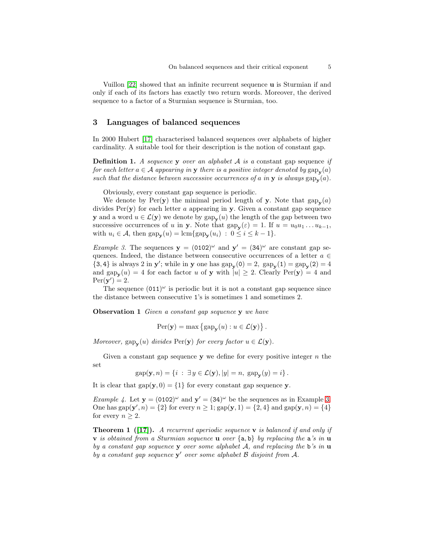Vuillon [\[22\]](#page-38-3) showed that an infinite recurrent sequence u is Sturmian if and only if each of its factors has exactly two return words. Moreover, the derived sequence to a factor of a Sturmian sequence is Sturmian, too.

### 3 Languages of balanced sequences

In 2000 Hubert [\[17\]](#page-37-1) characterised balanced sequences over alphabets of higher cardinality. A suitable tool for their description is the notion of constant gap.

**Definition 1.** A sequence **y** over an alphabet  $A$  is a constant gap sequence if for each letter  $a \in \mathcal{A}$  appearing in **y** there is a positive integer denoted by  $\text{gap}_{\mathbf{y}}(a)$ such that the distance between successive occurrences of a in  $y$  is always  $\text{gap}_{y}(a)$ .

Obviously, every constant gap sequence is periodic.

We denote by  $Per(y)$  the minimal period length of y. Note that  $\text{gap}_{y}(a)$ divides  $Per(y)$  for each letter a appearing in y. Given a constant gap sequence **y** and a word  $u \in \mathcal{L}(\mathbf{y})$  we denote by  $\text{gap}_{\mathbf{y}}(u)$  the length of the gap between two successive occurrences of u in y. Note that  $\text{gap}_{\mathbf{y}}(\varepsilon) = 1$ . If  $u = u_0 u_1 \dots u_{k-1}$ , with  $u_i \in \mathcal{A}$ , then  $\text{gap}_{\mathbf{y}}(u) = \text{lcm}\{\text{gap}_{\mathbf{y}}(u_i) : 0 \le i \le k-1\}.$ 

<span id="page-4-0"></span>*Example 3.* The sequences  $y = (0102)^\omega$  and  $y' = (34)^\omega$  are constant gap sequences. Indeed, the distance between consecutive occurrences of a letter  $a \in \mathbb{R}$ {3, 4} is always 2 in y'; while in y one has  $\text{gap}_{y}(0) = 2$ ,  $\text{gap}_{y}(1) = \text{gap}_{y}(2) = 4$ and  $\text{gap}_{\mathbf{y}}(u) = 4$  for each factor u of y with  $|u| \geq 2$ . Clearly  $\text{Per}(\mathbf{y}) = 4$  and  $Per(\mathbf{y}') = 2.$ 

The sequence  $(011)^\omega$  is periodic but it is not a constant gap sequence since the distance between consecutive 1's is sometimes 1 and sometimes 2.

<span id="page-4-2"></span>**Observation 1** Given a constant gap sequence y we have

$$
\operatorname{Per}(\mathbf{y}) = \max \left\{ \operatorname{gap}_{\mathbf{y}}(u) : u \in \mathcal{L}(\mathbf{y}) \right\}.
$$

Moreover,  $\text{gap}_{\mathbf{y}}(u)$  divides  $\text{Per}(\mathbf{y})$  for every factor  $u \in \mathcal{L}(\mathbf{y})$ .

Given a constant gap sequence  $y$  we define for every positive integer  $n$  the set

 $gap(\mathbf{y}, n) = \{i : \exists y \in \mathcal{L}(\mathbf{y}), |y| = n, \; gap_{\mathbf{y}}(y) = i\}.$ 

It is clear that  $\text{gap}(\mathbf{y}, 0) = \{1\}$  for every constant gap sequence y.

*Example 4.* Let  $y = (0102)^{\omega}$  and  $y' = (34)^{\omega}$  be the sequences as in Example [3.](#page-4-0) One has  $\text{gap}(\mathbf{y}', n) = \{2\}$  for every  $n \geq 1$ ;  $\text{gap}(\mathbf{y}, 1) = \{2, 4\}$  and  $\text{gap}(\mathbf{y}, n) = \{4\}$ for every  $n \geq 2$ .

<span id="page-4-1"></span>**Theorem 1** ([\[17\]](#page-37-1)). A recurrent aperiodic sequence **v** is balanced if and only if **v** is obtained from a Sturmian sequence **u** over  $\{a, b\}$  by replacing the **a**'s in **u** by a constant gap sequence y over some alphabet  $A$ , and replacing the b's in  $\bf{u}$ by a constant gap sequence  $y'$  over some alphabet  $\beta$  disjoint from  $\mathcal{A}$ .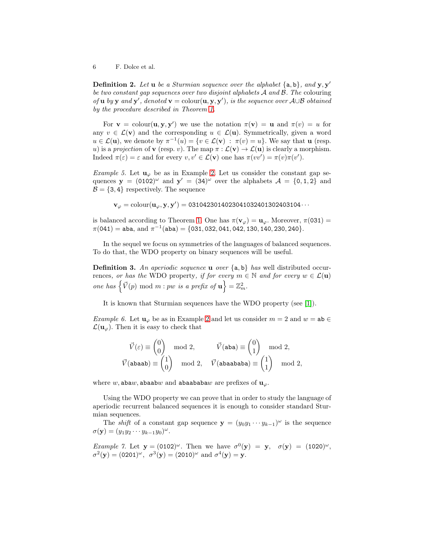**Definition 2.** Let  $\bf{u}$  be a Sturmian sequence over the alphabet  $\{a, b\}$ , and  $\bf{y}, \bf{y}'$ be two constant gap sequences over two disjoint alphabets A and B. The colouring of **u** by **y** and **y'**, denoted **v** = colour $(\mathbf{u}, \mathbf{y}, \mathbf{y}')$ , is the sequence over  $\mathcal{A} \cup \mathcal{B}$  obtained by the procedure described in Theorem [1.](#page-4-1)

For  $\mathbf{v} = \text{colour}(\mathbf{u}, \mathbf{y}, \mathbf{y}')$  we use the notation  $\pi(\mathbf{v}) = \mathbf{u}$  and  $\pi(v) = u$  for any  $v \in \mathcal{L}(\mathbf{v})$  and the corresponding  $u \in \mathcal{L}(\mathbf{u})$ . Symmetrically, given a word  $u \in \mathcal{L}(\mathbf{u})$ , we denote by  $\pi^{-1}(u) = \{v \in \mathcal{L}(\mathbf{v}) : \pi(v) = u\}$ . We say that **u** (resp. u) is a projection of **v** (resp. v). The map  $\pi : \mathcal{L}(\mathbf{v}) \to \mathcal{L}(\mathbf{u})$  is clearly a morphism. Indeed  $\pi(\varepsilon) = \varepsilon$  and for every  $v, v' \in \mathcal{L}(\mathbf{v})$  one has  $\pi(vv') = \pi(v)\pi(v')$ .

<span id="page-5-0"></span>Example 5. Let  $\mathbf{u}_{\varphi}$  be as in Example [2.](#page-3-0) Let us consider the constant gap sequences  $\mathbf{y} = (0102)^\omega$  and  $\mathbf{y}' = (34)^\omega$  over the alphabets  $\mathcal{A} = \{0, 1, 2\}$  and  $\mathcal{B} = \{3, 4\}$  respectively. The sequence

 $\mathbf{v}_{\varphi} = \text{colour}(\mathbf{u}_{\varphi}, \mathbf{y}, \mathbf{y}') =$  0310423014023041032401302403104 $\cdots$ 

is balanced according to Theorem [1.](#page-4-1) One has  $\pi(\mathbf{v}_{\varphi}) = \mathbf{u}_{\varphi}$ . Moreover,  $\pi$ (031) =  $\pi(041) = \texttt{aba}, \text{ and } \pi^{-1}(\texttt{aba}) = \{031, 032, 041, 042, 130, 140, 230, 240\}.$ 

In the sequel we focus on symmetries of the languages of balanced sequences. To do that, the WDO property on binary sequences will be useful.

**Definition 3.** An aperiodic sequence **u** over  $\{a, b\}$  has well distributed occurrences, or has the WDO property, if for every  $m \in \mathbb{N}$  and for every  $w \in \mathcal{L}(\mathbf{u})$ one has  $\left\{ \vec{V}(p) \mod m : pw \text{ is a prefix of } \mathbf{u} \right\} = \mathbb{Z}_m^2$ .

It is known that Sturmian sequences have the WDO property (see [\[1\]](#page-36-0)).

Example 6. Let  $\mathbf{u}_{\varphi}$  be as in Example [2](#page-3-0) and let us consider  $m = 2$  and  $w = ab \in \mathbb{R}$  $\mathcal{L}(\mathbf{u}_{\varphi})$ . Then it is easy to check that

$$
\vec{V}(\varepsilon) \equiv \begin{pmatrix} 0 \\ 0 \end{pmatrix} \mod 2, \qquad \vec{V}(\texttt{aba}) \equiv \begin{pmatrix} 0 \\ 1 \end{pmatrix} \mod 2, \n\vec{V}(\texttt{abaab}) \equiv \begin{pmatrix} 1 \\ 0 \end{pmatrix} \mod 2, \qquad \vec{V}(\texttt{abaababa}) \equiv \begin{pmatrix} 1 \\ 1 \end{pmatrix} \mod 2,
$$

where w, abaw, abaabw and abaababaw are prefixes of  $\mathbf{u}_{\varphi}$ .

Using the WDO property we can prove that in order to study the language of aperiodic recurrent balanced sequences it is enough to consider standard Sturmian sequences.

The *shift* of a constant gap sequence  $\mathbf{y} = (y_0 y_1 \cdots y_{k-1})^{\omega}$  is the sequence  $\sigma(\mathbf{y}) = (y_1 y_2 \cdots y_{k-1} y_0)^{\omega}.$ 

*Example 7.* Let  $y = (0102)^{\omega}$ . Then we have  $\sigma^{0}(y) = y$ ,  $\sigma(y) = (1020)^{\omega}$ ,  $\sigma^2(y) = (0201)^{\omega}, \ \ \sigma^3(y) = (2010)^{\omega} \ \text{and} \ \sigma^4(y) = y.$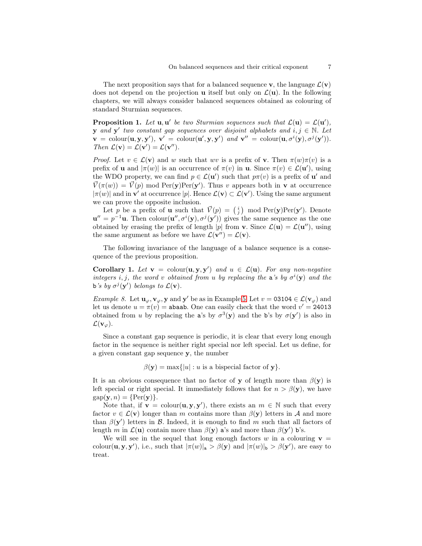The next proposition says that for a balanced sequence **v**, the language  $\mathcal{L}(\mathbf{v})$ does not depend on the projection **u** itself but only on  $\mathcal{L}(\mathbf{u})$ . In the following chapters, we will always consider balanced sequences obtained as colouring of standard Sturmian sequences.

<span id="page-6-2"></span>**Proposition 1.** Let  $\mathbf{u}, \mathbf{u}'$  be two Sturmian sequences such that  $\mathcal{L}(\mathbf{u}) = \mathcal{L}(\mathbf{u}'),$ **y** and **y'** two constant gap sequences over disjoint alphabets and  $i, j \in \mathbb{N}$ . Let  $\mathbf{v} = \text{colour}(\mathbf{u}, \mathbf{y}, \mathbf{y}'), \ \mathbf{v}' = \text{colour}(\mathbf{u}', \mathbf{y}, \mathbf{y}') \ \text{and} \ \mathbf{v}'' = \text{colour}(\mathbf{u}, \sigma^i(\mathbf{y}), \sigma^j(\mathbf{y}')).$ Then  $\mathcal{L}(\mathbf{v}) = \mathcal{L}(\mathbf{v}') = \mathcal{L}(\mathbf{v}'')$ .

*Proof.* Let  $v \in \mathcal{L}(v)$  and w such that wv is a prefix of v. Then  $\pi(w)\pi(v)$  is a prefix of **u** and  $|\pi(w)|$  is an occurrence of  $\pi(v)$  in **u**. Since  $\pi(v) \in \mathcal{L}(\mathbf{u}')$ , using the WDO property, we can find  $p \in \mathcal{L}(\mathbf{u}')$  such that  $p\pi(v)$  is a prefix of  $\mathbf{u}'$  and  $\vec{V}(\pi(w)) = \vec{V}(p)$  mod Per(y)Per(y'). Thus v appears both in v at occurrence  $|\pi(w)|$  and in  $\mathbf{v}'$  at occurrence  $|p|$ . Hence  $\mathcal{L}(\mathbf{v}) \subset \mathcal{L}(\mathbf{v}')$ . Using the same argument we can prove the opposite inclusion.

Let p be a prefix of **u** such that  $\vec{V}(p) = \begin{pmatrix} i \\ j \end{pmatrix}$  mod  $\text{Per}(\mathbf{y})\text{Per}(\mathbf{y}')$ . Denote  ${\bf u}''=p^{-1}{\bf u}$ . Then colour $({\bf u}'',\sigma^i({\bf y}),\sigma^j({\bf y}'))$  gives the same sequence as the one obtained by erasing the prefix of length |p| from **v**. Since  $\mathcal{L}(\mathbf{u}) = \mathcal{L}(\mathbf{u}'')$ , using the same argument as before we have  $\mathcal{L}(\mathbf{v}'') = \mathcal{L}(\mathbf{v})$ .

<span id="page-6-0"></span>The following invariance of the language of a balance sequence is a consequence of the previous proposition.

**Corollary 1.** Let  $\mathbf{v} = \text{colour}(\mathbf{u}, \mathbf{y}, \mathbf{y}')$  and  $u \in \mathcal{L}(\mathbf{u})$ . For any non-negative integers i, j, the word v obtained from u by replacing the a's by  $\sigma^{i}(y)$  and the b's by  $\sigma^j(\mathbf{y}')$  belongs to  $\mathcal{L}(\mathbf{v})$ .

*Example 8.* Let  $\mathbf{u}_{\varphi}, \mathbf{v}_{\varphi}, \mathbf{y}$  and  $\mathbf{y}'$  be as in Example [5.](#page-5-0) Let  $v = 03104 \in \mathcal{L}(\mathbf{v}_{\varphi})$  and let us denote  $u = \pi(v) =$  abaab. One can easily check that the word  $v' = 24013$ obtained from u by replacing the a's by  $\sigma^3(y)$  and the b's by  $\sigma(y')$  is also in  $\mathcal{L}(\mathbf{v}_{\varphi}).$ 

Since a constant gap sequence is periodic, it is clear that every long enough factor in the sequence is neither right special nor left special. Let us define, for a given constant gap sequence y, the number

$$
\beta(\mathbf{y}) = \max\{|u| : u \text{ is a biseecial factor of } \mathbf{y}\}.
$$

It is an obvious consequence that no factor of **y** of length more than  $\beta(\mathbf{v})$  is left special or right special. It immediately follows that for  $n > \beta(y)$ , we have  $gap(\mathbf{y}, n) = \{Per(\mathbf{y})\}.$ 

Note that, if  $\mathbf{v} = \text{colour}(\mathbf{u}, \mathbf{y}, \mathbf{y}')$ , there exists an  $m \in \mathbb{N}$  such that every factor  $v \in \mathcal{L}(\mathbf{v})$  longer than m contains more than  $\beta(\mathbf{y})$  letters in A and more than  $\beta(\mathbf{y}')$  letters in B. Indeed, it is enough to find m such that all factors of length m in  $\mathcal{L}(\mathbf{u})$  contain more than  $\beta(\mathbf{y})$  a's and more than  $\beta(\mathbf{y}')$  b's.

<span id="page-6-1"></span>We will see in the sequel that long enough factors w in a colouring  $\mathbf{v} =$ colour(**u**, **y**, **y**'), i.e., such that  $|\pi(w)|_a > \beta(\mathbf{y})$  and  $|\pi(w)|_b > \beta(\mathbf{y}')$ , are easy to treat.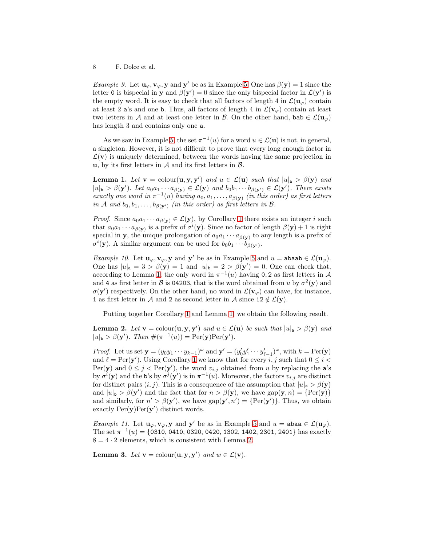*Example 9.* Let  $\mathbf{u}_{\varphi}, \mathbf{v}_{\varphi}, \mathbf{y}$  and  $\mathbf{y}'$  be as in Example [5.](#page-5-0) One has  $\beta(\mathbf{y}) = 1$  since the letter 0 is bispecial in y and  $\beta(y') = 0$  since the only bispecial factor in  $\mathcal{L}(y')$  is the empty word. It is easy to check that all factors of length 4 in  $\mathcal{L}(\mathbf{u}_{\varphi})$  contain at least 2 a's and one b. Thus, all factors of length 4 in  $\mathcal{L}(\mathbf{v}_{\varphi})$  contain at least two letters in A and at least one letter in B. On the other hand, bab  $\in \mathcal{L}(\mathbf{u}_{\varphi})$ has length 3 and contains only one a.

As we saw in Example [5,](#page-5-0) the set  $\pi^{-1}(u)$  for a word  $u \in \mathcal{L}(\mathbf{u})$  is not, in general, a singleton. However, it is not difficult to prove that every long enough factor in  $\mathcal{L}(\mathbf{v})$  is uniquely determined, between the words having the same projection in u, by its first letters in  $A$  and its first letters in  $B$ .

<span id="page-7-0"></span>**Lemma 1.** Let  $\mathbf{v} = \text{colour}(\mathbf{u}, \mathbf{y}, \mathbf{y}')$  and  $u \in \mathcal{L}(\mathbf{u})$  such that  $|u|_{\mathbf{a}} > \beta(\mathbf{y})$  and  $|u|_{\mathbf{b}} > \beta(\mathbf{y}')$ . Let  $a_0a_1 \cdots a_{\beta(\mathbf{y})} \in \mathcal{L}(\mathbf{y})$  and  $b_0b_1 \cdots b_{\beta(\mathbf{y}')} \in \mathcal{L}(\mathbf{y}')$ . There exists exactly one word in  $\pi^{-1}(u)$  having  $a_0, a_1, \ldots, a_{\beta(y)}$  (in this order) as first letters in A and  $b_0, b_1, \ldots, b_{\beta(\mathbf{y}')}$  (in this order) as first letters in B.

*Proof.* Since  $a_0a_1 \cdots a_{\beta(\mathbf{y})} \in \mathcal{L}(\mathbf{y})$ , by Corollary [1](#page-6-0) there exists an integer i such that  $a_0a_1 \cdots a_{\beta(\mathbf{y})}$  is a prefix of  $\sigma^i(\mathbf{y})$ . Since no factor of length  $\beta(\mathbf{y}) + 1$  is right special in y, the unique prolongation of  $a_0a_1 \cdots a_{\beta(\mathbf{v})}$  to any length is a prefix of  $\sigma^i(\mathbf{y})$ . A similar argument can be used for  $b_0b_1 \cdots b_{\beta(\mathbf{y}')}$ .

Example 10. Let  $\mathbf{u}_{\varphi}, \mathbf{v}_{\varphi}, \mathbf{y}$  and  $\mathbf{y}'$  be as in Example [5](#page-5-0) and  $u = \texttt{abaab} \in \mathcal{L}(\mathbf{u}_{\varphi})$ . One has  $|u|_a = 3 > \beta(y) = 1$  and  $|u|_b = 2 > \beta(y') = 0$ . One can check that, according to Lemma [1,](#page-7-0) the only word in  $\pi^{-1}(u)$  having 0, 2 as first letters in A and 4 as first letter in  $\mathcal B$  is 04203, that is the word obtained from u by  $\sigma^2(\mathbf y)$  and  $\sigma(\mathbf{y}')$  respectively. On the other hand, no word in  $\mathcal{L}(\mathbf{v}_{\varphi})$  can have, for instance, 1 as first letter in A and 2 as second letter in A since  $12 \notin \mathcal{L}(\mathbf{y})$ .

<span id="page-7-1"></span>Putting together Corollary [1](#page-6-0) and Lemma [1,](#page-7-0) we obtain the following result.

**Lemma 2.** Let  $\mathbf{v} = \text{colour}(\mathbf{u}, \mathbf{y}, \mathbf{y}')$  and  $u \in \mathcal{L}(\mathbf{u})$  be such that  $|u|_{\mathbf{a}} > \beta(\mathbf{y})$  and  $|u|_{\mathbf{b}} > \beta(\mathbf{y}')$ . Then  $\#(\pi^{-1}(u)) = \text{Per}(\mathbf{y})\text{Per}(\mathbf{y}')$ .

*Proof.* Let us set  $\mathbf{y} = (y_0 y_1 \cdots y_{k-1})^{\omega}$  and  $\mathbf{y}' = (y'_0 y'_1 \cdots y'_{\ell-1})^{\omega}$ , with  $k = \text{Per}(\mathbf{y})$ and  $\ell = \text{Per}(\mathbf{y}')$ . Using Corollary [1](#page-6-0) we know that for every *i*, *j* such that  $0 \leq i <$ Per(y) and  $0 \leq j < \text{Per}(y')$ , the word  $v_{i,j}$  obtained from u by replacing the a's by  $\sigma^i(\mathbf{y})$  and the b's by  $\sigma^j(\mathbf{y}')$  is in  $\pi^{-1}(u)$ . Moreover, the factors  $v_{i,j}$  are distinct for distinct pairs  $(i, j)$ . This is a consequence of the assumption that  $|u|_a > \beta(y)$ and  $|u|_{\mathbf{b}} > \beta(\mathbf{y}')$  and the fact that for  $n > \beta(\mathbf{y})$ , we have  $\text{gap}(\mathbf{y}, n) = \{\text{Per}(\mathbf{y})\}$ and similarly, for  $n' > \beta(\mathbf{y}')$ , we have  $\text{gap}(\mathbf{y}', n') = \{\text{Per}(\mathbf{y}')\}$ . Thus, we obtain exactly  $\text{Per}(\mathbf{y})\text{Per}(\mathbf{y}')$  distinct words.

Example 11. Let  $\mathbf{u}_{\varphi}, \mathbf{v}_{\varphi}, \mathbf{y}$  and  $\mathbf{y}'$  be as in Example [5](#page-5-0) and  $u = \texttt{abaa} \in \mathcal{L}(\mathbf{u}_{\varphi})$ . The set  $\pi^{-1}(u) = \{0310, 0410, 0320, 0420, 1302, 1402, 2301, 2401\}$  has exactly  $8 = 4 \cdot 2$  elements, which is consistent with Lemma [2.](#page-7-1)

<span id="page-7-2"></span>**Lemma 3.** Let  $\mathbf{v} = \text{colour}(\mathbf{u}, \mathbf{y}, \mathbf{y}')$  and  $w \in \mathcal{L}(\mathbf{v})$ .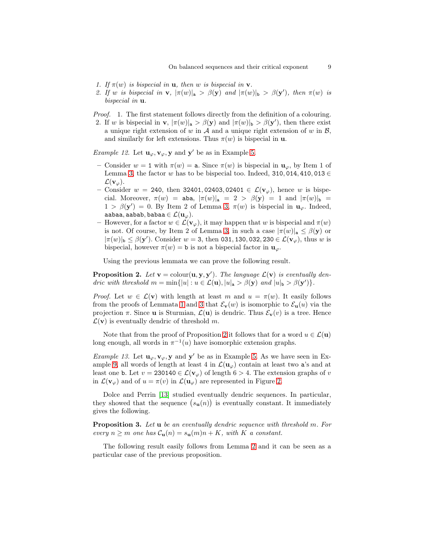- 1. If  $\pi(w)$  is bispecial in **u**, then w is bispecial in **v**.
- 2. If w is bispecial in **v**,  $|\pi(w)|_a > \beta(\mathbf{y})$  and  $|\pi(w)|_b > \beta(\mathbf{y}')$ , then  $\pi(w)$  is bispecial in  $\mathbf{u}$ .
- Proof. 1. The first statement follows directly from the definition of a colouring. 2. If w is bispecial in **v**,  $|\pi(w)|_a > \beta(\mathbf{y})$  and  $|\pi(w)|_b > \beta(\mathbf{y}')$ , then there exist a unique right extension of w in  $A$  and a unique right extension of w in  $B$ , and similarly for left extensions. Thus  $\pi(w)$  is bispecial in **u**.

*Example 12.* Let  $\mathbf{u}_{\varphi}, \mathbf{v}_{\varphi}, \mathbf{y}$  and  $\mathbf{y}'$  be as in Example [5.](#page-5-0)

- Consider  $w = 1$  with  $\pi(w) = a$ . Since  $\pi(w)$  is bispecial in  $\mathbf{u}_{\varphi}$ , by Item 1 of Lemma [3,](#page-7-2) the factor w has to be bispecial too. Indeed, 310, 014, 410, 013 ∈  $\mathcal{L}(\mathbf{v}_{\varnothing}).$
- Consider  $w = 240$ , then 32401, 02403, 02401  $\in \mathcal{L}(\mathbf{v}_{\varphi})$ , hence w is bispecial. Moreover,  $\pi(w) = \text{aba}$ ,  $|\pi(w)|_a = 2 > \beta(y) = 1$  and  $|\pi(w)|_b =$  $1 > \beta(\mathbf{y}') = 0$ . By Item 2 of Lemma [3,](#page-7-2)  $\pi(w)$  is bispecial in  $\mathbf{u}_{\varphi}$ . Indeed, aabaa, aabab, babaa  $\in \mathcal{L}(\mathbf{u}_{\varphi}).$
- However, for a factor  $w \in \mathcal{L}(\mathbf{v}_{\varphi})$ , it may happen that w is bispecial and  $\pi(w)$ is not. Of course, by Item 2 of Lemma [3,](#page-7-2) in such a case  $|\pi(w)|_a \leq \beta(y)$  or  $|\pi(w)|_b \leq \beta(\mathbf{y}')$ . Consider  $w = 3$ , then 031, 130, 032, 230  $\in \mathcal{L}(\mathbf{v}_{\varphi})$ , thus w is bispecial, however  $\pi(w) = \mathbf{b}$  is not a bispecial factor in  $\mathbf{u}_{\varphi}$ .

<span id="page-8-0"></span>Using the previous lemmata we can prove the following result.

**Proposition 2.** Let  $\mathbf{v} = \text{colour}(\mathbf{u}, \mathbf{y}, \mathbf{y}')$ . The language  $\mathcal{L}(\mathbf{v})$  is eventually dendric with threshold  $m = \min\{|u| : u \in \mathcal{L}(\mathbf{u}), |u|_{\mathbf{a}} > \beta(\mathbf{y}) \text{ and } |u|_{\mathbf{b}} > \beta(\mathbf{y}^{\prime})\}.$ 

*Proof.* Let  $w \in \mathcal{L}(\mathbf{v})$  with length at least m and  $u = \pi(w)$ . It easily follows from the proofs of Lemmata [1](#page-7-0) and [3](#page-7-2) that  $\mathcal{E}_{\mathbf{v}}(w)$  is isomorphic to  $\mathcal{E}_{\mathbf{u}}(u)$  via the projection  $\pi$ . Since **u** is Sturmian,  $\mathcal{L}(\mathbf{u})$  is dendric. Thus  $\mathcal{E}_{\mathbf{v}}(v)$  is a tree. Hence  $\mathcal{L}(\mathbf{v})$  is eventually dendric of threshold m.

Note that from the proof of Proposition [2](#page-8-0) it follows that for a word  $u \in \mathcal{L}(\mathbf{u})$ long enough, all words in  $\pi^{-1}(u)$  have isomorphic extension graphs.

*Example 13.* Let  $\mathbf{u}_{\varphi}, \mathbf{v}_{\varphi}, \mathbf{y}$  and  $\mathbf{y}'$  be as in Example [5.](#page-5-0) As we have seen in Ex-ample [9,](#page-6-1) all words of length at least 4 in  $\mathcal{L}(\mathbf{u}_{\varphi})$  contain at least two a's and at least one b. Let  $v = 230140 \in \mathcal{L}(v_{\varphi})$  of length  $6 > 4$ . The extension graphs of v in  $\mathcal{L}(\mathbf{v}_{\varphi})$  and of  $u = \pi(v)$  in  $\mathcal{L}(\mathbf{u}_{\varphi})$  are represented in Figure [2.](#page-9-0)

Dolce and Perrin [\[13\]](#page-37-12) studied eventually dendric sequences. In particular, they showed that the sequence  $(s_u(n))$  is eventually constant. It immediately gives the following.

Proposition 3. Let u be an eventually dendric sequence with threshold m. For every  $n \geq m$  one has  $C_{\mathbf{u}}(n) = s_{\mathbf{u}}(m)n + K$ , with K a constant.

<span id="page-8-1"></span>The following result easily follows from Lemma [2](#page-7-1) and it can be seen as a particular case of the previous proposition.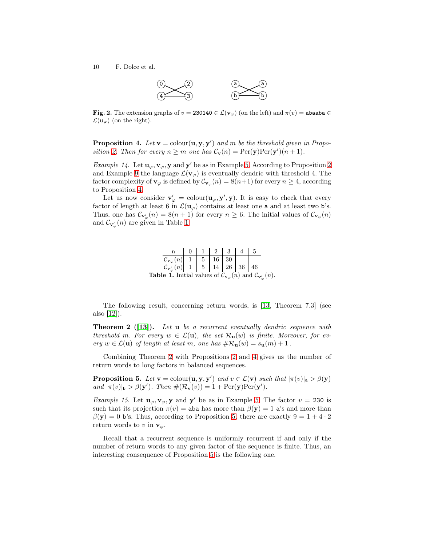10 F. Dolce et al.



<span id="page-9-0"></span>Fig. 2. The extension graphs of  $v = 230140 \in \mathcal{L}(v_{\varphi})$  (on the left) and  $\pi(v) = \text{abaaba} \in \mathcal{L}(v_{\varphi})$  $\mathcal{L}(\mathbf{u}_{\varphi})$  (on the right).

**Proposition 4.** Let  $\mathbf{v} = \text{colour}(\mathbf{u}, \mathbf{y}, \mathbf{y}')$  and m be the threshold given in Propo-sition [2.](#page-8-0) Then for every  $n \ge m$  one has  $C_{\mathbf{v}}(n) = \text{Per}(\mathbf{y})\text{Per}(\mathbf{y}')(n+1)$ .

*Example 14.* Let  $\mathbf{u}_{\varphi}, \mathbf{v}_{\varphi}, \mathbf{y}$  and  $\mathbf{y}'$  be as in Example [5.](#page-5-0) According to Proposition [2](#page-8-0) and Example [9](#page-6-1) the language  $\mathcal{L}(\mathbf{v}_{\varphi})$  is eventually dendric with threshold 4. The factor complexity of  $\mathbf{v}_{\varphi}$  is defined by  $\mathcal{C}_{\mathbf{v}_{\varphi}}(n) = 8(n+1)$  for every  $n \geq 4$ , according to Proposition [4.](#page-8-1)

Let us now consider  $\mathbf{v}'_{\varphi} = \text{colour}(\mathbf{u}_{\varphi}, \mathbf{y}', \mathbf{y})$ . It is easy to check that every factor of length at least 6 in  $\mathcal{L}(\mathbf{u}_{\varphi})$  contains at least one a and at least two b's. Thus, one has  $\mathcal{C}_{\mathbf{v}'_{\varphi}}(n) = 8(n+1)$  for every  $n \geq 6$ . The initial values of  $\mathcal{C}_{\mathbf{v}_{\varphi}}(n)$ and  $\mathcal{C}_{\mathbf{v}'_{\varphi}}(n)$  are given in Table [1.](#page-9-1)

<span id="page-9-1"></span>

|                                                                                                                                                                             |  | 012345 |  |  |
|-----------------------------------------------------------------------------------------------------------------------------------------------------------------------------|--|--------|--|--|
|                                                                                                                                                                             |  |        |  |  |
| $\left[\begin{array}{c c} \mathcal{C}_{\mathbf{v}_{\varphi}}(n) & 1 & 5 & 16 & 30 \\ \mathcal{C}_{\mathbf{v}'_{\varphi}}(n) & 1 & 5 & 14 & 26 & 36 & 46 \end{array}\right]$ |  |        |  |  |
| <b>Table 1.</b> Initial values of $\mathcal{C}_{\mathbf{v}_{\varphi}}(n)$ and $\mathcal{C}_{\mathbf{v}'_{\varphi}}(n)$ .                                                    |  |        |  |  |

<span id="page-9-2"></span>The following result, concerning return words, is [\[13,](#page-37-12) Theorem 7.3] (see also [\[12\]](#page-37-13)).

**Theorem 2** ([\[13\]](#page-37-12)). Let **u** be a recurrent eventually dendric sequence with threshold m. For every  $w \in \mathcal{L}(\mathbf{u})$ , the set  $\mathcal{R}_{\mathbf{u}}(w)$  is finite. Moreover, for every  $w \in \mathcal{L}(\mathbf{u})$  of length at least m, one has  $\#\mathcal{R}_{\mathbf{u}}(w) = s_{\mathbf{u}}(m) + 1$ .

<span id="page-9-3"></span>Combining Theorem [2](#page-9-2) with Propositions [2](#page-8-0) and [4](#page-8-1) gives us the number of return words to long factors in balanced sequences.

**Proposition 5.** Let  $\mathbf{v} = \text{colour}(\mathbf{u}, \mathbf{y}, \mathbf{y}')$  and  $v \in \mathcal{L}(\mathbf{v})$  such that  $|\pi(v)|_{\mathbf{a}} > \beta(\mathbf{y})$ and  $|\pi(v)|_b > \beta(\mathbf{y}')$ . Then  $\#(\mathcal{R}_{\mathbf{v}}(v)) = 1 + \text{Per}(\mathbf{y})\text{Per}(\mathbf{y}')$ .

*Example 15.* Let  $\mathbf{u}_{\varphi}, \mathbf{v}_{\varphi}, \mathbf{y}$  and  $\mathbf{y}'$  be as in Example [5.](#page-5-0) The factor  $v = 230$  is such that its projection  $\pi(v) =$  aba has more than  $\beta(y) = 1$  a's and more than  $\beta(\mathbf{y}) = 0$  b's. Thus, according to Proposition [5,](#page-9-3) there are exactly  $9 = 1 + 4 \cdot 2$ return words to v in  $\mathbf{v}_{\varphi}$ .

Recall that a recurrent sequence is uniformly recurrent if and only if the number of return words to any given factor of the sequence is finite. Thus, an interesting consequence of Proposition [5](#page-9-3) is the following one.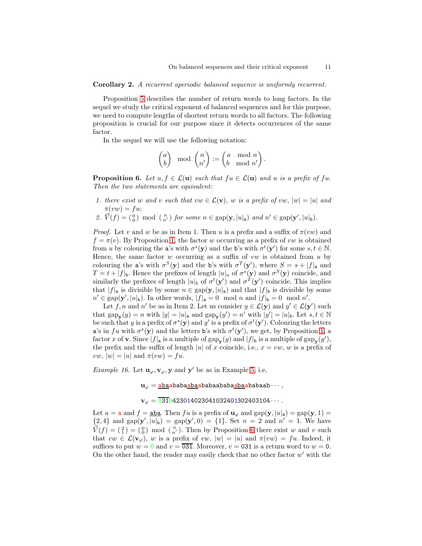Corollary 2. A recurrent aperiodic balanced sequence is uniformly recurrent.

Proposition [5](#page-9-3) describes the number of return words to long factors. In the sequel we study the critical exponent of balanced sequences and for this purpose, we need to compute lengths of shortest return words to all factors. The following proposition is crucial for our purpose since it detects occurrences of the same factor.

In the sequel we will use the following notation:

$$
\begin{pmatrix} a \\ b \end{pmatrix} \mod \begin{pmatrix} n \\ n' \end{pmatrix} := \begin{pmatrix} a \mod n \\ b \mod n' \end{pmatrix}.
$$

<span id="page-10-0"></span>**Proposition 6.** Let  $u, f \in \mathcal{L}(\mathbf{u})$  such that  $fu \in \mathcal{L}(\mathbf{u})$  and u is a prefix of fu. Then the two statements are equivalent:

- 1. there exist w and v such that  $vw \in \mathcal{L}(v)$ , w is a prefix of vw,  $|w| = |u|$  and  $\pi(vw) = fu;$
- 2.  $\vec{V}(f) = \begin{pmatrix} 0 \\ 0 \end{pmatrix}$  mod  $\begin{pmatrix} n \\ n' \end{pmatrix}$  for some  $n \in \text{gap}(\mathbf{y}, |u|_{\mathbf{a}})$  and  $n' \in \text{gap}(\mathbf{y}', |u|_{\mathbf{b}})$ .

*Proof.* Let v and w be as in Item 1. Then u is a prefix and a suffix of  $\pi(vw)$  and  $f = \pi(v)$ . By Proposition [1,](#page-6-2) the factor w occurring as a prefix of vw is obtained from u by colouring the a's with  $\sigma^s(\mathbf{y})$  and the b's with  $\sigma^t(\mathbf{y}')$  for some  $s, t \in \mathbb{N}$ . Hence, the same factor  $w$  occurring as a suffix of  $vw$  is obtained from  $u$  by colouring the a's with  $\sigma^S(\mathbf{y})$  and the b's with  $\sigma^T(\mathbf{y}')$ , where  $S = s + |f|$  and  $T = t + |f|_b$ . Hence the prefixes of length  $|u|_a$  of  $\sigma^s(\mathbf{y})$  and  $\sigma^S(\mathbf{y})$  coincide, and similarly the prefixes of length  $|u|_b$  of  $\sigma^t(\mathbf{y}')$  and  $\sigma^T(\mathbf{y}')$  coincide. This implies that  $|f|_a$  is divisible by some  $n \in \text{gap}(\mathbf{y}, |u|_a)$  and that  $|f|_b$  is divisible by some  $n' \in \text{gap}(\mathbf{y}', |u|_{\mathbf{b}})$ . In other words,  $|f|_{\mathbf{a}} = 0 \mod n$  and  $|f|_{\mathbf{b}} = 0 \mod n'$ .

Let f, n and n' be as in Item 2. Let us consider  $y \in \mathcal{L}(\mathbf{y})$  and  $y' \in \mathcal{L}(\mathbf{y}')$  such that  $\text{gap}_{\mathbf{y}}(y) = n$  with  $|y| = |u|_{\mathbf{a}}$  and  $\text{gap}_{\mathbf{y}}(y') = n'$  with  $|y'| = |u|_{\mathbf{b}}$ . Let  $s, t \in \mathbb{N}$ be such that y is a prefix of  $\sigma^s(\mathbf{y})$  and y' is a prefix of  $\sigma^t(\mathbf{y}')$ . Colouring the letters a's in fu with  $\sigma^s(\mathbf{y})$  and the letters b's with  $\sigma^t(\mathbf{y}')$ , we get, by Proposition [1,](#page-6-2) a factor x of **v**. Since  $|f|_a$  is a multiple of  $\text{gap}_{\mathbf{y}}(y)$  and  $|f|_b$  is a multiple of  $\text{gap}_{\mathbf{y}}(y')$ , the prefix and the suffix of length |u| of x coincide, i.e.,  $x = vw, w$  is a prefix of vw,  $|w| = |u|$  and  $\pi(vw) = fu$ .

*Example 16.* Let  $\mathbf{u}_{\varphi}, \mathbf{v}_{\varphi}, \mathbf{y}$  and  $\mathbf{y}'$  be as in Example [5,](#page-5-0) i.e,

 $\mathbf{u}_{\varphi} = \mathbf{abaabababaabababababab\cdots,$ 

 $\mathbf{v}_{\varphi} = \overline{031}0423014023041032401302403104\cdots$ 

Let  $u = a$  and  $f = aba$ . Then fu is a prefix of  $u_{\varphi}$  and  $gap(y, |u|_a) = gap(y, 1) =$  ${2, 4}$  and  $\text{gap}(\mathbf{y}', |u|_{\mathbf{b}}) = \text{gap}(\mathbf{y}', 0) = {1}.$  Set  $n = 2$  and  $n' = 1$ . We have  $\vec{V}(f) = \begin{pmatrix} 2 \\ 1 \end{pmatrix} = \begin{pmatrix} 0 \\ 0 \end{pmatrix}$  mod  $\begin{pmatrix} n \\ n' \end{pmatrix}$ . Then by Proposition [6](#page-10-0) there exist w and v such that  $vw \in \mathcal{L}(\mathbf{v}_{\varphi})$ , w is a prefix of  $vw, |w| = |u|$  and  $\pi(vw) = fu$ . Indeed, it suffices to put  $w = 0$  and  $v = \overline{031}$ . Moreover,  $v = 0.031$  is a return word to  $w = 0$ . On the other hand, the reader may easily check that no other factor  $w'$  with the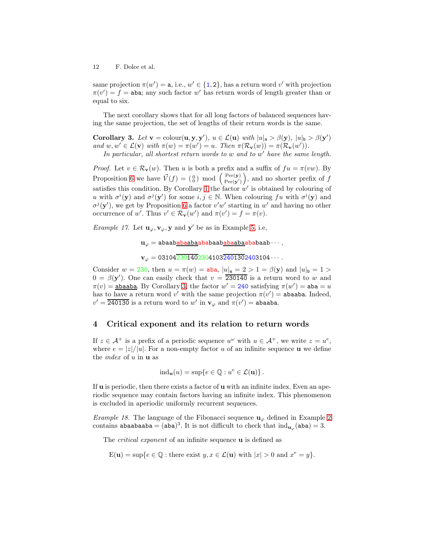same projection  $\pi(w') = \mathsf{a}$ , i.e.,  $w' \in \{1, 2\}$ , has a return word v' with projection  $\pi(v') = f =$  aba; any such factor w' has return words of length greater than or equal to six.

<span id="page-11-1"></span>The next corollary shows that for all long factors of balanced sequences having the same projection, the set of lengths of their return words is the same.

Corollary 3. Let  $\mathbf{v} = \text{colour}(\mathbf{u}, \mathbf{y}, \mathbf{y}')$ ,  $u \in \mathcal{L}(\mathbf{u})$  with  $|u|_{\mathbf{a}} > \beta(\mathbf{y})$ ,  $|u|_{\mathbf{b}} > \beta(\mathbf{y}')$ and  $w, w' \in \mathcal{L}(\mathbf{v})$  with  $\pi(w) = \pi(w') = u$ . Then  $\pi(\mathcal{R}_{\mathbf{v}}(w)) = \pi(\mathcal{R}_{\mathbf{v}}(w'))$ .

In particular, all shortest return words to w and to w' have the same length.

*Proof.* Let  $v \in \mathcal{R}_{\mathbf{v}}(w)$ . Then u is both a prefix and a suffix of  $fu = \pi(vw)$ . By Proposition [6](#page-10-0) we have  $\vec{V}(f) = \begin{pmatrix} 0 \\ 0 \end{pmatrix}$  mod  $\begin{pmatrix} \text{Per}(\mathbf{y}) \\ \text{Per}(\mathbf{y}') \end{pmatrix}$  $\frac{\text{Per}(\mathbf{y})}{\text{Per}(\mathbf{y}')}$ , and no shorter prefix of f satisfies this condition. By Corollary [1](#page-6-0) the factor  $w'$  is obtained by colouring of u with  $\sigma^i(\mathbf{y})$  and  $\sigma^j(\mathbf{y}')$  for some  $i, j \in \mathbb{N}$ . When colouring fu with  $\sigma^i(\mathbf{y})$  and  $\sigma^{j}(\mathbf{y}')$ , we get by Proposition [6](#page-10-0) a factor  $v'w'$  starting in w' and having no other occurrence of w'. Thus  $v' \in \mathcal{R}_{\mathbf{v}}(w')$  and  $\pi(v') = f = \pi(v)$ .

*Example 17.* Let  $\mathbf{u}_{\varphi}, \mathbf{v}_{\varphi}, \mathbf{y}$  and  $\mathbf{y}'$  be as in Example [5,](#page-5-0) i.e,

```
uϕ = abaababaabaababaababaabaababaab · · · ,
```

```
\mathbf{v}_{\varphi} = 03104\overline{23014023041032401302403104\cdots}
```
Consider  $w = 230$ , then  $u = \pi(w) = aba$ ,  $|u|_a = 2 > 1 = \beta(y)$  and  $|u|_b = 1 >$  $0 = \beta(\mathbf{y}')$ . One can easily check that  $v = 230140$  is a return word to w and  $\pi(v) = \frac{\text{abaaba}}{\text{a}v}$ . By Corollary [3,](#page-11-1) the factor  $w' = 240$  satisfying  $\pi(w') = \text{aba} = u$ has to have a return word v' with the same projection  $\pi(v') =$  abaaba. Indeed,  $v' = \overline{240130}$  is a return word to  $w'$  in  $\mathbf{v}_{\varphi}$  and  $\pi(v') = \mathbf{abaaba}$ .

### <span id="page-11-0"></span>4 Critical exponent and its relation to return words

If  $z \in A^+$  is a prefix of a periodic sequence  $u^{\omega}$  with  $u \in A^+$ , we write  $z = u^e$ , where  $e = |z|/|u|$ . For a non-empty factor u of an infinite sequence **u** we define the *index* of  $u$  in  $u$  as

$$
ind_{\mathbf{u}}(u) = \sup\{e \in \mathbb{Q} : u^e \in \mathcal{L}(\mathbf{u})\}.
$$

If  $u$  is periodic, then there exists a factor of  $u$  with an infinite index. Even an aperiodic sequence may contain factors having an infinite index. This phenomenon is excluded in aperiodic uniformly recurrent sequences.

Example 18. The language of the Fibonacci sequence  $\mathbf{u}_{\varphi}$  defined in Example [2](#page-3-0) contains abaabaaba = (aba)<sup>3</sup>. It is not difficult to check that  $\text{ind}_{\mathbf{u}_{\varphi}}(\mathbf{a}\mathbf{b}\mathbf{a}) = 3$ .

The *critical exponent* of an infinite sequence **u** is defined as

$$
\mathcal{E}(\mathbf{u}) = \sup\{e \in \mathbb{Q} : \text{there exist } y, x \in \mathcal{L}(\mathbf{u}) \text{ with } |x| > 0 \text{ and } x^e = y\}.
$$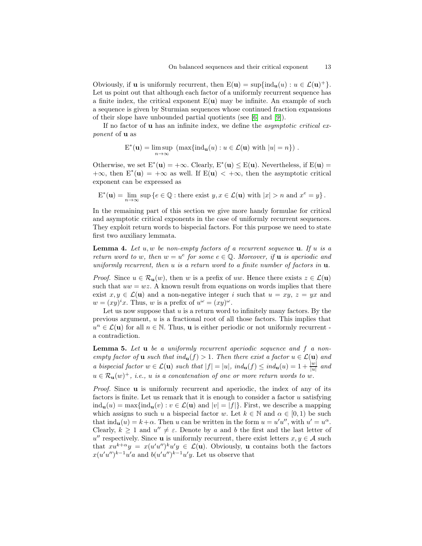Obviously, if **u** is uniformly recurrent, then  $E(\mathbf{u}) = \sup\{\text{ind}_{\mathbf{u}}(u) : u \in \mathcal{L}(\mathbf{u})^+\}.$ Let us point out that although each factor of a uniformly recurrent sequence has a finite index, the critical exponent  $E(\mathbf{u})$  may be infinite. An example of such a sequence is given by Sturmian sequences whose continued fraction expansions of their slope have unbounded partial quotients (see [\[6\]](#page-37-4) and [\[9\]](#page-37-14)).

If no factor of u has an infinite index, we define the asymptotic critical exponent of **u** as

$$
E^*(\mathbf{u}) = \limsup_{n \to \infty} \left( \max \{ \text{ind}_{\mathbf{u}}(u) : u \in \mathcal{L}(\mathbf{u}) \text{ with } |u| = n \} \right).
$$

Otherwise, we set  $E^*(u) = +\infty$ . Clearly,  $E^*(u) \le E(u)$ . Nevertheless, if  $E(u) =$  $+\infty$ , then  $E^*(u) = +\infty$  as well. If  $E(u) < +\infty$ , then the asymptotic critical exponent can be expressed as

 $E^*(\mathbf{u}) = \lim_{n \to \infty} \sup \{ e \in \mathbb{Q} : \text{there exist } y, x \in \mathcal{L}(\mathbf{u}) \text{ with } |x| > n \text{ and } x^e = y \}.$ 

In the remaining part of this section we give more handy formulae for critical and asymptotic critical exponents in the case of uniformly recurrent sequences. They exploit return words to bispecial factors. For this purpose we need to state first two auxiliary lemmata.

<span id="page-12-0"></span>**Lemma 4.** Let u, w be non-empty factors of a recurrent sequence **u**. If u is a return word to w, then  $w = u^e$  for some  $e \in \mathbb{Q}$ . Moreover, if **u** is aperiodic and uniformly recurrent, then u is a return word to a finite number of factors in  $\mathbf{u}$ .

*Proof.* Since  $u \in \mathcal{R}_{\mathbf{u}}(w)$ , then w is a prefix of uw. Hence there exists  $z \in \mathcal{L}(\mathbf{u})$ such that  $uw = wz$ . A known result from equations on words implies that there exist  $x, y \in \mathcal{L}(\mathbf{u})$  and a non-negative integer i such that  $u = xy, z = yx$  and  $w = (xy)^i x$ . Thus, w is a prefix of  $u^{\omega} = (xy)^{\omega}$ .

Let us now suppose that  $u$  is a return word to infinitely many factors. By the previous argument,  $u$  is a fractional root of all those factors. This implies that  $u^n \in \mathcal{L}(\mathbf{u})$  for all  $n \in \mathbb{N}$ . Thus, **u** is either periodic or not uniformly recurrent a contradiction.

<span id="page-12-1"></span>**Lemma 5.** Let  $\bf{u}$  be a uniformly recurrent aperiodic sequence and  $f$  a nonempty factor of **u** such that  $ind_u(f) > 1$ . Then there exist a factor  $u \in \mathcal{L}(\mathbf{u})$  and a bispecial factor  $w \in \mathcal{L}(\mathbf{u})$  such that  $|f| = |u|$ ,  $ind_{\mathbf{u}}(f) \leq ind_{\mathbf{u}}(u) = 1 + \frac{|w|}{|u|}$  and  $u \in \mathcal{R}_{\mathbf{u}}(w)^+$ , i.e., u is a concatenation of one or more return words to w.

Proof. Since **u** is uniformly recurrent and aperiodic, the index of any of its factors is finite. Let us remark that it is enough to consider a factor  $u$  satisfying  $ind_{\mathbf{u}}(u) = \max\{ind_{\mathbf{u}}(v) : v \in \mathcal{L}(\mathbf{u}) \text{ and } |v| = |f|\}.$  First, we describe a mapping which assigns to such u a bispecial factor w. Let  $k \in \mathbb{N}$  and  $\alpha \in [0,1)$  be such that  $\text{ind}_{\mathbf{u}}(u) = k + \alpha$ . Then u can be written in the form  $u = u'u''$ , with  $u' = u^{\alpha}$ . Clearly,  $k \geq 1$  and  $u'' \neq \varepsilon$ . Denote by a and b the first and the last letter of  $u''$  respectively. Since **u** is uniformly recurrent, there exist letters  $x, y \in A$  such that  $xu^{k+\alpha}y = x(u'u'')^k u'y \in \mathcal{L}(\mathbf{u})$ . Obviously, **u** contains both the factors  $x(u'u'')^{k-1}u'a$  and  $b(u'u'')^{k-1}u'y$ . Let us observe that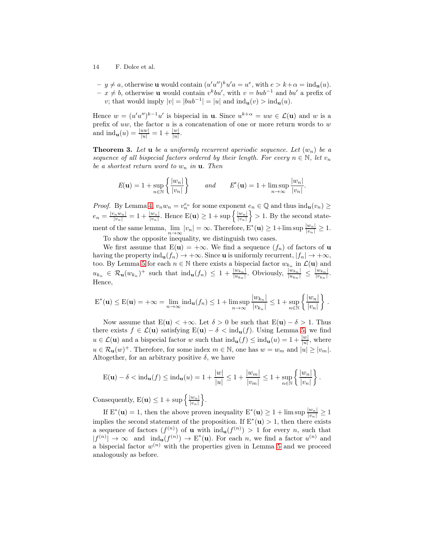- 14 F. Dolce et al.
	- $-y \neq a$ , otherwise **u** would contain  $(u'u'')^k u' a = u^e$ , with  $e > k + \alpha = \text{ind}_{\mathbf{u}}(u)$ .  $- x \neq b$ , otherwise **u** would contain  $v^k b u'$ , with  $v = b u b^{-1}$  and  $b u'$  a prefix of v; that would imply  $|v| = |bub^{-1}| = |u|$  and  $\text{ind}_{\mathbf{u}}(v) > \text{ind}_{\mathbf{u}}(u)$ .

Hence  $w = (u'u'')^{k-1}u'$  is bispecial in **u**. Since  $u^{k+\alpha} = uw \in \mathcal{L}(\mathbf{u})$  and w is a prefix of  $uw$ , the factor  $u$  is a concatenation of one or more return words to  $w$ and  $\text{ind}_{\mathbf{u}}(u) = \frac{|uw|}{|u|} = 1 + \frac{|w|}{|u|}.$ 

<span id="page-13-0"></span>**Theorem 3.** Let **u** be a uniformly recurrent aperiodic sequence. Let  $(w_n)$  be a sequence of all bispecial factors ordered by their length. For every  $n \in \mathbb{N}$ , let  $v_n$ be a shortest return word to  $w_n$  in  $\mathbf{u}$ . Then

$$
E(\mathbf{u}) = 1 + \sup_{n \in \mathbb{N}} \left\{ \frac{|w_n|}{|v_n|} \right\} \qquad and \qquad E^*(\mathbf{u}) = 1 + \limsup_{n \to \infty} \frac{|w_n|}{|v_n|}.
$$

*Proof.* By Lemma [4,](#page-12-0)  $v_n w_n = v_n^{e_n}$  for some exponent  $e_n \in \mathbb{Q}$  and thus  $\text{ind}_{\mathbf{u}}(v_n) \geq$  $e_n = \frac{|v_n w_n|}{|v_n|} = 1 + \frac{|w_n|}{|v_n|}$ . Hence  $E(\mathbf{u}) \ge 1 + \sup \left\{ \frac{|w_n|}{|v_n|} \right\}$  $|v_n|$  $\geq 1$ . By the second statement of the same lemma,  $\lim_{n\to\infty} |v_n| = \infty$ . Therefore,  $E^*(\mathbf{u}) \ge 1 + \limsup \frac{|w_n|}{|v_n|} \ge 1$ .

To show the opposite inequality, we distinguish two cases.

We first assume that  $E(u) = +\infty$ . We find a sequence  $(f_n)$  of factors of u having the property ind<sub>u</sub> $(f_n) \to +\infty$ . Since u is uniformly recurrent,  $|f_n| \to +\infty$ , too. By Lemma [5](#page-12-1) for each  $n \in \mathbb{N}$  there exists a bispecial factor  $w_{k_n}$  in  $\mathcal{L}(\mathbf{u})$  and  $u_{k_n} \in \mathcal{R}_{\mathbf{u}}(w_{k_n})^+$  such that  $\text{ind}_{\mathbf{u}}(f_n) \leq 1 + \frac{|w_{k_n}|}{|u_{k_n}|}$ . Obviously,  $\frac{|w_{k_n}|}{|u_{k_n}|} \leq \frac{|w_{k_n}|}{|v_{k_n}|}$  $\frac{|w_{k_n}|}{|v_{k_n}|}$ . Hence,

$$
\mathcal{E}^*(\mathbf{u}) \le \mathcal{E}(\mathbf{u}) = +\infty = \lim_{n \to \infty} \operatorname{ind}_{\mathbf{u}}(f_n) \le 1 + \limsup_{n \to \infty} \frac{|w_{k_n}|}{|v_{k_n}|} \le 1 + \sup_{n \in \mathbb{N}} \left\{ \frac{|w_n|}{|v_n|} \right\}.
$$

Now assume that  $E(u) < +\infty$ . Let  $\delta > 0$  be such that  $E(u) - \delta > 1$ . Thus there exists  $f \in \mathcal{L}(\mathbf{u})$  satisfying  $E(\mathbf{u}) - \delta < \text{ind}_{\mathbf{u}}(f)$ . Using Lemma [5,](#page-12-1) we find  $u \in \mathcal{L}(\mathbf{u})$  and a bispecial factor w such that  $\text{ind}_{\mathbf{u}}(f) \leq \text{ind}_{\mathbf{u}}(u) = 1 + \frac{|w|}{|u|}$ , where  $u \in \mathcal{R}_{\mathbf{u}}(w)^+$ . Therefore, for some index  $m \in \mathbb{N}$ , one has  $w = w_m$  and  $|u| \geq |v_m|$ . Altogether, for an arbitrary positive  $\delta$ , we have

$$
E(\mathbf{u}) - \delta < \text{ind}_{\mathbf{u}}(f) \le \text{ind}_{\mathbf{u}}(u) = 1 + \frac{|w|}{|u|} \le 1 + \frac{|w_m|}{|v_m|} \le 1 + \sup_{n \in \mathbb{N}} \left\{ \frac{|w_n|}{|v_n|} \right\}.
$$

Consequently,  $E(\mathbf{u}) \leq 1 + \sup \left\{ \frac{|w_n|}{|v_n|} \right\}$  $|v_n|$  $\big\}$ .

If  $E^*(u) = 1$ , then the above proven inequality  $E^*(u) \ge 1 + \limsup \frac{|w_n|}{|v_n|} \ge 1$ implies the second statement of the proposition. If  $E^*(u) > 1$ , then there exists a sequence of factors  $(f^{(n)})$  of **u** with  $\text{ind}_{\mathbf{u}}(f^{(n)}) > 1$  for every *n*, such that  $|f^{(n)}| \to \infty$  and  $\text{ind}_{\mathbf{u}}(f^{(n)}) \to E^*(\mathbf{u})$ . For each n, we find a factor  $u^{(n)}$  and a bispecial factor  $w^{(n)}$  with the properties given in Lemma [5](#page-12-1) and we proceed analogously as before.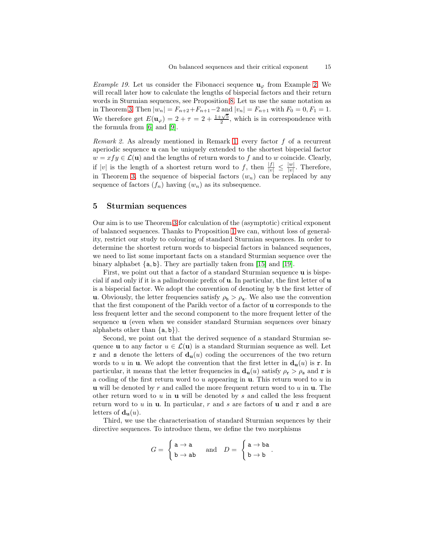*Example 19.* Let us consider the Fibonacci sequence  $\mathbf{u}_{\varphi}$  from Example [2.](#page-3-0) We will recall later how to calculate the lengths of bispecial factors and their return words in Sturmian sequences, see Proposition [8.](#page-15-0) Let us use the same notation as in Theorem [3.](#page-13-0) Then  $|w_n| = F_{n+2} + F_{n+1} - 2$  and  $|v_n| = F_{n+1}$  with  $F_0 = 0, F_1 = 1$ . We therefore get  $E(\mathbf{u}_{\varphi}) = 2 + \tau = 2 + \frac{1+\sqrt{5}}{2}$ , which is in correspondence with the formula from [\[6\]](#page-37-4) and [\[9\]](#page-37-14).

<span id="page-14-1"></span>Remark 2. As already mentioned in Remark [1,](#page-3-2) every factor f of a recurrent aperiodic sequence u can be uniquely extended to the shortest bispecial factor  $w = x f y \in \mathcal{L}(\mathbf{u})$  and the lengths of return words to f and to w coincide. Clearly, if |v| is the length of a shortest return word to f, then  $\frac{|f|}{|v|} \leq \frac{|w|}{|v|}$  $\frac{|w|}{|v|}$ . Therefore, in Theorem [3,](#page-13-0) the sequence of bispecial factors  $(w_n)$  can be replaced by any sequence of factors  $(f_n)$  having  $(w_n)$  as its subsequence.

### 5 Sturmian sequences

Our aim is to use Theorem [3](#page-13-0) for calculation of the (asymptotic) critical exponent of balanced sequences. Thanks to Proposition [1](#page-6-2) we can, without loss of generality, restrict our study to colouring of standard Sturmian sequences. In order to determine the shortest return words to bispecial factors in balanced sequences, we need to list some important facts on a standard Sturmian sequence over the binary alphabet {a, <sup>b</sup>}. They are partially taken from [\[15\]](#page-37-15) and [\[19\]](#page-38-4).

First, we point out that a factor of a standard Sturmian sequence **u** is bispecial if and only if it is a palindromic prefix of u. In particular, the first letter of u is a bispecial factor. We adopt the convention of denoting by b the first letter of u. Obviously, the letter frequencies satisfy  $\rho_{\rm b} > \rho_{\rm a}$ . We also use the convention that the first component of the Parikh vector of a factor of u corresponds to the less frequent letter and the second component to the more frequent letter of the sequence u (even when we consider standard Sturmian sequences over binary alphabets other than  $\{a, b\}$ .

Second, we point out that the derived sequence of a standard Sturmian sequence **u** to any factor  $u \in \mathcal{L}(\mathbf{u})$  is a standard Sturmian sequence as well. Let **r** and **s** denote the letters of  $\mathbf{d}_{\mathbf{u}}(u)$  coding the occurrences of the two return words to u in **u**. We adopt the convention that the first letter in  $\mathbf{d}_{\mathbf{u}}(u)$  is **r**. In particular, it means that the letter frequencies in  $d_u(u)$  satisfy  $\rho_r > \rho_s$  and r is a coding of the first return word to  $u$  appearing in  $u$ . This return word to  $u$  in **u** will be denoted by r and called the more frequent return word to  $u$  in  $u$ . The other return word to  $u$  in  $u$  will be denoted by  $s$  and called the less frequent return word to u in **u**. In particular, r and s are factors of **u** and **r** and **s** are letters of  $\mathbf{d}_{\mathbf{u}}(u)$ .

<span id="page-14-0"></span>Third, we use the characterisation of standard Sturmian sequences by their directive sequences. To introduce them, we define the two morphisms

$$
G = \begin{cases} \mathtt{a} \to \mathtt{a} \\ \mathtt{b} \to \mathtt{a} \mathtt{b} \end{cases} \text{ and } D = \begin{cases} \mathtt{a} \to \mathtt{b} \mathtt{a} \\ \mathtt{b} \to \mathtt{b} \end{cases}.
$$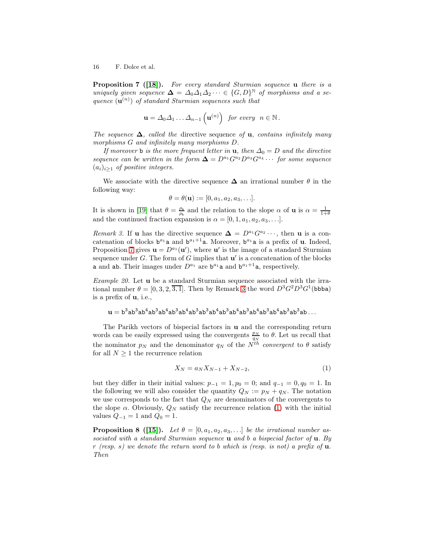**Proposition 7** ([\[18\]](#page-38-5)). For every standard Sturmian sequence  $\bf{u}$  there is a uniquely given sequence  $\Delta = \Delta_0 \Delta_1 \Delta_2 \cdots \in \{G, D\}^{\mathbb{N}}$  of morphisms and a sequence  $(\mathbf{u}^{(n)})$  of standard Sturmian sequences such that

$$
\mathbf{u} = \Delta_0 \Delta_1 \ldots \Delta_{n-1} \left( \mathbf{u}^{(n)} \right) \ \ \text{for every} \ \ n \in \mathbb{N} \, .
$$

The sequence  $\Delta$ , called the directive sequence of **u**, contains infinitely many morphisms G and infinitely many morphisms D.

If moreover b is the more frequent letter in **u**, then  $\Delta_0 = D$  and the directive sequence can be written in the form  $\Delta = D^{a_1}G^{a_2}D^{a_3}G^{a_4} \cdots$  for some sequence  $(a_i)_{i\geq 1}$  of positive integers.

We associate with the directive sequence  $\Delta$  an irrational number  $\theta$  in the following way:

$$
\theta = \theta(\mathbf{u}) := [0, a_1, a_2, a_3, \ldots].
$$

<span id="page-15-1"></span>It is shown in [\[19\]](#page-38-4) that  $\theta = \frac{\rho_a}{\rho_b}$  and the relation to the slope  $\alpha$  of **u** is  $\alpha = \frac{1}{1+\theta}$ and the continued fraction expansion is  $\alpha = [0, 1, a_1, a_2, a_3, \ldots]$ .

Remark 3. If **u** has the directive sequence  $\Delta = D^{a_1}G^{a_2} \cdots$ , then **u** is a concatenation of blocks  $b^{a_1}a$  and  $b^{a_1+1}a$ . Moreover,  $b^{a_1}a$  is a prefix of **u**. Indeed, Proposition [7](#page-14-0) gives  $\mathbf{u} = D^{a_1}(\mathbf{u}')$ , where  $\mathbf{u}'$  is the image of a standard Sturmian sequence under G. The form of G implies that  $\mathbf{u}'$  is a concatenation of the blocks **a** and **ab**. Their images under  $D^{a_1}$  are  $b^{a_1}$ **a** and  $b^{a_1+1}$ **a**, respectively.

<span id="page-15-3"></span>Example 20. Let u be a standard Sturmian sequence associated with the irrational number  $\theta = [0, 3, 2, 3, 1]$  $\theta = [0, 3, 2, 3, 1]$  $\theta = [0, 3, 2, 3, 1]$ . Then by Remark 3 the word  $D^3 G^2 D^3 G^1$  (bbba) is a prefix of u, i.e.,

$$
u=b^3ab^3ab^4ab^3ab^4ab^3ab^4ab^3ab^3ab^4ab^3ab^4ab^3ab^4ab^3ab^4ab^3ab^3ab\ldots
$$

The Parikh vectors of bispecial factors in u and the corresponding return words can be easily expressed using the convergents  $\frac{p_N}{q_N}$  to  $\theta$ . Let us recall that the nominator  $p_N$  and the denominator  $q_N$  of the  $N^{th}$  convergent to  $\theta$  satisfy for all  $N \geq 1$  the recurrence relation

<span id="page-15-2"></span>
$$
X_N = a_N X_{N-1} + X_{N-2},\tag{1}
$$

but they differ in their initial values:  $p_{-1} = 1, p_0 = 0$ ; and  $q_{-1} = 0, q_0 = 1$ . In the following we will also consider the quantity  $Q_N := p_N + q_N$ . The notation we use corresponds to the fact that  $Q_N$  are denominators of the convergents to the slope  $\alpha$ . Obviously,  $Q_N$  satisfy the recurrence relation [\(1\)](#page-15-2) with the initial values  $Q_{-1} = 1$  and  $Q_0 = 1$ .

<span id="page-15-0"></span>**Proposition 8 ([\[15\]](#page-37-15)).** Let  $\theta = [0, a_1, a_2, a_3, \ldots]$  be the irrational number associated with a standard Sturmian sequence **u** and b a bispecial factor of **u**. By r (resp. s) we denote the return word to b which is (resp. is not) a prefix of  $\mathbf{u}$ . Then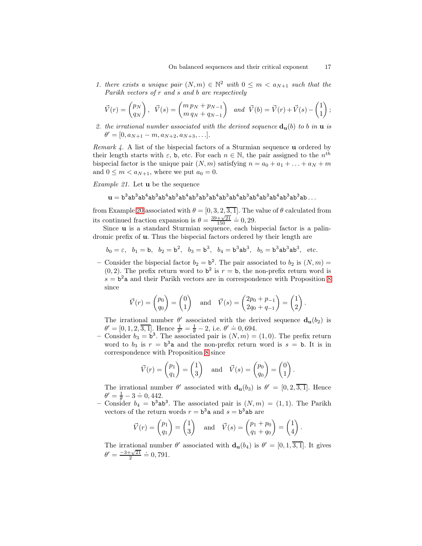1. there exists a unique pair  $(N, m) \in \mathbb{N}^2$  with  $0 \leq m < a_{N+1}$  such that the Parikh vectors of r and s and b are respectively

$$
\vec{V}(r) = \begin{pmatrix} p_N \\ q_N \end{pmatrix}, \quad \vec{V}(s) = \begin{pmatrix} m p_N + p_{N-1} \\ m q_N + q_{N-1} \end{pmatrix} \quad and \quad \vec{V}(b) = \vec{V}(r) + \vec{V}(s) - \begin{pmatrix} 1 \\ 1 \end{pmatrix};
$$

2. the irrational number associated with the derived sequence  $\mathbf{d}_{\mathbf{u}}(b)$  to b in  $\mathbf{u}$  is  $\theta' = [0, a_{N+1} - m, a_{N+2}, a_{N+3}, \ldots].$ 

<span id="page-16-1"></span>Remark 4. A list of the bispecial factors of a Sturmian sequence **u** ordered by their length starts with  $\varepsilon$ , b, etc. For each  $n \in \mathbb{N}$ , the pair assigned to the  $n^{th}$ bispecial factor is the unique pair  $(N, m)$  satisfying  $n = a_0 + a_1 + \ldots + a_N + m$ and  $0 \leq m < a_{N+1}$ , where we put  $a_0 = 0$ .

<span id="page-16-0"></span>Example 21. Let **u** be the sequence

$$
\mathbf{u}=b^3ab^3ab^4ab^3ab^4ab^3ab^4ab^3ab^3ab^4ab^3ab^4ab^3ab^4ab^3ab^4ab^3ab^3ab^3ab\dots
$$

from Example [20](#page-15-3) associated with  $\theta = [0, 3, 2, 3, 1]$ . The value of  $\theta$  calculated from its continued fraction expansion is  $\theta = \frac{39 + \sqrt{21}}{150} = 0, 29.$ 

Since u is a standard Sturmian sequence, each bispecial factor is a palindromic prefix of u. Thus the bispecial factors ordered by their length are

$$
b_0 = \varepsilon
$$
,  $b_1 = b$ ,  $b_2 = b^2$ ,  $b_3 = b^3$ ,  $b_4 = b^3 ab^3$ ,  $b_5 = b^3 ab^3 ab^3$ , etc.

- Consider the bispecial factor  $b_2 = b^2$ . The pair associated to  $b_2$  is  $(N, m)$  =  $(0, 2)$ . The prefix return word to  $b^2$  is  $r = b$ , the non-prefix return word is  $s = b<sup>2</sup>a$  and their Parikh vectors are in correspondence with Proposition [8](#page-15-0) since

$$
\vec{V}(r) = \begin{pmatrix} p_0 \\ q_0 \end{pmatrix} = \begin{pmatrix} 0 \\ 1 \end{pmatrix}
$$
 and  $\vec{V}(s) = \begin{pmatrix} 2p_0 + p_{-1} \\ 2q_0 + q_{-1} \end{pmatrix} = \begin{pmatrix} 1 \\ 2 \end{pmatrix}$ .

The irrational number  $\theta'$  associated with the derived sequence  $\mathbf{d}_{\mathbf{u}}(b_2)$  is  $\theta' = [0, 1, 2, 3, 1]$ . Hence  $\frac{1}{\theta'} = \frac{1}{\theta} - 2$ , i.e.  $\theta' = 0, 694$ .

 $\theta = [0, 1, 2, 3, 1]$ . Hence  $\theta = \theta = 2$ , i.e.  $\theta = 0, 334$ .<br>- Consider  $b_3 = b^3$ . The associated pair is  $(N, m) = (1, 0)$ . The prefix return word to  $b_3$  is  $r = b^3$  a and the non-prefix return word is  $s = b$ . It is in correspondence with Proposition [8](#page-15-0) since

$$
\vec{V}(r) = \begin{pmatrix} p_1 \\ q_1 \end{pmatrix} = \begin{pmatrix} 1 \\ 3 \end{pmatrix}
$$
 and  $\vec{V}(s) = \begin{pmatrix} p_0 \\ q_0 \end{pmatrix} = \begin{pmatrix} 0 \\ 1 \end{pmatrix}$ .

The irrational number  $\theta'$  associated with  $\mathbf{d}_{\mathbf{u}}(b_3)$  is  $\theta' = [0, 2, 3, 1]$ . Hence  $\theta' = \frac{1}{\theta} - 3 = 0,442.$ 

- Consider  $b_4 = b^3ab^3$ . The associated pair is  $(N, m) = (1, 1)$ . The Parikh vectors of the return words  $r = b^3 a$  and  $s = b^3 a b$  are

$$
\vec{V}(r) = \begin{pmatrix} p_1 \\ q_1 \end{pmatrix} = \begin{pmatrix} 1 \\ 3 \end{pmatrix}
$$
 and  $\vec{V}(s) = \begin{pmatrix} p_1 + p_0 \\ q_1 + q_0 \end{pmatrix} = \begin{pmatrix} 1 \\ 4 \end{pmatrix}.$ 

The irrational number  $\theta'$  associated with  $\mathbf{d}_{\mathbf{u}}(b_4)$  is  $\theta' = [0, 1, \overline{3, 1}]$ . It gives  $\theta' = \frac{-3 + \sqrt{21}}{2} \doteq 0,791.$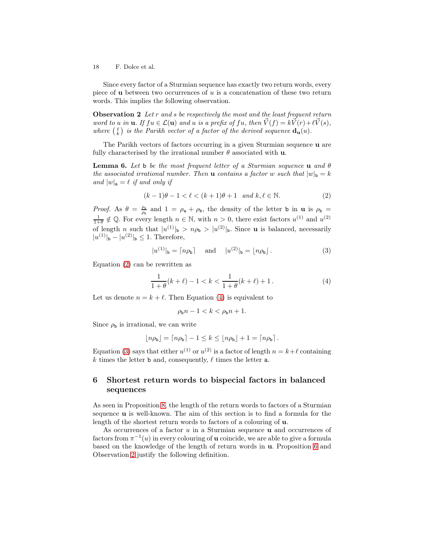Since every factor of a Sturmian sequence has exactly two return words, every piece of **u** between two occurrences of  $u$  is a concatenation of these two return words. This implies the following observation.

<span id="page-17-3"></span>**Observation 2** Let r and s be respectively the most and the least frequent return word to u in **u**. If  $fu \in \mathcal{L}(\mathbf{u})$  and u is a prefix of  $fu$ , then  $\vec{V}(f) = k\vec{V}(r) + \ell \vec{V}(s)$ , where  $\binom{\ell}{k}$  is the Parikh vector of a factor of the derived sequence  $\mathbf{d}_{\mathbf{u}}(u)$ .

<span id="page-17-4"></span>The Parikh vectors of factors occurring in a given Sturmian sequence u are fully characterised by the irrational number  $\theta$  associated with **u**.

**Lemma 6.** Let b be the most frequent letter of a Sturmian sequence **u** and  $\theta$ the associated irrational number. Then **u** contains a factor w such that  $|w|_b = k$ and  $|w|_a = \ell$  if and only if

<span id="page-17-0"></span>
$$
(k-1)\theta - 1 < \ell < (k+1)\theta + 1 \quad \text{and } k, \ell \in \mathbb{N}.\tag{2}
$$

Proof. As  $\theta = \frac{\rho_a}{\rho_b}$  and  $1 = \rho_a + \rho_b$ , the density of the letter b in **u** is  $\rho_b$  $\frac{1}{1+\theta} \notin \mathbb{Q}$ . For every length  $n \in \mathbb{N}$ , with  $n > 0$ , there exist factors  $u^{(1)}$  and  $u^{(2)}$ of length n such that  $|u^{(1)}|_{\mathbf{b}} > n\rho_{\mathbf{b}} > |u^{(2)}|_{\mathbf{b}}$ . Since **u** is balanced, necessarily  $|u^{(1)}|_{\mathbf{b}} - |u^{(2)}|_{\mathbf{b}} \leq 1$ . Therefore,

<span id="page-17-2"></span>
$$
|u^{(1)}|_{\mathbf{b}} = \lceil n\rho_{\mathbf{b}} \rceil \quad \text{and} \quad |u^{(2)}|_{\mathbf{b}} = \lfloor n\rho_{\mathbf{b}} \rfloor. \tag{3}
$$

Equation [\(2\)](#page-17-0) can be rewritten as

<span id="page-17-1"></span>
$$
\frac{1}{1+\theta}(k+\ell) - 1 < k < \frac{1}{1+\theta}(k+\ell) + 1. \tag{4}
$$

Let us denote  $n = k + \ell$ . Then Equation [\(4\)](#page-17-1) is equivalent to

$$
\rho_{\mathbf{b}}n - 1 < k < \rho_{\mathbf{b}}n + 1.
$$

Since  $\rho_{\text{b}}$  is irrational, we can write

$$
\lfloor n\rho_{\mathsf{b}} \rfloor = \lceil n\rho_{\mathsf{b}} \rceil - 1 \leq k \leq \lfloor n\rho_{\mathsf{b}} \rfloor + 1 = \lceil n\rho_{\mathsf{b}} \rceil.
$$

Equation [\(3\)](#page-17-2) says that either  $u^{(1)}$  or  $u^{(2)}$  is a factor of length  $n = k + \ell$  containing k times the letter **b** and, consequently,  $\ell$  times the letter **a**.

# 6 Shortest return words to bispecial factors in balanced sequences

As seen in Proposition [8,](#page-15-0) the length of the return words to factors of a Sturmian sequence u is well-known. The aim of this section is to find a formula for the length of the shortest return words to factors of a colouring of u.

<span id="page-17-5"></span>As occurrences of a factor u in a Sturmian sequence u and occurrences of factors from  $\pi^{-1}(u)$  in every colouring of **u** coincide, we are able to give a formula based on the knowledge of the length of return words in u. Proposition [6](#page-10-0) and Observation [2](#page-17-3) justify the following definition.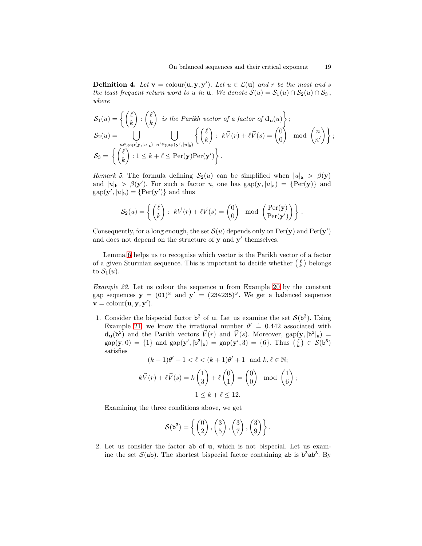**Definition 4.** Let  $\mathbf{v} = \text{colour}(\mathbf{u}, \mathbf{y}, \mathbf{y}')$ . Let  $u \in \mathcal{L}(\mathbf{u})$  and r be the most and s the least frequent return word to u in **u**. We denote  $S(u) = S_1(u) \cap S_2(u) \cap S_3$ , where

$$
\mathcal{S}_1(u) = \left\{ \begin{pmatrix} \ell \\ k \end{pmatrix} : \begin{pmatrix} \ell \\ k \end{pmatrix} \text{ is the Parikh vector of a factor of } \mathbf{d_u}(u) \right\};
$$
  
\n
$$
\mathcal{S}_2(u) = \bigcup_{\substack{n \in \text{gap}(\mathbf{y}, |u|_a) \\ n' \in \text{gap}(\mathbf{y}', |u|_b)}} \bigcup_{n' \in \text{gap}(\mathbf{y}', |u|_b)} \left\{ \begin{pmatrix} \ell \\ k \end{pmatrix} : k\vec{V}(r) + \ell\vec{V}(s) = \begin{pmatrix} 0 \\ 0 \end{pmatrix} \mod \begin{pmatrix} n \\ n' \end{pmatrix} \right\};
$$
  
\n
$$
\mathcal{S}_3 = \left\{ \begin{pmatrix} \ell \\ k \end{pmatrix} : 1 \leq k + \ell \leq \text{Per}(\mathbf{y}) \text{Per}(\mathbf{y}') \right\}.
$$

<span id="page-18-1"></span>Remark 5. The formula defining  $S_2(u)$  can be simplified when  $|u|_a > \beta(y)$ and  $|u|_{\mathbf{b}} > \beta(\mathbf{y}')$ . For such a factor u, one has  $\text{gap}(\mathbf{y}, |u|_{\mathbf{a}}) = {\text{Per}(\mathbf{y})}$  and  $gap(\mathbf{y}', |u|_{b}) = \{Per(\mathbf{y}')\}$  and thus

$$
\mathcal{S}_2(u) = \left\{ \begin{pmatrix} \ell \\ k \end{pmatrix} : k\vec{V}(r) + \ell \vec{V}(s) = \begin{pmatrix} 0 \\ 0 \end{pmatrix} \mod \begin{pmatrix} \text{Per}(\mathbf{y}) \\ \text{Per}(\mathbf{y}') \end{pmatrix} \right\}.
$$

Consequently, for u long enough, the set  $\mathcal{S}(u)$  depends only on  $\text{Per}(\mathbf{y})$  and  $\text{Per}(\mathbf{y}')$ and does not depend on the structure of  $y$  and  $y'$  themselves.

Lemma [6](#page-17-4) helps us to recognise which vector is the Parikh vector of a factor of a given Sturmian sequence. This is important to decide whether  $\binom{\ell}{k}$  belongs to  $S_1(u)$ .

<span id="page-18-0"></span>Example 22. Let us colour the sequence u from Example [20](#page-15-3) by the constant gap sequences  $y = (01)^{\omega}$  and  $y' = (234235)^{\omega}$ . We get a balanced sequence  $\mathbf{v} = \text{colour}(\mathbf{u}, \mathbf{y}, \mathbf{y}').$ 

1. Consider the bispecial factor  $b^3$  of **u**. Let us examine the set  $S(b^3)$ . Using Example [21,](#page-16-0) we know the irrational number  $\theta' = 0.442$  associated with  $\mathbf{d}_{\mathbf{u}}(\mathbf{b}^3)$  and the Parikh vectors  $\vec{V}(r)$  and  $\vec{V}(s)$ . Moreover,  $\text{gap}(\mathbf{y}, |\mathbf{b}^3|_a)$  =  $gap(\mathbf{y},0) = \{1\}$  and  $gap(\mathbf{y}',|\mathbf{b}^3|_{\mathbf{b}}) = gap(\mathbf{y}',3) = \{6\}$ . Thus  $\begin{pmatrix} \ell \\ k \end{pmatrix} \in \mathcal{S}(\mathbf{b}^3)$ satisfies

$$
(k-1)\theta'-1 < \ell < (k+1)\theta'+1 \text{ and } k,\ell \in \mathbb{N};
$$

$$
k\vec{V}(r) + \ell \vec{V}(s) = k \begin{pmatrix} 1 \\ 3 \end{pmatrix} + \ell \begin{pmatrix} 0 \\ 1 \end{pmatrix} = \begin{pmatrix} 0 \\ 0 \end{pmatrix} \mod \begin{pmatrix} 1 \\ 6 \end{pmatrix};
$$
  

$$
1 \le k + \ell \le 12.
$$

Examining the three conditions above, we get

$$
\mathcal{S}(\mathbf{b}^3) = \left\{ \begin{pmatrix} 0 \\ 2 \end{pmatrix}, \begin{pmatrix} 3 \\ 5 \end{pmatrix}, \begin{pmatrix} 3 \\ 7 \end{pmatrix}, \begin{pmatrix} 3 \\ 9 \end{pmatrix} \right\}.
$$

2. Let us consider the factor ab of u, which is not bispecial. Let us examine the set  $S(ab)$ . The shortest bispecial factor containing ab is  $b^3ab^3$ . By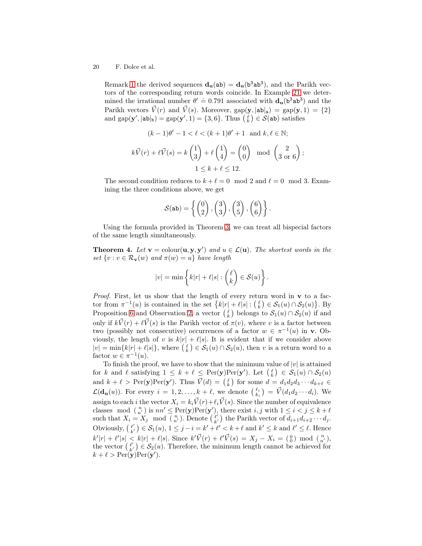Remark [1](#page-3-2) the derived sequences  $d_u(ab) = d_u(b^3ab^3)$ , and the Parikh vectors of the corresponding return words coincide. In Example [21](#page-16-0) we determined the irrational number  $\theta' = 0.791$  associated with  $d_u(b^3ab^3)$  and the Parikh vectors  $\vec{V}(r)$  and  $\vec{V}(s)$ . Moreover,  $\text{gap}(\mathbf{y}, |\mathbf{a}\mathbf{b}|_{\mathbf{a}}) = \text{gap}(\mathbf{y}, 1) = \{2\}$ and  $\text{gap}(\mathbf{y}',|\mathbf{ab}|_{\mathbf{b}}) = \text{gap}(\mathbf{y}',1) = \{3,6\}$ . Thus  $\left(\frac{\ell}{k}\right) \in \mathcal{S}(\mathbf{ab})$  satisfies

$$
(k-1)\theta' - 1 < \ell < (k+1)\theta' + 1 \quad \text{and } k, \ell \in \mathbb{N};
$$
\n
$$
k\vec{V}(r) + \ell\vec{V}(s) = k\begin{pmatrix} 1 \\ 3 \end{pmatrix} + \ell\begin{pmatrix} 1 \\ 4 \end{pmatrix} = \begin{pmatrix} 0 \\ 0 \end{pmatrix} \mod \begin{pmatrix} 2 \\ 3 \text{ or } 6 \end{pmatrix};
$$
\n
$$
1 \le k + \ell \le 12.
$$

The second condition reduces to  $k + \ell = 0 \mod 2$  and  $\ell = 0 \mod 3$ . Examining the three conditions above, we get

$$
\mathcal{S}(\mathtt{ab}) = \left\{ \begin{pmatrix} 0 \\ 2 \end{pmatrix}, \begin{pmatrix} 3 \\ 3 \end{pmatrix}, \begin{pmatrix} 3 \\ 5 \end{pmatrix}, \begin{pmatrix} 6 \\ 6 \end{pmatrix} \right\}.
$$

<span id="page-19-0"></span>Using the formula provided in Theorem [3,](#page-13-0) we can treat all bispecial factors of the same length simultaneously.

**Theorem 4.** Let  $\mathbf{v} = \text{colour}(\mathbf{u}, \mathbf{y}, \mathbf{y}')$  and  $u \in \mathcal{L}(\mathbf{u})$ . The shortest words in the set  $\{v : v \in \mathcal{R}_{\mathbf{v}}(w) \text{ and } \pi(w) = u\}$  have length

$$
|v| = \min \left\{ k|r| + \ell|s| : \binom{\ell}{k} \in \mathcal{S}(u) \right\}.
$$

*Proof.* First, let us show that the length of every return word in  $\bf{v}$  to a factor from  $\pi^{-1}(u)$  is contained in the set  $\{k|r| + \ell|s| : (\ell_k) \in S_1(u) \cap S_2(u)\}\.$  By Proposition [6](#page-10-0) and Observation [2,](#page-17-3) a vector  $\binom{\ell}{k}$  belongs to  $\mathcal{S}_1(u) \cap \mathcal{S}_2(u)$  if and only if  $k\vec{V}(r) + \ell \vec{V}(s)$  is the Parikh vector of  $\pi(v)$ , where v is a factor between two (possibly not consecutive) occurrences of a factor  $w \in \pi^{-1}(u)$  in **v**. Obviously, the length of v is  $k|r| + \ell|s|$ . It is evident that if we consider above  $|v| = \min\{k|r| + \ell|s|\},\$  where  $\binom{\ell}{k} \in \mathcal{S}_1(u) \cap \mathcal{S}_2(u)$ , then v is a return word to a factor  $w \in \pi^{-1}(u)$ .

<span id="page-19-1"></span>To finish the proof, we have to show that the minimum value of  $|v|$  is attained for k and l satisfying  $1 \leq k + \ell \leq \text{Per}(\mathbf{y})\text{Per}(\mathbf{y}')$ . Let  $\binom{\ell}{k} \in \mathcal{S}_1(u) \cap \mathcal{S}_2(u)$ and  $k + \ell > \text{Per}(\mathbf{y})\text{Per}(\mathbf{y}')$ . Thus  $\vec{V}(d) = \begin{pmatrix} \ell \\ k \end{pmatrix}$  for some  $d = d_1d_2d_3\cdots d_{k+\ell}$  $\mathcal{L}(\mathbf{d}_{\mathbf{u}}(u))$ . For every  $i = 1, 2, ..., k + \ell$ , we denote  $\binom{\ell_i}{k_i} = \vec{V}(d_1d_2\cdots d_i)$ . We assign to each *i* the vector  $X_i = k_i \vec{V}(r) + \ell_i \vec{V}(s)$ . Since the number of equivalence classes mod  $\binom{n}{n'}$  is  $nn' \leq \text{Per}(\mathbf{y})\text{Per}(\mathbf{y}')$ , there exist  $i, j$  with  $1 \leq i < j \leq k + \ell$ such that  $X_i = X_j \mod \binom{n}{n'}$ . Denote  $\binom{\ell'}{\ell'}$  $\binom{\ell'}{k'}$  the Parikh vector of  $d_{i+1}d_{i+2}\cdots d_j$ . Obviously,  $\begin{pmatrix} \ell' \\ \ell' \end{pmatrix}$  $\binom{\ell'}{k'} \in \mathcal{S}_1(u), 1 \leq j - i = k' + \ell' < k + \ell \text{ and } k' \leq k \text{ and } \ell' \leq \ell.$  Hence  $k'|r| + \ell' |s| \leq k|r| + \ell |s|$ . Since  $k'\vec{V}(r) + \ell' \vec{V}(s) = X_j - X_i = \begin{pmatrix} 0 \\ 0 \end{pmatrix}$  mod  $\begin{pmatrix} n \\ n' \end{pmatrix}$ , the vector  $\left(\begin{array}{c} \ell' \\ \nu' \end{array}\right)$  $\ell'$   $\in$   $\mathcal{S}_2(u)$ . Therefore, the minimum length cannot be achieved for  $k + \ell > \text{Per}(\mathbf{y})\text{Per}(\mathbf{y}').$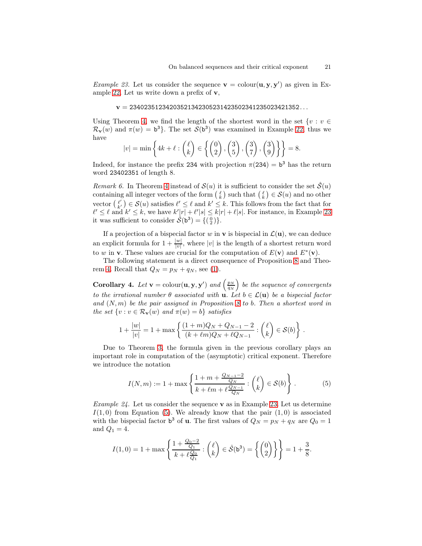*Example 23.* Let us consider the sequence  $\mathbf{v} = \text{colour}(\mathbf{u}, \mathbf{y}, \mathbf{y}')$  as given in Example [22.](#page-18-0) Let us write down a prefix of v,

$$
\mathbf{v}=23402351234203521342305231423502341235023421352\ldots
$$

Using Theorem [4,](#page-19-0) we find the length of the shortest word in the set  $\{v : v \in \mathbb{R}\}$  $\mathcal{R}_{\mathbf{v}}(w)$  and  $\pi(w) = \mathbf{b}^3$ . The set  $\mathcal{S}(\mathbf{b}^3)$  was examined in Example [22,](#page-18-0) thus we have  $\mathcal{L}(\mathbf{x})$  $\sim$   $\sim$   $\sim$   $\sim$ 

$$
|v| = \min\left\{4k + \ell : \binom{\ell}{k} \in \left\{\binom{0}{2}, \binom{3}{5}, \binom{3}{7}, \binom{3}{9}\right\}\right\} = 8.
$$

Indeed, for instance the prefix 234 with projection  $\pi(234) = b^3$  has the return word 23402351 of length 8.

<span id="page-20-2"></span>Remark 6. In Theorem [4](#page-19-0) instead of  $\mathcal{S}(u)$  it is sufficient to consider the set  $\hat{\mathcal{S}}(u)$ containing all integer vectors of the form  $\binom{\ell}{k}$  such that  $\binom{\ell}{k} \in \mathcal{S}(u)$  and no other vector  $\begin{pmatrix} \ell' \\ k' \end{pmatrix}$  $\ell'_{k'}$   $\in \mathcal{S}(u)$  satisfies  $\ell' \leq \ell$  and  $k' \leq k$ . This follows from the fact that for  $\ell' \leq \ell$  and  $k' \leq k$ , we have  $k'[r] + \ell' |s| \leq k|r| + \ell |s|$ . For instance, in Example [23](#page-19-1) it was sufficient to consider  $\hat{\mathcal{S}}(\mathbf{b}^3) = \{(\begin{smallmatrix}0\\2\end{smallmatrix})\}.$ 

If a projection of a bispecial factor w in **v** is bispecial in  $\mathcal{L}(\mathbf{u})$ , we can deduce an explicit formula for  $1 + \frac{|w|}{|v|}$ , where |v| is the length of a shortest return word to w in **v**. These values are crucial for the computation of  $E(\mathbf{v})$  and  $E^*(\mathbf{v})$ .

<span id="page-20-1"></span>The following statement is a direct consequence of Proposition [8](#page-15-0) and Theo-rem [4.](#page-19-0) Recall that  $Q_N = p_N + q_N$ , see [\(1\)](#page-15-2).

**Corollary 4.** Let  $\mathbf{v} = \text{colour}(\mathbf{u}, \mathbf{y}, \mathbf{y}')$  and  $\left(\frac{p_N}{q_N}\right)$  be the sequence of convergents to the irrational number  $\theta$  associated with **u**. Let  $b \in \mathcal{L}(\mathbf{u})$  be a bispecial factor and  $(N, m)$  be the pair assigned in Proposition [8](#page-15-0) to b. Then a shortest word in the set  $\{v : v \in \mathcal{R}_{\mathbf{v}}(w) \text{ and } \pi(w) = b\}$  satisfies

$$
1 + \frac{|w|}{|v|} = 1 + \max\left\{\frac{(1+m)Q_N + Q_{N-1} - 2}{(k+\ell m)Q_N + \ell Q_{N-1}} : \binom{\ell}{k} \in \mathcal{S}(b)\right\}.
$$

Due to Theorem [3,](#page-13-0) the formula given in the previous corollary plays an important role in computation of the (asymptotic) critical exponent. Therefore we introduce the notation

<span id="page-20-0"></span>
$$
I(N,m) := 1 + \max\left\{\frac{1 + m + \frac{Q_{N-1} - 2}{Q_N}}{k + \ell m + \ell \frac{Q_{N-1}}{Q_N}} : \binom{\ell}{k} \in \mathcal{S}(b)\right\}.
$$
 (5)

*Example 24.* Let us consider the sequence **v** as in Example [23.](#page-19-1) Let us determine  $I(1,0)$  from Equation [\(5\)](#page-20-0). We already know that the pair  $(1,0)$  is associated with the bispecial factor  $\mathbf{b}^3$  of **u**. The first values of  $Q_N = p_N + q_N$  are  $Q_0 = 1$ and  $Q_1 = 4$ .

$$
I(1,0) = 1 + \max\left\{\frac{1 + \frac{Q_0 - 2}{Q_1}}{k + \ell \frac{Q_0}{Q_1}} : \binom{\ell}{k} \in \hat{\mathcal{S}}(\mathbf{b}^3) = \left\{ \binom{0}{2} \right\} \right\} = 1 + \frac{3}{8}.
$$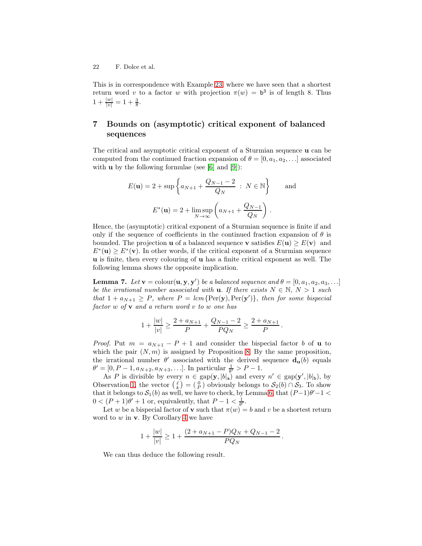This is in correspondence with Example [23,](#page-19-1) where we have seen that a shortest return word v to a factor w with projection  $\pi(w) = \mathbf{b}^3$  is of length 8. Thus  $1 + \frac{|w|}{|v|} = 1 + \frac{3}{8}.$ 

# <span id="page-21-1"></span>7 Bounds on (asymptotic) critical exponent of balanced sequences

The critical and asymptotic critical exponent of a Sturmian sequence u can be computed from the continued fraction expansion of  $\theta = [0, a_1, a_2, \ldots]$  associated with  $\bf{u}$  by the following formulae (see [\[6\]](#page-37-4) and [\[9\]](#page-37-14)):

$$
E(\mathbf{u}) = 2 + \sup \left\{ a_{N+1} + \frac{Q_{N-1} - 2}{Q_N} \, : \, N \in \mathbb{N} \right\} \quad \text{and}
$$

$$
E^*(\mathbf{u}) = 2 + \limsup_{N \to \infty} \left( a_{N+1} + \frac{Q_{N-1}}{Q_N} \right).
$$

Hence, the (asymptotic) critical exponent of a Sturmian sequence is finite if and only if the sequence of coefficients in the continued fraction expansion of  $\theta$  is bounded. The projection **u** of a balanced sequence **v** satisfies  $E(\mathbf{u}) \geq E(\mathbf{v})$  and  $E^*(u) \ge E^*(v)$ . In other words, if the critical exponent of a Sturmian sequence u is finite, then every colouring of u has a finite critical exponent as well. The following lemma shows the opposite implication.

**Lemma 7.** Let  $\mathbf{v} = \text{colour}(\mathbf{u}, \mathbf{y}, \mathbf{y}')$  be a balanced sequence and  $\theta = [0, a_1, a_2, a_3, \ldots]$ be the irrational number associated with **u**. If there exists  $N \in \mathbb{N}$ ,  $N > 1$  such that  $1 + a_{N+1} \ge P$ , where  $P = lcm\{Per(y), Per(y')\}$ , then for some bispecial factor  $w$  of  $v$  and a return word  $v$  to  $w$  one has

$$
1 + \frac{|w|}{|v|} \ge \frac{2 + a_{N+1}}{P} + \frac{Q_{N-1} - 2}{PQ_N} \ge \frac{2 + a_{N+1}}{P}.
$$

*Proof.* Put  $m = a_{N+1} - P + 1$  and consider the bispecial factor b of **u** to which the pair  $(N, m)$  is assigned by Proposition [8.](#page-15-0) By the same proposition, the irrational number  $\theta'$  associated with the derived sequence  $\mathbf{d}_{\mathbf{u}}(b)$  equals  $\theta' = [0, P - 1, a_{N+2}, a_{N+3}, \ldots].$  In particular  $\frac{1}{\theta'} > P - 1.$ 

As P is divisible by every  $n \in \text{gap}(\mathbf{y}, |b|_{\mathbf{a}})$  and every  $n' \in \text{gap}(\mathbf{y}', |b|_{\mathbf{b}})$ , by Observation [1,](#page-4-2) the vector  $\binom{\ell}{k} = \binom{0}{P}$  obviously belongs to  $\mathcal{S}_2(b) \cap \mathcal{S}_3$ . To show that it belongs to  $\mathcal{S}_1(b)$  as well, we have to check, by Lemma [6,](#page-17-4) that  $(P-1)\theta'-1 <$  $0 < (P+1)\theta' + 1$  or, equivalently, that  $P-1 < \frac{1}{\theta'}$ .

Let w be a bispecial factor of **v** such that  $\pi(w) = b$  and v be a shortest return word to  $w$  in  $v$ . By Corollary [4](#page-20-1) we have

$$
1 + \frac{|w|}{|v|} \ge 1 + \frac{(2 + a_{N+1} - P)Q_N + Q_{N-1} - 2}{PQ_N}.
$$

<span id="page-21-0"></span>We can thus deduce the following result.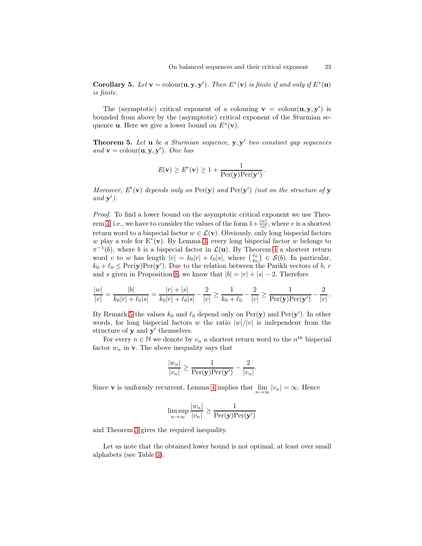**Corollary 5.** Let  $\mathbf{v} = \text{colour}(\mathbf{u}, \mathbf{y}, \mathbf{y}')$ . Then  $E^*(\mathbf{v})$  is finite if and only if  $E^*(\mathbf{u})$ is finite.

The (asymptotic) critical exponent of a colouring  $\mathbf{v} = \text{colour}(\mathbf{u}, \mathbf{y}, \mathbf{y}')$  is bounded from above by the (asymptotic) critical exponent of the Sturmian sequence **u**. Here we give a lower bound on  $E^*(v)$ .

**Theorem 5.** Let  $\bf{u}$  be a Sturmian sequence,  $\bf{y}, \bf{y}'$  two constant gap sequences and  $\mathbf{v} = \text{colour}(\mathbf{u}, \mathbf{y}, \mathbf{y}')$ . One has

$$
E(\mathbf{v}) \ge E^*(\mathbf{v}) \ge 1 + \frac{1}{\text{Per}(\mathbf{y})\text{Per}(\mathbf{y}')}.
$$

Moreover,  $E^*(v)$  depends only on  $\text{Per}(y)$  and  $\text{Per}(y')$  (not on the structure of y and  $\mathbf{y}'$ .

Proof. To find a lower bound on the asymptotic critical exponent we use Theo-rem [3,](#page-13-0) i.e., we have to consider the values of the form  $1 + \frac{|w|}{|v|}$ , where v is a shortest return word to a bispecial factor  $w \in \mathcal{L}(v)$ . Obviously, only long bispecial factors w play a role for  $E^*(v)$ . By Lemma [3,](#page-7-2) every long bispecial factor w belongs to  $\pi^{-1}(b)$ , where b is a bispecial factor in  $\mathcal{L}(\mathbf{u})$ . By Theorem [4](#page-19-0) a shortest return word v to w has length  $|v| = k_0 |r| + \ell_0 |s|$ , where  $\binom{\ell_0}{k_0} \in \mathcal{S}(b)$ . In particular,  $k_0 + \ell_0 \leq \text{Per}(\mathbf{y})\text{Per}(\mathbf{y}')$ . Due to the relation between the Parikh vectors of b, r and s given in Proposition [8,](#page-15-0) we know that  $|b| = |r| + |s| - 2$ . Therefore

$$
\frac{|w|}{|v|} = \frac{|b|}{k_0|r| + \ell_0|s|} = \frac{|r| + |s|}{k_0|r| + \ell_0|s|} - \frac{2}{|v|} \ge \frac{1}{k_0 + \ell_0} - \frac{2}{|v|} \ge \frac{1}{\text{Per}(\mathbf{y})\text{Per}(\mathbf{y}')} - \frac{2}{|v|}.
$$

By Remark [5](#page-18-1) the values  $k_0$  and  $\ell_0$  depend only on  $\text{Per}(\mathbf{y})$  and  $\text{Per}(\mathbf{y}')$ . In other words, for long bispecial factors w the ratio  $|w|/|v|$  is independent from the structure of  $y$  and  $y'$  themselves.

For every  $n \in \mathbb{N}$  we denote by  $v_n$  a shortest return word to the  $n^{th}$  bispecial factor  $w_n$  in  $\mathbf{v}$ . The above inequality says that

$$
\frac{|w_n|}{|v_n|} \ge \frac{1}{\text{Per}(\mathbf{y})\text{Per}(\mathbf{y}')} - \frac{2}{|v_n|}.
$$

Since **v** is uniformly recurrent, Lemma [4](#page-12-0) implies that  $\lim_{n\to\infty} |v_n| = \infty$ . Hence

$$
\limsup_{n \to \infty} \frac{|w_n|}{|v_n|} \ge \frac{1}{\text{Per}(\mathbf{y})\text{Per}(\mathbf{y}')}
$$

and Theorem [3](#page-13-0) gives the required inequality.

Let us note that the obtained lower bound is not optimal, at least over small alphabets (see Table [3\)](#page-36-1).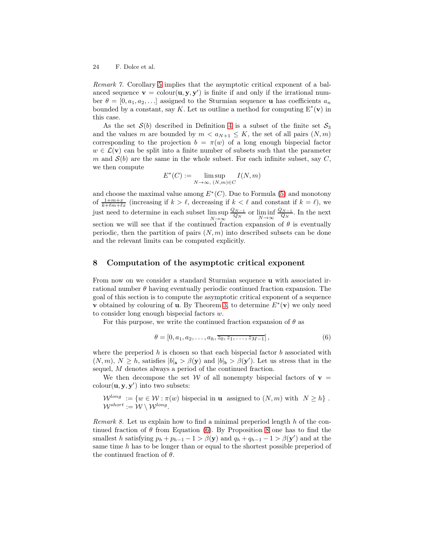Remark 7. Corollary [5](#page-21-0) implies that the asymptotic critical exponent of a balanced sequence  $\mathbf{v} = \text{colour}(\mathbf{u}, \mathbf{y}, \mathbf{y}')$  is finite if and only if the irrational number  $\theta = [0, a_1, a_2, \ldots]$  assigned to the Sturmian sequence **u** has coefficients  $a_n$ bounded by a constant, say K. Let us outline a method for computing  $E^*(v)$  in this case.

As the set  $S(b)$  described in Definition [4](#page-17-5) is a subset of the finite set  $S_3$ and the values m are bounded by  $m < a_{N+1} \leq K$ , the set of all pairs  $(N, m)$ corresponding to the projection  $b = \pi(w)$  of a long enough bispecial factor  $w \in \mathcal{L}(v)$  can be split into a finite number of subsets such that the parameter m and  $S(b)$  are the same in the whole subset. For each infinite subset, say C, we then compute

$$
E^*(C) := \limsup_{N \to \infty, (N,m) \in C} I(N,m)
$$

and choose the maximal value among  $E^*(C)$ . Due to Formula [\(5\)](#page-20-0) and monotony of  $\frac{1+m+x}{k+\ell m+\ell x}$  (increasing if  $k > \ell$ , decreasing if  $k < \ell$  and constant if  $k = \ell$ ), we just need to determine in each subset lim sup  $N\rightarrow\infty$  $Q_{N-1}$  $\frac{N-1}{Q_N}$  or  $\liminf_{N\to\infty}$  $Q_{N-1}$  $\frac{N-1}{Q_N}$ . In the next section we will see that if the continued fraction expansion of  $\theta$  is eventually periodic, then the partition of pairs  $(N, m)$  into described subsets can be done and the relevant limits can be computed explicitly.

#### 8 Computation of the asymptotic critical exponent

From now on we consider a standard Sturmian sequence u with associated irrational number  $\theta$  having eventually periodic continued fraction expansion. The goal of this section is to compute the asymptotic critical exponent of a sequence v obtained by colouring of **u**. By Theorem [3,](#page-13-0) to determine  $E^*(v)$  we only need to consider long enough bispecial factors w.

For this purpose, we write the continued fraction expansion of  $\theta$  as

<span id="page-23-0"></span>
$$
\theta = [0, a_1, a_2, \dots, a_h, \overline{z_0, z_1, \dots, z_{M-1}}],
$$
\n(6)

where the preperiod h is chosen so that each bispecial factor b associated with  $(N, m), N \ge h$ , satisfies  $|b|_a > \beta(y)$  and  $|b|_b > \beta(y')$ . Let us stress that in the sequel, M denotes always a period of the continued fraction.

We then decompose the set W of all nonempty bispecial factors of  $v =$  $\text{colour}(\mathbf{u}, \mathbf{y}, \mathbf{y}')$  into two subsets:

<span id="page-23-1"></span>
$$
\mathcal{W}^{long} := \{ w \in \mathcal{W} : \pi(w) \text{ bispecial in } \mathbf{u} \text{ assigned to } (N,m) \text{ with } N \geq h \} .
$$
  

$$
\mathcal{W}^{short} := \mathcal{W} \setminus \mathcal{W}^{long}.
$$

<span id="page-23-2"></span>Remark 8. Let us explain how to find a minimal preperiod length h of the continued fraction of  $\theta$  from Equation [\(6\)](#page-23-0). By Proposition [8](#page-15-0) one has to find the smallest h satisfying  $p_h + p_{h-1} - 1 > \beta(y)$  and  $q_h + q_{h-1} - 1 > \beta(y')$  and at the same time  $h$  has to be longer than or equal to the shortest possible preperiod of the continued fraction of  $\theta$ .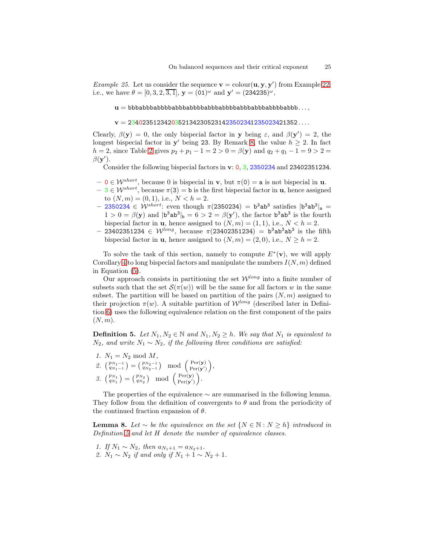*Example 25.* Let us consider the sequence  $\mathbf{v} = \text{colour}(\mathbf{u}, \mathbf{y}, \mathbf{y}')$  from Example [22,](#page-18-0) i.e., we have  $\theta = [0, 3, 2, \overline{3, 1}],$   $\mathbf{y} = (01)^{\omega}$  and  $\mathbf{y}' = (234235)^{\omega}$ ,

 $u = bbbabbbabbabbabbbabbbbabbabbabbabbabbabbabbabbabbab$ babb $b$ abbbabbbabbbabbbabbb $\dots$ ,

 $v = 23402351234203521342305231423502341235023421352...$ 

Clearly,  $\beta(y) = 0$ , the only bispecial factor in y being  $\varepsilon$ , and  $\beta(y') = 2$ , the longest bispecial factor in  $y'$  being 23. By Remark [8,](#page-23-1) the value  $h \geq 2$ . In fact h = [2](#page-26-0), since Table 2 gives  $p_2 + p_1 - 1 = 2 > 0 = \beta(y)$  and  $q_2 + q_1 - 1 = 9 > 2 =$  $\beta(\mathbf{y}^{\prime}).$ 

Consider the following bispecial factors in v: 0, 3, 2350234 and 23402351234.

- $-0 \in W^{short}$ , because 0 is bispecial in **v**, but  $\pi(0) = a$  is not bispecial in **u**.
- $-3 \in W^{short}$ , because  $\pi(3) = \mathbf{b}$  is the first bispecial factor in **u**, hence assigned to  $(N, m) = (0, 1)$ , i.e.,  $N < h = 2$ .
- $-$  2350234  $\in$  W<sup>short</sup>: even though  $\pi$ (2350234) = b<sup>3</sup>ab<sup>3</sup> satisfies  $|b^3ab^3|_a$  =  $1 > 0 = \beta(\mathbf{y})$  and  $|\mathbf{b}^3 \mathbf{a} \mathbf{b}^3|_{\mathbf{b}} = 6 > 2 = \beta(\mathbf{y}'),$  the factor  $\mathbf{b}^3 \mathbf{a} \mathbf{b}^3$  is the fourth bispecial factor in **u**, hence assigned to  $(N, m) = (1, 1)$ , i.e.,  $N < h = 2$ .
- $-$  23402351234 ∈ W<sup>long</sup>, because π(23402351234) = b<sup>3</sup>ab<sup>3</sup>ab<sup>3</sup> is the fifth bispecial factor in **u**, hence assigned to  $(N, m) = (2, 0)$ , i.e.,  $N \ge h = 2$ .

To solve the task of this section, namely to compute  $E^*(v)$ , we will apply Corollary [4](#page-20-1) to long bispecial factors and manipulate the numbers  $I(N, m)$  defined in Equation [\(5\)](#page-20-0).

Our approach consists in partitioning the set  $\mathcal{W}^{long}$  into a finite number of subsets such that the set  $\mathcal{S}(\pi(w))$  will be the same for all factors w in the same subset. The partition will be based on partition of the pairs  $(N, m)$  assigned to their projection  $\pi(w)$ . A suitable partition of  $\mathcal{W}^{long}$  (described later in Definition [6\)](#page-25-0) uses the following equivalence relation on the first component of the pairs  $(N, m).$ 

<span id="page-24-0"></span>**Definition 5.** Let  $N_1, N_2 \in \mathbb{N}$  and  $N_1, N_2 \geq h$ . We say that  $N_1$  is equivalent to  $N_2$ , and write  $N_1 \sim N_2$ , if the following three conditions are satisfied:

- 1.  $N_1 = N_2 \text{ mod } M$ ,
- 2.  $\binom{p_{N_1-1}}{q_{N_1-1}} = \binom{p_{N_2-1}}{q_{N_2-1}} \mod \binom{\text{Per}(\mathbf{y})}{\text{Per}(\mathbf{y}')}.$  $\frac{\text{Per}(\mathbf{y})}{\text{Per}(\mathbf{y}')}$ , 3.  $\binom{p_{N_1}}{q_{N_1}} = \binom{p_{N_2}}{q_{N_2}} \mod \binom{\text{Per}(\mathbf{y})}{\text{Per}(\mathbf{y}')$  $\frac{\text{Per}(\mathbf{y})}{\text{Per}(\mathbf{y}')}$ .

The properties of the equivalence  $\sim$  are summarised in the following lemma. They follow from the definition of convergents to  $\theta$  and from the periodicity of the continued fraction expansion of  $\theta$ .

**Lemma 8.** Let ∼ be the equivalence on the set  $\{N \in \mathbb{N} : N \ge h\}$  introduced in Definition [5](#page-24-0) and let H denote the number of equivalence classes.

1. If  $N_1 \sim N_2$ , then  $a_{N_1+1} = a_{N_2+1}$ . 2.  $N_1 \sim N_2$  if and only if  $N_1 + 1 \sim N_2 + 1$ .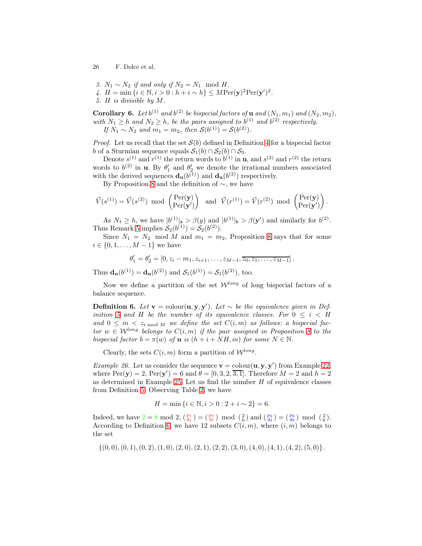- 3.  $N_1 \sim N_2$  if and only if  $N_2 = N_1 \mod H$ .
- 4.  $H = \min \{ i \in \mathbb{N}, i > 0 : h + i \sim h \} \leq M \text{Per}(\mathbf{y})^2 \text{Per}(\mathbf{y}')^2.$
- <span id="page-25-1"></span>5. H is divisible by M.

**Corollary 6.** Let  $b^{(1)}$  and  $b^{(2)}$  be bispecial factors of **u** and  $(N_1, m_1)$  and  $(N_2, m_2)$ , with  $N_1 \geq h$  and  $N_2 \geq h$ , be the pairs assigned to  $b^{(1)}$  and  $b^{(2)}$  respectively. If  $N_1 \sim N_2$  and  $m_1 = m_2$ , then  $\mathcal{S}(b^{(1)}) = \mathcal{S}(b^{(2)})$ .

*Proof.* Let us recall that the set  $S(b)$  defined in Definition [4](#page-17-5) for a bispecial factor b of a Sturmian sequence equals  $S_1(b) \cap S_2(b) \cap S_3$ .

Denote  $s^{(1)}$  and  $r^{(1)}$  the return words to  $b^{(1)}$  in **u**, and  $s^{(2)}$  and  $r^{(2)}$  the return words to  $b^{(2)}$  in **u**. By  $\theta'_1$  and  $\theta'_2$  we denote the irrational numbers associated with the derived sequences  $\mathbf{d}_{\mathbf{u}}(b^{(1)})$  and  $\mathbf{d}_{\mathbf{u}}(b^{(2)})$  respectively.

By Proposition [8](#page-15-0) and the definition of ∼, we have

$$
\vec{V}(s^{(1)}) = \vec{V}(s^{(2)}) \text{ mod } \begin{pmatrix} \text{Per}(\mathbf{y}) \\ \text{Per}(\mathbf{y}') \end{pmatrix} \text{ and } \vec{V}(r^{(1)}) = \vec{V}(r^{(2)}) \text{ mod } \begin{pmatrix} \text{Per}(\mathbf{y}) \\ \text{Per}(\mathbf{y}') \end{pmatrix}.
$$

As  $N_1 \geq h$ , we have  $|b^{(1)}|_{\mathbf{a}} > \beta(y)$  and  $|b^{(1)}|_{\mathbf{b}} > \beta(y')$  and similarly for  $b^{(2)}$ . Thus Remark [5](#page-18-1) implies  $S_2(b^{(1)}) = S_2(b^{(2)}).$ 

Since  $N_1 = N_2 \mod M$  and  $m_1 = m_2$ , Proposition [8](#page-15-0) says that for some  $i \in \{0, 1, \ldots, M-1\}$  we have

$$
\theta'_1 = \theta'_2 = [0, z_i - m_1, z_{i+1}, \dots, z_{M-1}, \overline{z_0, z_1, \dots, z_{M-1}}].
$$

Thus  $\mathbf{d}_{\mathbf{u}}(b^{(1)}) = \mathbf{d}_{\mathbf{u}}(b^{(2)})$  and  $\mathcal{S}_1(b^{(1)}) = \mathcal{S}_1(b^{(2)})$ , too.

<span id="page-25-0"></span>Now we define a partition of the set  $\mathcal{W}^{long}$  of long bispecial factors of a balance sequence.

**Definition 6.** Let  $\mathbf{v} = \text{colour}(\mathbf{u}, \mathbf{y}, \mathbf{y}')$ . Let  $\sim$  be the equivalence given in Def-inition [5](#page-24-0) and H be the number of its equivalence classes. For  $0 \le i \le H$ and  $0 \leq m \leq z_{i \mod M}$  we define the set  $C(i,m)$  as follows: a bispecial factor  $w \in W^{long}$  belongs to  $C(i, m)$  if the pair assigned in Proposition [8](#page-15-0) to the bispecial factor  $b = \pi(w)$  of **u** is  $(h + i + NH, m)$  for some  $N \in \mathbb{N}$ .

<span id="page-25-2"></span>Clearly, the sets  $C(i, m)$  form a partition of  $\mathcal{W}^{long}$ .

*Example 26.* Let us consider the sequence  $\mathbf{v} = \text{colour}(\mathbf{u}, \mathbf{y}, \mathbf{y}')$  from Example [22,](#page-18-0) where  $\text{Per}(\mathbf{y}) = 2$ ,  $\text{Per}(\mathbf{y}') = 6$  and  $\theta = [0, 3, 2, 3, 1]$ . Therefore  $M = 2$  and  $h = 2$ as determined in Example [25.](#page-23-2) Let us find the number  $H$  of equivalence classes from Definition [5.](#page-24-0) Observing Table [2,](#page-26-0) we have

$$
H = \min\{i \in \mathbb{N}, i > 0 : 2 + i \sim 2\} = 6.
$$

Indeed, we have  $2 = 8 \mod 2$ ,  $\binom{p_1}{q_1} = \binom{p_7}{q_7} \mod \binom{2}{6}$  and  $\binom{p_2}{q_2} = \binom{p_8}{q_8} \mod \binom{2}{6}$ . According to Definition [6,](#page-25-0) we have 12 subsets  $C(i, m)$ , where  $(i, m)$  belongs to the set

$$
\{(0,0), (0,1), (0,2), (1,0), (2,0), (2,1), (2,2), (3,0), (4,0), (4,1), (4,2), (5,0)\}.
$$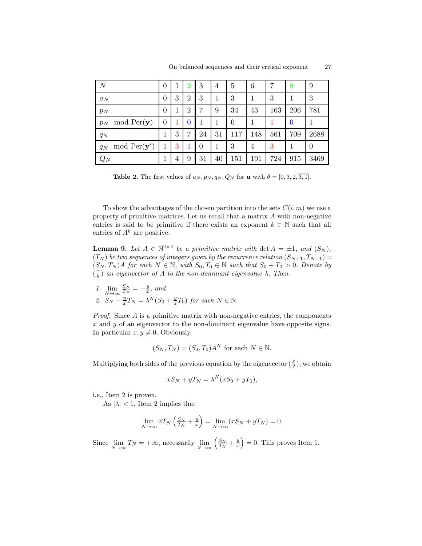| $\overline{N}$                 | $\overline{0}$ | 1 | $\overline{2}$ | 3        | 4  | 5              | 6   | 7   | 8        | 9        |
|--------------------------------|----------------|---|----------------|----------|----|----------------|-----|-----|----------|----------|
| $a_N$                          | $\theta$       | 3 | $\overline{2}$ | 3        |    | 3              | 1   | 3   | 1        | 3        |
| $p_N$                          | $\theta$       | 1 | $\overline{2}$ | 7        | 9  | 34             | 43  | 163 | 206      | 781      |
| mod $Per(\mathbf{y})$<br>$p_N$ | $\overline{0}$ |   | $\overline{0}$ | 1        |    | $\overline{0}$ | 1   |     | $\bf{0}$ |          |
| $q_N$                          | 1              | 3 | 7              | 24       | 31 | 117            | 148 | 561 | 709      | 2688     |
| mod $Per(y')$<br>$q_N$         | 1              | 3 |                | $\Omega$ | 1  | 3              | 4   | 3   | 1        | $\theta$ |
| $Q_N$                          |                | 4 | 9              | 31       | 40 | 151            | 191 | 724 | 915      | 3469     |

<span id="page-26-0"></span>**Table 2.** The first values of  $a_N, p_N, q_N, Q_N$  for **u** with  $\theta = [0, 3, 2, \overline{3, 1}]$ .

To show the advantages of the chosen partition into the sets  $C(i, m)$  we use a property of primitive matrices. Let us recall that a matrix A with non-negative entries is said to be primitive if there exists an exponent  $k \in \mathbb{N}$  such that all entries of  $A^k$  are positive.

**Lemma 9.** Let  $A \in \mathbb{N}^{2 \times 2}$  be a primitive matrix with det  $A = \pm 1$ , and  $(S_N)$ ,  $(T_N)$  be two sequences of integers given by the recurrence relation  $(S_{N+1}, T_{N+1}) =$  $(S_N, T_N)$ A for each  $N \in \mathbb{N}$ , with  $S_0, T_0 \in \mathbb{N}$  such that  $S_0 + T_0 > 0$ . Denote by  $\begin{pmatrix} x \\ y \end{pmatrix}$  an eigenvector of A to the non-dominant eigenvalue  $\lambda$ . Then

1. 
$$
\lim_{N \to \infty} \frac{S_N}{T_N} = -\frac{y}{x}, \text{ and}
$$
  
2. 
$$
S_N + \frac{y}{x}T_N = \lambda^N (S_0 + \frac{y}{x}T_0) \text{ for each } N \in \mathbb{N}.
$$

*Proof.* Since  $A$  is a primitive matrix with non-negative entries, the components  $x$  and  $y$  of an eigenvector to the non-dominant eigenvalue have opposite signs. In particular  $x, y \neq 0$ . Obviously,

$$
(S_N, T_N) = (S_0, T_0)A^N
$$
 for each  $N \in \mathbb{N}$ .

Multiplying both sides of the previous equation by the eigenvector  $(\frac{x}{y})$ , we obtain

$$
xS_N + yT_N = \lambda^N (xS_0 + yT_0),
$$

i.e., Item 2 is proven.

As  $|\lambda| < 1$ , Item 2 implies that

$$
\lim_{N \to \infty} x T_N \left( \frac{S_N}{T_N} + \frac{y}{x} \right) = \lim_{N \to \infty} (x S_N + y T_N) = 0.
$$

<span id="page-26-1"></span>Since  $\lim_{N \to \infty} T_N = +\infty$ , necessarily  $\lim_{N \to \infty}$  $\left(\frac{S_N}{T_N} + \frac{y}{x}\right) = 0$ . This proves Item 1.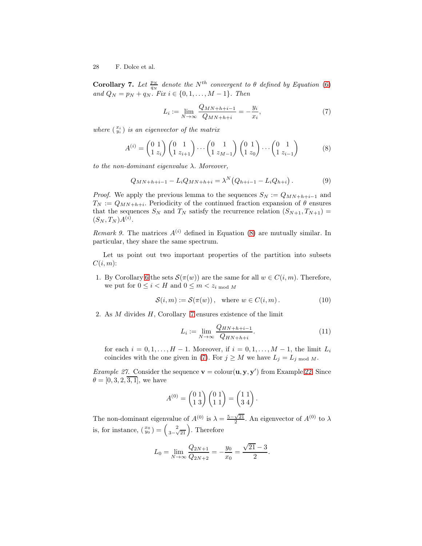**Corollary 7.** Let  $\frac{p_N}{q_N}$  denote the N<sup>th</sup> convergent to  $\theta$  defined by Equation [\(6\)](#page-23-0) and  $Q_N = p_N + q_N$ . Fix  $i \in \{0, 1, ..., M - 1\}$ . Then

<span id="page-27-1"></span>
$$
L_i := \lim_{N \to \infty} \frac{Q_{MN+h+i-1}}{Q_{MN+h+i}} = -\frac{y_i}{x_i},
$$
\n(7)

where  $\begin{pmatrix} x_i \\ y_i \end{pmatrix}$  is an eigenvector of the matrix

<span id="page-27-0"></span>
$$
A^{(i)} = \begin{pmatrix} 0 & 1 \\ 1 & z_i \end{pmatrix} \begin{pmatrix} 0 & 1 \\ 1 & z_{i+1} \end{pmatrix} \cdots \begin{pmatrix} 0 & 1 \\ 1 & z_{M-1} \end{pmatrix} \begin{pmatrix} 0 & 1 \\ 1 & z_0 \end{pmatrix} \cdots \begin{pmatrix} 0 & 1 \\ 1 & z_{i-1} \end{pmatrix}
$$
 (8)

to the non-dominant eigenvalue  $\lambda$ . Moreover,

<span id="page-27-5"></span>
$$
Q_{MN+h+i-1} - L_i Q_{MN+h+i} = \lambda^N (Q_{h+i-1} - L_i Q_{h+i}).
$$
\n(9)

*Proof.* We apply the previous lemma to the sequences  $S_N := Q_{MN+h+i-1}$  and  $T_N := Q_{MN+h+i}$ . Periodicity of the continued fraction expansion of  $\theta$  ensures that the sequences  $S_N$  and  $T_N$  satisfy the recurrence relation  $(S_{N+1}, T_{N+1}) =$  $(S_N, T_N)A^{(i)}$ .

*Remark 9.* The matrices  $A^{(i)}$  defined in Equation [\(8\)](#page-27-0) are mutually similar. In particular, they share the same spectrum.

Let us point out two important properties of the partition into subsets  $C(i, m)$ :

1. By Corollary [6](#page-25-1) the sets  $\mathcal{S}(\pi(w))$  are the same for all  $w \in C(i,m)$ . Therefore, we put for  $0 \leq i < H$  and  $0 \leq m < z_i$  mod M

<span id="page-27-2"></span>
$$
\mathcal{S}(i,m) := \mathcal{S}(\pi(w)), \quad \text{where } w \in C(i,m). \tag{10}
$$

2. As M divides H, Corollary [7](#page-26-1) ensures existence of the limit

<span id="page-27-4"></span>
$$
L_i := \lim_{N \to \infty} \frac{Q_{HN+h+i-1}}{Q_{HN+h+i}}.\tag{11}
$$

for each  $i = 0, 1, \ldots, H - 1$ . Moreover, if  $i = 0, 1, \ldots, M - 1$ , the limit  $L_i$ coincides with the one given in [\(7\)](#page-27-1). For  $j \geq M$  we have  $L_j = L_j$  mod M.

<span id="page-27-3"></span>*Example 27.* Consider the sequence  $\mathbf{v} = \text{colour}(\mathbf{u}, \mathbf{y}, \mathbf{y}')$  from Example [22.](#page-18-0) Since  $\theta = [0, 3, 2, \overline{3, 1}]$ , we have

$$
A^{(0)} = \begin{pmatrix} 0 & 1 \\ 1 & 3 \end{pmatrix} \begin{pmatrix} 0 & 1 \\ 1 & 1 \end{pmatrix} = \begin{pmatrix} 1 & 1 \\ 3 & 4 \end{pmatrix}.
$$

The non-dominant eigenvalue of  $A^{(0)}$  is  $\lambda = \frac{5-\sqrt{21}}{2}$ . An eigenvector of  $A^{(0)}$  to  $\lambda$ is, for instance,  $\left(\begin{array}{c} x_0 \\ y_0 \end{array}\right) = \left(\begin{array}{c} 2 \\ 3-\sqrt{21} \end{array}\right)$ . Therefore

$$
L_0 = \lim_{N \to \infty} \frac{Q_{2N+1}}{Q_{2N+2}} = -\frac{y_0}{x_0} = \frac{\sqrt{21} - 3}{2}.
$$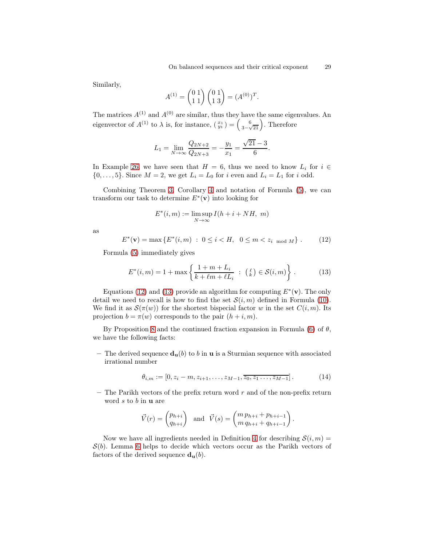Similarly,

$$
A^{(1)} = \begin{pmatrix} 0 & 1 \\ 1 & 1 \end{pmatrix} \begin{pmatrix} 0 & 1 \\ 1 & 3 \end{pmatrix} = (A^{(0)})^T.
$$

The matrices  $A^{(1)}$  and  $A^{(0)}$  are similar, thus they have the same eigenvalues. An eigenvector of  $A^{(1)}$  to  $\lambda$  is, for instance,  $\begin{pmatrix} x_1 \\ y_1 \end{pmatrix} = \begin{pmatrix} 6 \\ 3-\sqrt{21} \end{pmatrix}$ . Therefore

$$
L_1 = \lim_{N \to \infty} \frac{Q_{2N+2}}{Q_{2N+3}} = -\frac{y_1}{x_1} = \frac{\sqrt{21} - 3}{6}.
$$

In Example [26,](#page-25-2) we have seen that  $H = 6$ , thus we need to know  $L_i$  for  $i \in$  $\{0,\ldots,5\}$ . Since  $M=2$ , we get  $L_i=L_0$  for i even and  $L_i=L_1$  for i odd.

Combining Theorem [3,](#page-13-0) Corollary [4](#page-20-1) and notation of Formula [\(5\)](#page-20-0), we can transform our task to determine  $E^*(v)$  into looking for

$$
E^*(i, m) := \limsup_{N \to \infty} I(h + i + NH, m)
$$

as

<span id="page-28-0"></span>
$$
E^*(\mathbf{v}) = \max \{ E^*(i, m) : 0 \le i < H, \ 0 \le m < z_{i \mod M} \} . \tag{12}
$$

Formula [\(5\)](#page-20-0) immediately gives

<span id="page-28-1"></span>
$$
E^*(i, m) = 1 + \max\left\{\frac{1 + m + L_i}{k + \ell m + \ell L_i} : \binom{\ell}{k} \in \mathcal{S}(i, m)\right\}.
$$
 (13)

Equations [\(12\)](#page-28-0) and [\(13\)](#page-28-1) provide an algorithm for computing  $E^*(v)$ . The only detail we need to recall is how to find the set  $S(i, m)$  defined in Formula [\(10\)](#page-27-2). We find it as  $\mathcal{S}(\pi(w))$  for the shortest bispecial factor w in the set  $C(i, m)$ . Its projection  $b = \pi(w)$  corresponds to the pair  $(h + i, m)$ .

By Proposition [8](#page-15-0) and the continued fraction expansion in Formula [\(6\)](#page-23-0) of  $\theta$ , we have the following facts:

– The derived sequence  $\mathbf{d}_{\mathbf{u}}(b)$  to b in **u** is a Sturmian sequence with associated irrational number

<span id="page-28-2"></span>
$$
\theta_{i,m} := [0, z_i - m, z_{i+1}, \dots, z_{M-1}, \overline{z_0, z_1 \dots, z_{M-1}}]. \tag{14}
$$

 $-$  The Parikh vectors of the prefix return word r and of the non-prefix return word s to b in u are

$$
\vec{V}(r) = \begin{pmatrix} p_{h+i} \\ q_{h+i} \end{pmatrix} \text{ and } \vec{V}(s) = \begin{pmatrix} m p_{h+i} + p_{h+i-1} \\ m q_{h+i} + q_{h+i-1} \end{pmatrix}.
$$

<span id="page-28-3"></span>Now we have all ingredients needed in Definition [4](#page-17-5) for describing  $S(i, m)$  =  $S(b)$ . Lemma [6](#page-17-4) helps to decide which vectors occur as the Parikh vectors of factors of the derived sequence  $\mathbf{d}_{\mathbf{u}}(b)$ .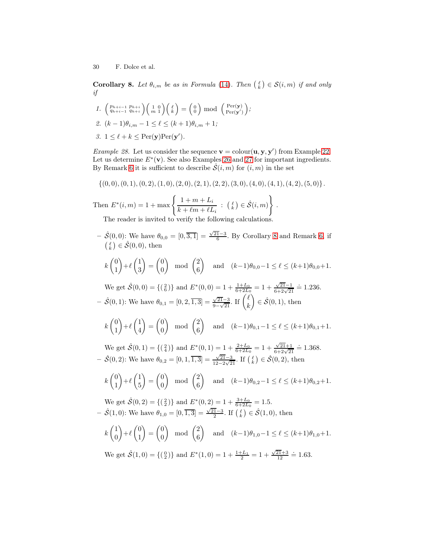**Corollary 8.** Let  $\theta_{i,m}$  be as in Formula [\(14\)](#page-28-2). Then  $\begin{pmatrix} \ell \\ k \end{pmatrix} \in \mathcal{S}(i,m)$  if and only if

1. 
$$
\begin{pmatrix} p_{h+i-1} & p_{h+i} \\ q_{h+i-1} & q_{h+i} \end{pmatrix} \begin{pmatrix} 1 & 0 \\ m & 1 \end{pmatrix} \begin{pmatrix} \ell \\ k \end{pmatrix} = \begin{pmatrix} 0 \\ 0 \end{pmatrix} \text{ mod } \begin{pmatrix} \text{Per}(\mathbf{y}) \\ \text{Per}(\mathbf{y}') \end{pmatrix};
$$
  
2.  $(k-1)\theta_{i,m} - 1 \leq \ell \leq (k+1)\theta_{i,m} + 1;$ 

<span id="page-29-0"></span>3.  $1 \leq \ell + k \leq \text{Per}(\mathbf{y})\text{Per}(\mathbf{y}')$ .

*Example 28.* Let us consider the sequence  $\mathbf{v} = \text{colour}(\mathbf{u}, \mathbf{y}, \mathbf{y}')$  from Example [22.](#page-18-0) Let us determine  $E^*(v)$ . See also Examples [26](#page-25-2) and [27](#page-27-3) for important ingredients. By Remark [6](#page-20-2) it is sufficient to describe  $\mathcal{S}(i,m)$  for  $(i,m)$  in the set

 $\{(0,0), (0,1), (0,2), (1,0), (2,0), (2, 1), (2, 2), (3, 0), (4, 0), (4, 1), (4, 2), (5, 0)\}.$ 

Then  $E^*(i, m) = 1 + \max \left\{ \frac{1 + m + L_i}{1 + \frac{1}{n} + \frac{1}{n}} \right\}$  $\frac{1+m+L_i}{k + \ell m + \ell L_i}$  :  $\begin{pmatrix} \ell \\ k \end{pmatrix} \in \hat{\mathcal{S}}(i,m)$ .

The reader is invited to verify the following calculations.

- $-\hat{\mathcal{S}}(0,0)$ : We have  $\theta_{0,0} = [0,\overline{3,1}] = \frac{\sqrt{21}-3}{6}$ . By Corollary [8](#page-28-3) and Remark [6,](#page-20-2) if  $\left(\begin{smallmatrix}\ell\k\end{smallmatrix}\right)\in\hat{\mathcal{S}}(0,0),$  then
- $k\begin{pmatrix} 0 \\ 1 \end{pmatrix}$ 1  $+\ell\left(\frac{1}{2}\right)$ 3  $=\begin{pmatrix} 0 \\ 0 \end{pmatrix}$  $\theta$  $\mod{2}$ 6 and  $(k-1)\theta_{0,0}-1 \leq \ell \leq (k+1)\theta_{0,0}+1.$ We get  $\hat{S}(0,0) = \{(\begin{matrix} 2 \\ 6 \end{matrix})\}$  and  $E^*(0,0) = 1 + \frac{1+L_0}{6+2L_0} = 1 + \frac{\sqrt{21}-1}{6+2\sqrt{21}} \doteq 1.236$ .  $\hat{S}(0,1)$ : We have  $\theta_{0,1} = [0, 2, \overline{1,3}] = \frac{\sqrt{21}-3}{9-\sqrt{21}}$  $\frac{\sqrt{21}-3}{9-\sqrt{21}}$ . If  $\begin{pmatrix} \ell \\ k \end{pmatrix}$ k  $\Big) \in \hat{\mathcal{S}}(0,1)$ , then  $k\begin{pmatrix} 0 \\ 1 \end{pmatrix}$ 1  $+\ell\left(\frac{1}{4}\right)$ 4  $=\begin{pmatrix} 0 \\ 0 \end{pmatrix}$  $\theta$  $\mod{2}$ 6 and  $(k-1)\theta_{0,1}-1 \leq \ell \leq (k+1)\theta_{0,1}+1.$ We get  $\hat{S}(0,1) = \{(\begin{matrix}2\\4\end{matrix})\}$  and  $E^*(0,1) = 1 + \frac{2+L_0}{6+2L_0} = 1 + \frac{\sqrt{21+1}}{6+2\sqrt{21}} \doteq 1.368$ .  $-\hat{S}(0,2)$ : We have  $\theta_{0,2} = [0,1,\overline{1,3}] = \frac{\sqrt{21}-3}{12-2\sqrt{2}}$  $\frac{\sqrt{21}-3}{12-2\sqrt{21}}$ . If  $(\ell) \in \hat{\mathcal{S}}(0,2)$ , then  $k\begin{pmatrix} 0 \\ 1 \end{pmatrix}$ 1  $+\ell\left(\frac{1}{5}\right)$ 5  $\Big) = \begin{pmatrix} 0 \\ 0 \end{pmatrix}$  $\theta$  $\mod \ \binom{2}{6}$ 6 and  $(k-1)\theta_{0,2}-1 \leq \ell \leq (k+1)\theta_{0,2}+1.$ We get  $\hat{S}(0,2) = \{(\begin{smallmatrix} 2\\2 \end{smallmatrix})\}$  and  $E^*(0,2) = 1 + \frac{3+L_0}{6+2L_0} = 1.5$ .  $-\hat{S}(1,0)$ : We have  $\theta_{1,0} = [0,\overline{1,3}] = \frac{\sqrt{21}-3}{2}$ . If  $\begin{pmatrix} \ell \\ k \end{pmatrix} \in \hat{S}(1,0)$ , then  $k\left(\begin{matrix}1\\0\end{matrix}\right)$  $\theta$  $+\ell\binom{0}{1}$ 1  $=\begin{pmatrix} 0 \\ 0 \end{pmatrix}$  $\theta$  $\mod{2}$ 6 and  $(k-1)\theta_{1,0}-1 \leq \ell \leq (k+1)\theta_{1,0}+1.$ We get  $\hat{S}(1,0) = \{(\begin{smallmatrix} 0 \\ 2 \end{smallmatrix})\}$  and  $E^*(1,0) = 1 + \frac{1+L_1}{2} = 1 + \frac{\sqrt{21}+3}{12} = 1.63$ .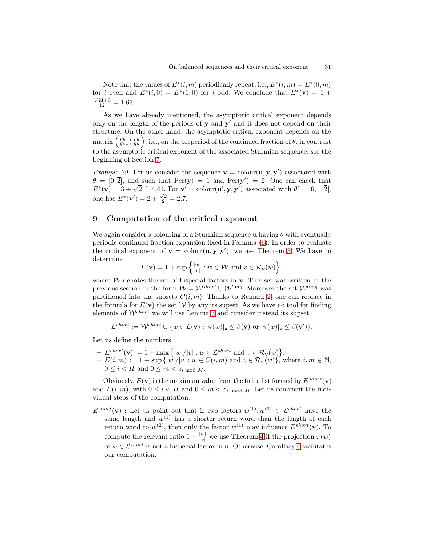Note that the values of  $E^*(i,m)$  periodically repeat, i.e.,  $E^*(i,m) = E^*(0,m)$ for i even and  $E^*(i,0) = E^*(1,0)$  for i odd. We conclude that  $E^*(v) = 1 +$  $\frac{\sqrt{21}+3}{12} \doteq 1.63.$ 

As we have already mentioned, the asymptotic critical exponent depends only on the length of the periods of  $y$  and  $y'$  and it does not depend on their structure. On the other hand, the asymptotic critical exponent depends on the matrix  $\binom{p_{h-1} - p_h}{q_{h-1} - q_h}$ , i.e., on the preperiod of the continued fraction of  $\theta$ , in contrast to the asymptotic critical exponent of the associated Sturmian sequence, see the beginning of Section [7.](#page-21-1)

*Example 29.* Let us consider the sequence  $\mathbf{v} = \text{colour}(\mathbf{u}, \mathbf{y}, \mathbf{y}')$  associated with  $\theta = [0, \overline{2}]$ , and such that  $Per(\mathbf{y}) = 1$  and  $Per(\mathbf{y}') = 2$ . One can check that  $E^*(\mathbf{v}) = 3 + \sqrt{2} \doteq 4.41$ . For  $\mathbf{v}' = \text{colour}(\mathbf{u}', \mathbf{y}, \mathbf{y}')$  associated with  $\theta' = [0, 1, 2]$ , one has  $E^*(v') = 2 + \frac{\sqrt{2}}{2} = 2.7$ .

### 9 Computation of the critical exponent

We again consider a colouring of a Sturmian sequence u having  $\theta$  with eventually periodic continued fraction expansion fixed in Formula [\(6\)](#page-23-0). In order to evaluate the critical exponent of  $\mathbf{v} = \text{colour}(\mathbf{u}, \mathbf{y}, \mathbf{y}')$ , we use Theorem [3.](#page-13-0) We have to determine

$$
E(\mathbf{v}) = 1 + \sup \left\{ \frac{|w|}{|v|} : w \in \mathcal{W} \text{ and } v \in \mathcal{R}_{\mathbf{v}}(w) \right\},\
$$

where  $W$  denotes the set of bispecial factors in  $v$ . This set was written in the previous section in the form  $W = W^{short} \cup W^{long}$ . Moreover the set  $W^{long}$  was partitioned into the subsets  $C(i, m)$ . Thanks to Remark [2,](#page-14-1) one can replace in the formula for  $E(\mathbf{v})$  the set W by any its supset. As we have no tool for finding elements of  $W^{short}$  we will use Lemma [3](#page-7-2) and consider instead its supset

$$
\mathcal{L}^{short} := \mathcal{W}^{short} \cup \{w \in \mathcal{L}(\mathbf{v}) : |\pi(w)|_{\mathbf{a}} \leq \beta(\mathbf{y}) \text{ or } |\pi(w)|_{\mathbf{b}} \leq \beta(\mathbf{y}')\}.
$$

Let us define the numbers

 $-E^{short}(\mathbf{v}) := 1 + \max\{|w|/|v| : w \in \mathcal{L}^{short} \text{ and } v \in \mathcal{R}_{\mathbf{v}}(w)\},$  $- E(i,m) := 1 + \sup{|w|/|v| : w \in C(i,m) \text{ and } v \in \mathcal{R}_{\mathbf{v}}(w)\}\text{, where } i, m \in \mathbb{N},$  $0 \leq i \leq H$  and  $0 \leq m \leq z_{i \mod M}$ .

Obviously,  $E(\mathbf{v})$  is the maximum value from the finite list formed by  $E^{short}(\mathbf{v})$ and  $E(i, m)$ , with  $0 \leq i \leq H$  and  $0 \leq m \leq z_i$  mod M. Let us comment the individual steps of the computation.

 $E^{short}(\mathbf{v})$ : Let us point out that if two factors  $w^{(1)}, w^{(2)} \in \mathcal{L}^{short}$  have the same length and  $w^{(1)}$  has a shorter return word than the length of each return word to  $w^{(2)}$ , then only the factor  $w^{(1)}$  may influence  $E^{short}(\mathbf{v})$ . To compute the relevant ratio  $1 + \frac{|w|}{|v|}$  we use Theorem [4](#page-19-0) if the projection  $\pi(w)$ of  $w \in \mathcal{L}^{short}$  is not a bispecial factor in **u**. Otherwise, Corollary [4](#page-20-1) facilitates our computation.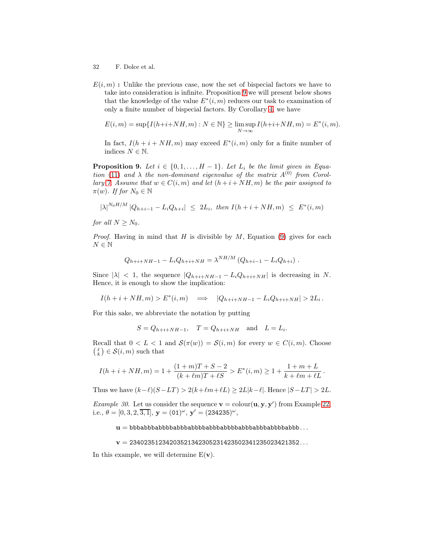- 32 F. Dolce et al.
- $E(i, m)$ : Unlike the previous case, now the set of bispecial factors we have to take into consideration is infinite. Proposition [9](#page-31-0) we will present below shows that the knowledge of the value  $E^*(i,m)$  reduces our task to examination of only a finite number of bispecial factors. By Corollary [4,](#page-20-1) we have

$$
E(i, m) = \sup\{I(h+i+NH, m) : N \in \mathbb{N}\} \ge \limsup_{N \to \infty} I(h+i+NH, m) = E^*(i, m).
$$

In fact,  $I(h + i + NH, m)$  may exceed  $E^*(i,m)$  only for a finite number of indices  $N \in \mathbb{N}$ .

<span id="page-31-0"></span>**Proposition 9.** Let  $i \in \{0, 1, \ldots, H-1\}$ . Let  $L_i$  be the limit given in Equa-tion [\(11\)](#page-27-4) and  $\lambda$  the non-dominant eigenvalue of the matrix  $A^{(0)}$  from Corol-lary [7.](#page-26-1) Assume that  $w \in C(i,m)$  and let  $(h+i+NH, m)$  be the pair assigned to  $\pi(w)$ . If for  $N_0 \in \mathbb{N}$ 

 $|\lambda|^{N_0 H/M} |Q_{h+i-1} - L_i Q_{h+i}| \leq 2L_i$ , then  $I(h+i+NH, m) \leq E^*(i,m)$ 

for all  $N \geq N_0$ .

*Proof.* Having in mind that H is divisible by M, Equation [\(9\)](#page-27-5) gives for each  $N\in\mathbb{N}$ 

$$
Q_{h+i+NH-1} - L_i Q_{h+i+NH} = \lambda^{NH/M} (Q_{h+i-1} - L_i Q_{h+i}) .
$$

Since  $|\lambda| < 1$ , the sequence  $|Q_{h+i+NH-1} - L_i Q_{h+i+NH}|$  is decreasing in N. Hence, it is enough to show the implication:

 $I(h + i + NH, m) > E^*(i, m) \implies |Q_{h+i+NH-1} - L_iQ_{h+i+NH}| > 2L_i.$ 

For this sake, we abbreviate the notation by putting

 $S = Q_{h+i+NH-1}$ ,  $T = Q_{h+i+NH}$  and  $L = L_i$ .

Recall that  $0 < L < 1$  and  $\mathcal{S}(\pi(w)) = \mathcal{S}(i,m)$  for every  $w \in C(i,m)$ . Choose  $\binom{\ell}{k} \in \mathcal{S}(i,m)$  such that

$$
I(h+i+NH,m) = 1 + \frac{(1+m)T + S - 2}{(k + \ell m)T + \ell S} > E^*(i,m) \ge 1 + \frac{1+m+L}{k + \ell m + \ell L}.
$$

Thus we have  $(k-\ell)(S-LT) > 2(k+\ell m+\ell L) \geq 2L|k-\ell|$ . Hence  $|S-LT| > 2L$ .

*Example 30.* Let us consider the sequence  $\mathbf{v} = \text{colour}(\mathbf{u}, \mathbf{y}, \mathbf{y}')$  from Example [22,](#page-18-0) i.e.,  $\theta = [0, 3, 2, \overline{3, 1}],$   $\mathbf{y} = (01)^{\omega},$   $\mathbf{y}' = (234235)^{\omega},$ 

 $u = bbbabbbabbabbabbabbabbabbabbabbabbabbabbabbabbabbb$ abbbabbbabbbabbbabbbabbb...

 $v = 23402351234203521342305231423502341235023421352...$ 

In this example, we will determine  $E(\mathbf{v})$ .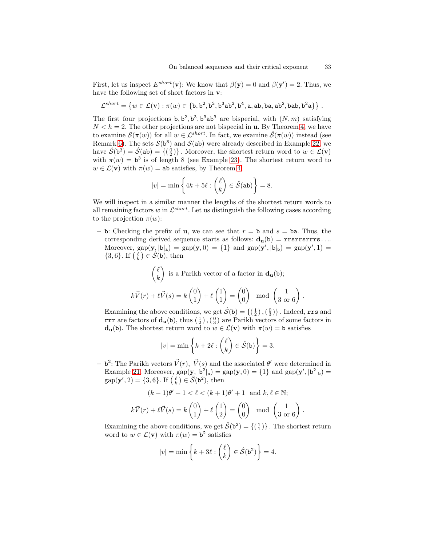First, let us inspect  $E^{short}(\mathbf{v})$ : We know that  $\beta(\mathbf{y}) = 0$  and  $\beta(\mathbf{y}') = 2$ . Thus, we have the following set of short factors in  $\mathbf{v}$ :

$$
\mathcal{L}^{short}=\left\{w\in\mathcal{L}(\mathbf{v}):\pi(w)\in\{\texttt{b},\texttt{b}^2,\texttt{b}^3,\texttt{b}^3\texttt{ab}^3,\texttt{b}^4,\texttt{a},\texttt{ab},\texttt{ba},\texttt{ab}^2,\texttt{bab},\texttt{b}^2\texttt{a}\}\right\}\,.
$$

The first four projections  $b, b^2, b^3, b^3ab^3$  are bispecial, with  $(N, m)$  satisfying  $N < h = 2$ . The other projections are not bispecial in **u**. By Theorem [4,](#page-19-0) we have to examine  $\mathcal{S}(\pi(w))$  for all  $w \in \mathcal{L}^{short}$ . In fact, we examine  $\mathcal{S}(\pi(w))$  instead (see Remark [6\)](#page-20-2). The sets  $S(b^3)$  and  $S(ab)$  were already described in Example [22;](#page-18-0) we have  $\hat{S}(\mathbf{b}^3) = \hat{S}(\mathbf{a}\mathbf{b}) = \{(\begin{pmatrix}0\\2\end{pmatrix}\}\)$ . Moreover, the shortest return word to  $w \in \mathcal{L}(\mathbf{v})$ with  $\pi(w) = b^3$  is of length 8 (see Example [23\)](#page-19-1). The shortest return word to  $w \in \mathcal{L}(\mathbf{v})$  with  $\pi(w) =$  ab satisfies, by Theorem [4,](#page-19-0)

$$
|v| = \min\left\{4k + 5\ell : \binom{\ell}{k} \in \hat{\mathcal{S}}(\texttt{ab})\right\} = 8.
$$

We will inspect in a similar manner the lengths of the shortest return words to all remaining factors w in  $\mathcal{L}^{short}$ . Let us distinguish the following cases according to the projection  $\pi(w)$ :

– b: Checking the prefix of **u**, we can see that  $r = b$  and  $s = ba$ . Thus, the corresponding derived sequence starts as follows:  $d_u(b) = rrsrrsrrs...$ Moreover,  $\text{gap}(\mathbf{y},|\mathbf{b}|_a) = \text{gap}(\mathbf{y},0) = \{1\}$  and  $\text{gap}(\mathbf{y}',|\mathbf{b}|_b) = \text{gap}(\mathbf{y}',1) =$  $\{3,6\}$ . If  $\left(\frac{\ell}{k}\right) \in \hat{\mathcal{S}}(\mathsf{b})$ , then

$$
\begin{pmatrix} \ell \\ k \end{pmatrix}
$$
 is a Parikh vector of a factor in  $\mathbf{d}_{\mathbf{u}}(\mathbf{b})$ ;  

$$
k\vec{V}(r) + \ell \vec{V}(s) = k \begin{pmatrix} 0 \\ 1 \end{pmatrix} + \ell \begin{pmatrix} 1 \\ 1 \end{pmatrix} = \begin{pmatrix} 0 \\ 0 \end{pmatrix} \mod \begin{pmatrix} 1 \\ 3 \text{ or } 6 \end{pmatrix}.
$$

Examining the above conditions, we get  $\hat{\mathcal{S}}(\mathsf{b}) = \{(\begin{smallmatrix}1\\ 2\end{smallmatrix}),(\begin{smallmatrix}0\\ 3\end{smallmatrix})\}$ . Indeed, rrs and  $\texttt{rrr}$  are factors of  $\mathbf{d}_{\mathbf{u}}(\mathsf{b}),$  thus  $(\frac{1}{2})$  ,  $(\frac{0}{3})$  are Parikh vectors of some factors in  $d_u(b)$ . The shortest return word to  $w \in \mathcal{L}(v)$  with  $\pi(w) = b$  satisfies

$$
|v| = \min\left\{k + 2\ell : \binom{\ell}{k} \in \hat{\mathcal{S}}(\mathsf{b})\right\} = 3.
$$

- b<sup>2</sup>: The Parikh vectors  $\vec{V}(r)$ ,  $\vec{V}(s)$  and the associated θ' were determined in Example [21.](#page-16-0) Moreover,  $gap(\mathbf{y}, |\mathbf{b}^2|_{\mathbf{a}}) = gap(\mathbf{y}, 0) = \{1\}$  and  $gap(\mathbf{y}', |\mathbf{b}^2|_{\mathbf{b}}) =$  $\text{gap}(\mathbf{y'}, 2) = \{3, 6\}.$  If  $\begin{pmatrix} \ell \\ k \end{pmatrix} \in \mathcal{S}(\mathbf{b}^2)$ , then

$$
(k-1)\theta' - 1 < \ell < (k+1)\theta' + 1 \quad \text{and } k, \ell \in \mathbb{N};
$$
\n
$$
k\vec{V}(r) + \ell\vec{V}(s) = k\begin{pmatrix} 0 \\ 1 \end{pmatrix} + \ell\begin{pmatrix} 1 \\ 2 \end{pmatrix} = \begin{pmatrix} 0 \\ 0 \end{pmatrix} \mod \begin{pmatrix} 1 \\ 3 \text{ or } 6 \end{pmatrix}
$$

.

Examining the above conditions, we get  $\hat{S}(\mathbf{b}^2) = \{(\begin{smallmatrix}1\\1\end{smallmatrix})\}$ . The shortest return word to  $w \in \mathcal{L}(\mathbf{v})$  with  $\pi(w) = \mathbf{b}^2$  satisfies

$$
|v| = \min\left\{k + 3\ell : \binom{\ell}{k} \in \hat{\mathcal{S}}(\mathsf{b}^2)\right\} = 4.
$$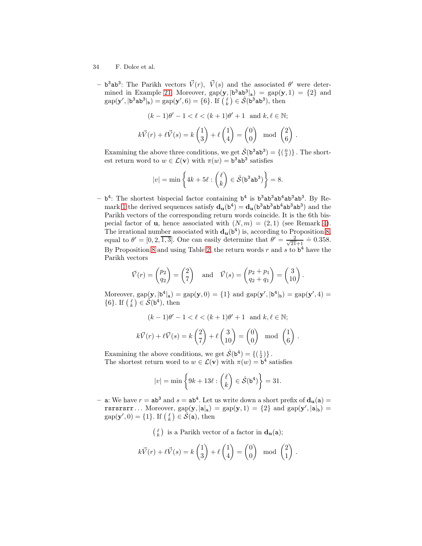- 34 F. Dolce et al.
	- b<sup>3</sup>ab<sup>3</sup>: The Parikh vectors  $\vec{V}(r)$ ,  $\vec{V}(s)$  and the associated θ' were deter-mined in Example [21.](#page-16-0) Moreover,  $\text{gap}(\mathbf{y}, |\mathbf{b}^3 \mathbf{a} \mathbf{b}^3|_{\mathbf{a}}) = \text{gap}(\mathbf{y}, 1) = \{2\}$  and  $\text{gap}(\mathbf{y}', | \mathbf{b}^3 \mathbf{a} \mathbf{b}^3 |_{\mathbf{b}}) = \text{gap}(\mathbf{y}', 6) = \{6\}.$  If  $\left(\begin{matrix} \ell \\ k \end{matrix}\right) \in \hat{\mathcal{S}}(\mathbf{b}^3 \mathbf{a} \mathbf{b}^3)$ , then

$$
(k-1)\theta' - 1 < \ell < (k+1)\theta' + 1 \quad \text{and } k, \ell \in \mathbb{N};
$$
\n
$$
k\vec{V}(r) + \ell \vec{V}(s) = k \begin{pmatrix} 1 \\ 3 \end{pmatrix} + \ell \begin{pmatrix} 1 \\ 4 \end{pmatrix} = \begin{pmatrix} 0 \\ 0 \end{pmatrix} \mod \begin{pmatrix} 2 \\ 6 \end{pmatrix}.
$$

Examining the above three conditions, we get  $\hat{\mathcal{S}}(b^3ab^3) = \{(\begin{smallmatrix}0\\ 2\end{smallmatrix})\}$ . The shortest return word to  $w \in \mathcal{L}(\mathbf{v})$  with  $\pi(w) = \mathbf{b}^3 \mathbf{a} \mathbf{b}^3$  satisfies

$$
|v| = \min\left\{4k + 5\ell : \binom{\ell}{k} \in \hat{\mathcal{S}}(\mathbf{b}^3 \mathbf{a} \mathbf{b}^3)\right\} = 8.
$$

 $- b<sup>4</sup>$ : The shortest bispecial factor containing  $b<sup>4</sup>$  is  $b<sup>3</sup>ab<sup>3</sup>ab<sup>4</sup>ab<sup>3</sup>ab<sup>3</sup>$ . By Re-mark [1](#page-3-2) the derived sequences satisfy  $d_u(b^4) = d_u(b^3ab^3ab^3ab^3)$  and the Parikh vectors of the corresponding return words coincide. It is the 6th bispecial factor of **u**, hence associated with  $(N, m) = (2, 1)$  (see Remark [4\)](#page-16-1). The irrational number associated with  $\mathbf{d}_{\mathbf{u}}(\mathbf{b}^4)$  is, according to Proposition [8,](#page-15-0) equal to  $\theta' = [0, 2, \overline{1, 3}]$ . One can easily determine that  $\theta' = \frac{2}{\sqrt{21}}$  $\frac{2}{21+1} \doteq 0.358.$ By Proposition [8](#page-15-0) and using Table [2,](#page-26-0) the return words r and s to  $b^4$  have the Parikh vectors

$$
\vec{V}(r) = \begin{pmatrix} p_2 \\ q_2 \end{pmatrix} = \begin{pmatrix} 2 \\ 7 \end{pmatrix}
$$
 and  $\vec{V}(s) = \begin{pmatrix} p_2 + p_1 \\ q_2 + q_1 \end{pmatrix} = \begin{pmatrix} 3 \\ 10 \end{pmatrix}$ .

Moreover,  $\text{gap}(\mathbf{y}, |\mathbf{b}^4|_a) = \text{gap}(\mathbf{y}, 0) = \{1\}$  and  $\text{gap}(\mathbf{y}', |\mathbf{b}^4|_b) = \text{gap}(\mathbf{y}', 4) =$ {6}. If  $(\begin{matrix} \ell \\ k \end{matrix}) \in \mathcal{\hat{S}}(\mathbf{b}^4)$ , then

$$
(k-1)\theta' - 1 < \ell < (k+1)\theta' + 1 \quad \text{and } k, \ell \in \mathbb{N};
$$
\n
$$
k\vec{V}(r) + \ell\vec{V}(s) = k\left(\frac{2}{7}\right) + \ell\left(\frac{3}{10}\right) = \begin{pmatrix} 0\\0 \end{pmatrix} \mod \left(\frac{1}{6}\right).
$$

Examining the above conditions, we get  $\hat{\mathcal{S}}(\mathsf{b}^4) = \{(\begin{smallmatrix}1\\2\end{smallmatrix})\}$ . The shortest return word to  $w \in \mathcal{L}(\mathbf{v})$  with  $\pi(w) = \mathbf{b}^4$  satisfies

$$
|v| = \min\left\{9k + 13\ell : \binom{\ell}{k} \in \hat{\mathcal{S}}(\mathbf{b}^4)\right\} = 31.
$$

- a: We have  $r = ab^3$  and  $s = ab^4$ . Let us write down a short prefix of  $d_u(a) =$ rsrssrr... Moreover,  $\text{gap}(\mathbf{y}, |\mathbf{a}|_{\mathbf{a}}) = \text{gap}(\mathbf{y}, 1) = \{2\}$  and  $\text{gap}(\mathbf{y}', |\mathbf{a}|_{\mathbf{b}}) =$  $\text{gap}(\mathbf{y}',0) = \{1\}$ . If  $\begin{pmatrix} \ell \\ k \end{pmatrix} \in \widehat{\mathcal{S}}(\mathbf{a})$ , then

 $\binom{\ell}{k}$  is a Parikh vector of a factor in  $\mathbf{d}_{\mathbf{u}}(\mathbf{a})$ ;

$$
k\vec{V}(r) + \ell \vec{V}(s) = k\begin{pmatrix} 1 \\ 3 \end{pmatrix} + \ell \begin{pmatrix} 1 \\ 4 \end{pmatrix} = \begin{pmatrix} 0 \\ 0 \end{pmatrix} \mod \begin{pmatrix} 2 \\ 1 \end{pmatrix}.
$$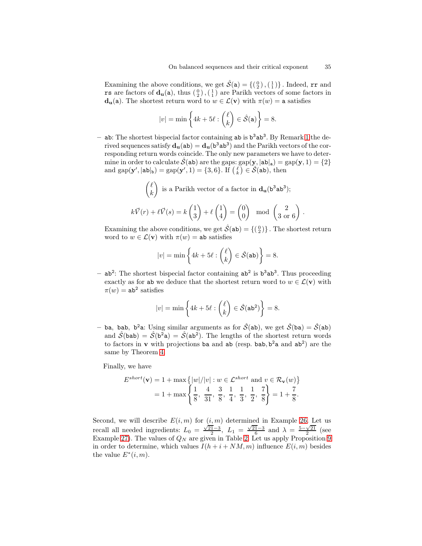Examining the above conditions, we get  $\hat{\mathcal{S}}(\mathbf{a}) = \{(\begin{smallmatrix}0\\2\end{smallmatrix}),(\begin{smallmatrix}1\\1\end{smallmatrix})\}$ . Indeed, rr and **rs** are factors of  $\mathbf{d}_{\mathbf{u}}(\mathbf{a})$ , thus  $\begin{pmatrix} 0 \\ 2 \end{pmatrix}$ ,  $\begin{pmatrix} 1 \\ 1 \end{pmatrix}$  are Parikh vectors of some factors in  $d_u(a)$ . The shortest return word to  $w \in \mathcal{L}(v)$  with  $\pi(w) = a$  satisfies

$$
|v| = \min\left\{4k + 5\ell : \binom{\ell}{k} \in \hat{\mathcal{S}}(\mathsf{a})\right\} = 8.
$$

- ab: The shortest bispecial factor containing ab is  $b^3ab^3$ . By Remark [1](#page-3-2) the derived sequences satisfy  $\mathbf{d}_{\mathbf{u}}(\mathbf{a}\mathbf{b}) = \mathbf{d}_{\mathbf{u}}(\mathbf{b}^3\mathbf{a}\mathbf{b}^3)$  and the Parikh vectors of the corresponding return words coincide. The only new parameters we have to determine in order to calculate  $\mathcal{S}$ (ab) are the gaps:  $gap(\mathbf{y}, |ab|_a) = gap(\mathbf{y}, 1) = \{2\}$ and  $gap(\mathbf{y}', |ab|_{b}) = gap(\mathbf{y}', 1) = \{3, 6\}$ . If  $\begin{pmatrix} \ell \\ k \end{pmatrix} \in \mathcal{S}(\mathbf{ab})$ , then

$$
\binom{\ell}{k}
$$
 is a Parikh vector of a factor in  $\mathbf{d}_{\mathbf{u}}(\mathbf{b}^3 \mathbf{a} \mathbf{b}^3)$ ;  

$$
k\vec{V}(r) + \ell \vec{V}(s) = k \begin{pmatrix} 1 \\ 3 \end{pmatrix} + \ell \begin{pmatrix} 1 \\ 4 \end{pmatrix} = \begin{pmatrix} 0 \\ 0 \end{pmatrix} \mod \begin{pmatrix} 2 \\ 3 \text{ or } 6 \end{pmatrix}.
$$

Examining the above conditions, we get  $\hat{\mathcal{S}}(\texttt{ab}) = \{(\begin{smallmatrix}0\\2\end{smallmatrix})\}$ . The shortest return word to  $w \in \mathcal{L}(\mathbf{v})$  with  $\pi(w) = ab$  satisfies

$$
|v| = \min\left\{4k + 5\ell : \binom{\ell}{k} \in \hat{\mathcal{S}}(\texttt{ab})\right\} = 8.
$$

 $-$  ab<sup>2</sup>: The shortest bispecial factor containing  $ab^2$  is  $b^3ab^3$ . Thus proceeding exactly as for ab we deduce that the shortest return word to  $w \in \mathcal{L}(v)$  with  $\pi(w)$  = ab<sup>2</sup> satisfies

$$
|v| = \min\left\{4k + 5\ell : \binom{\ell}{k} \in \hat{\mathcal{S}}(\mathsf{ab}^2)\right\} = 8.
$$

- ba, bab, b<sup>2</sup>a: Using similar arguments as for  $\hat{S}$ (ab), we get  $\hat{S}$ (ba) =  $\hat{S}$ (ab) and  $\hat{S}$ (bab) =  $\hat{S}$ (b<sup>2</sup>a) =  $\hat{S}$ (ab<sup>2</sup>). The lengths of the shortest return words to factors in **v** with projections ba and ab (resp. bab,  $b^2a$  and  $ab^2$ ) are the same by Theorem [4.](#page-19-0)

Finally, we have

$$
E^{short}(\mathbf{v}) = 1 + \max\left\{ |w|/|v| : w \in \mathcal{L}^{short} \text{ and } v \in \mathcal{R}_{\mathbf{v}}(w) \right\}
$$
  
= 1 + \max\left\{ \frac{1}{8}, \frac{4}{31}, \frac{3}{8}, \frac{1}{4}, \frac{1}{3}, \frac{1}{2}, \frac{7}{8} \right\} = 1 + \frac{7}{8}.

Second, we will describe  $E(i, m)$  for  $(i, m)$  determined in Example [26.](#page-25-2) Let us recall all needed ingredients:  $L_0 = \frac{\sqrt{21}-3}{2}$ ,  $L_1 = \frac{\sqrt{21}-3}{6}$  and  $\lambda = \frac{5-\sqrt{21}}{2}$  (see Example [27\)](#page-27-3). The values of  $Q_N$  are given in Table [2.](#page-26-0) Let us apply Proposition [9](#page-31-0) in order to determine, which values  $I(h + i + NM, m)$  influence  $E(i, m)$  besides the value  $E^*(i,m)$ .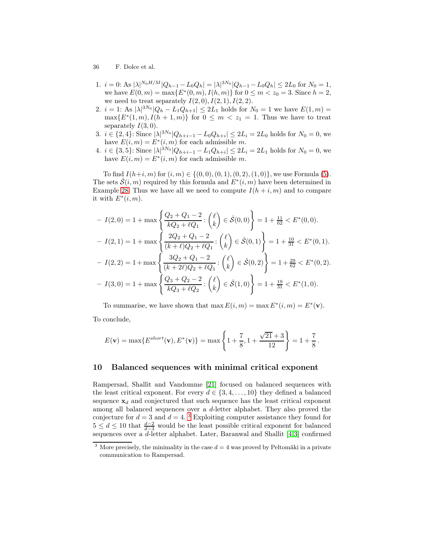- 36 F. Dolce et al.
- 1.  $i = 0$ : As  $|\lambda|^{N_0 H/M} |Q_{h-1} L_0 Q_h| = |\lambda|^{3N_0} |Q_{h-1} L_0 Q_h| \le 2L_0$  for  $N_0 = 1$ , we have  $E(0, m) = \max\{E^*(0, m), I(h, m)\}$  for  $0 \le m < z_0 = 3$ . Since  $h = 2$ , we need to treat separately  $I(2,0), I(2,1), I(2,2)$ .
- 2.  $i = 1$ : As  $|\lambda|^{3N_0} |Q_h L_1 Q_{h+1}| \leq 2L_1$  holds for  $N_0 = 1$  we have  $E(1, m) =$  $\max\{E^*(1,m), I(h+1,m)\}\$  for  $0 \leq m < z_1 = 1$ . Thus we have to treat separately  $I(3,0)$ .
- 3.  $i \in \{2, 4\}$ : Since  $|\lambda|^{3N_0} |Q_{h+i-1} L_0 Q_{h+i}| \le 2L_i = 2L_0$  holds for  $N_0 = 0$ , we have  $E(i, m) = E^*(i, m)$  for each admissible m.
- 4.  $i \in \{3, 5\}$ : Since  $|\lambda|^{3N_0} |Q_{h+i-1} L_1 Q_{h+i}| \leq 2L_i = 2L_1$  holds for  $N_0 = 0$ , we have  $E(i, m) = E^*(i, m)$  for each admissible m.

To find  $I(h+i, m)$  for  $(i, m) \in \{(0, 0), (0, 1), (0, 2), (1, 0)\}$ , we use Formula [\(5\)](#page-20-0). The sets  $\hat{\mathcal{S}}(i,m)$  required by this formula and  $E^*(i,m)$  have been determined in Example [28.](#page-29-0) Thus we have all we need to compute  $I(h + i, m)$  and to compare it with  $E^*(i,m)$ .

$$
I(2,0) = 1 + \max\left\{\frac{Q_2 + Q_1 - 2}{kQ_2 + \ell Q_1} : \begin{pmatrix} \ell \\ k \end{pmatrix} \in \hat{\mathcal{S}}(0,0)\right\} = 1 + \frac{11}{62} < E^*(0,0).
$$
\n
$$
I(2,1) = 1 + \max\left\{\frac{2Q_2 + Q_1 - 2}{(k + \ell)Q_2 + \ell Q_1} : \begin{pmatrix} \ell \\ k \end{pmatrix} \in \hat{\mathcal{S}}(0,1)\right\} = 1 + \frac{10}{31} < E^*(0,1).
$$
\n
$$
I(2,2) = 1 + \max\left\{\frac{3Q_2 + Q_1 - 2}{(k + 2\ell)Q_2 + \ell Q_1} : \begin{pmatrix} \ell \\ k \end{pmatrix} \in \hat{\mathcal{S}}(0,2)\right\} = 1 + \frac{29}{62} < E^*(0,2).
$$
\n
$$
I(3,0) = 1 + \max\left\{\frac{Q_3 + Q_2 - 2}{kQ_3 + \ell Q_2} : \begin{pmatrix} \ell \\ k \end{pmatrix} \in \hat{\mathcal{S}}(1,0)\right\} = 1 + \frac{19}{31} < E^*(1,0).
$$

To summarise, we have shown that  $\max E(i,m) = \max E^*(i,m) = E^*(v)$ . To conclude,

$$
E(\mathbf{v}) = \max\{E^{short}(\mathbf{v}), E^*(\mathbf{v})\} = \max\left\{1 + \frac{7}{8}, 1 + \frac{\sqrt{21} + 3}{12}\right\} = 1 + \frac{7}{8}.
$$

### 10 Balanced sequences with minimal critical exponent

Rampersad, Shallit and Vandomme [\[21\]](#page-38-0) focused on balanced sequences with the least critical exponent. For every  $d \in \{3, 4, \ldots, 10\}$  they defined a balanced sequence  $x_d$  and conjectured that such sequence has the least critical exponent among all balanced sequences over a d-letter alphabet. They also proved the conjecture for  $d = 3$  $d = 3$  and  $d = 4$ . <sup>3</sup> Exploiting computer assistance they found for  $5 \leq d \leq 10$  that  $\frac{d-2}{d-3}$  would be the least possible critical exponent for balanced sequences over a  $d$ -letter alphabet. Later, Baranwal and Shallit [\[4,](#page-37-7)[3\]](#page-37-6) confirmed

<span id="page-35-0"></span><sup>&</sup>lt;sup>3</sup> More precisely, the minimality in the case  $d = 4$  was proved by Peltomäki in a private communication to Rampersad.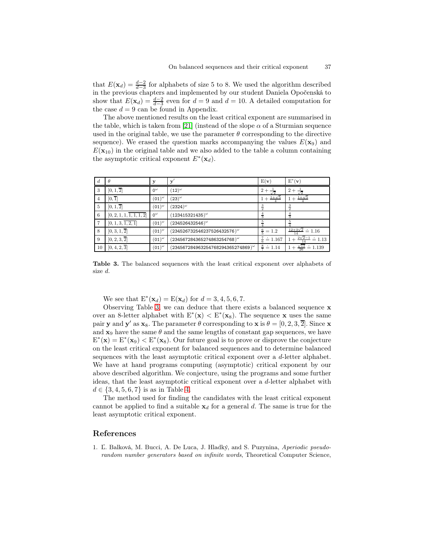that  $E(\mathbf{x}_d) = \frac{d-2}{d-3}$  for alphabets of size 5 to 8. We used the algorithm described in the previous chapters and implemented by our student Daniela Opočenská to show that  $E(\mathbf{x}_d) = \frac{d-2}{d-3}$  even for  $d = 9$  and  $d = 10$ . A detailed computation for the case  $d = 9$  can be found in Appendix.

The above mentioned results on the least critical exponent are summarised in the table, which is taken from [\[21\]](#page-38-0) (instead of the slope  $\alpha$  of a Sturmian sequence used in the original table, we use the parameter  $\theta$  corresponding to the directive sequence). We erased the question marks accompanying the values  $E(\mathbf{x}_9)$  and  $E(\mathbf{x}_{10})$  in the original table and we also added to the table a column containing the asymptotic critical exponent  $E^*(\mathbf{x}_d)$ .

| d. | н                        | у               | у                                         | $E(\mathbf{v})$                | $E^*(v)$                                        |
|----|--------------------------|-----------------|-------------------------------------------|--------------------------------|-------------------------------------------------|
| 3  | [0, 1, 2]                | $0^{\omega}$    | $(12)^{\omega}$                           | $2+$<br>72                     | $2+$<br>$\sqrt{2}$                              |
| 4  | [0, 1]                   | $(01)^{\omega}$ | $(23)^{\omega}$                           | $\frac{1+\sqrt{5}}{4}$<br>$1+$ | $1+\sqrt{5}$                                    |
| 5  | [0, 1, 2]                | $(01)^{\omega}$ | $(2324)^{\omega}$                         |                                | $\frac{3}{2}$                                   |
| 6  | [0, 2, 1, 1, 1, 1, 1, 2] | $0^{\omega}$    | $(123415321435)^\omega$                   |                                | $\frac{4}{3}$                                   |
|    | [0, 1, 3, 1, 2, 1]       | $(01)^{\omega}$ | $(234526432546)^\omega$                   |                                | 5                                               |
| 8  | [0, 3, 1, 2]             | $(01)^{\omega}$ | $(234526732546237526432576)^\omega$       | $\frac{6}{5}$<br>$=1.2$        | $\frac{12+3\sqrt{2}}{14} = 1.16$                |
| 9  | [0, 2, 3, 2]             | $(01)^{\omega}$ | $(234567284365274863254768)^\omega$       | $= 1.167$                      | $\frac{2\sqrt{2}-1}{4} = 1.13$<br>$t + 1$<br>14 |
| 10 | [0, 4, 2, 3]             | $(01)^{\omega}$ | $(234567284963254768294365274869)^\omega$ | ≝<br>$= 1.14$                  | $\frac{\sqrt{13}}{26}$<br>$= 1.139$             |

<span id="page-36-1"></span>Table 3. The balanced sequences with the least critical exponent over alphabets of size d.

We see that  $E^*(\mathbf{x}_d) = E(\mathbf{x}_d)$  for  $d = 3, 4, 5, 6, 7$ .

Observing Table [3,](#page-36-1) we can deduce that there exists a balanced sequence x over an 8-letter alphabet with  $E^*(x) < E^*(x_8)$ . The sequence x uses the same pair **y** and **y'** as  $\mathbf{x}_8$ . The parameter  $\theta$  corresponding to  $\mathbf{x}$  is  $\theta = [0, 2, 3, \overline{2}]$ . Since  $\mathbf{x}$ and  $x_9$  have the same  $\theta$  and the same lengths of constant gap sequences, we have  $E^*(\mathbf{x}) = E^*(\mathbf{x}_9) < E^*(\mathbf{x}_8)$ . Our future goal is to prove or disprove the conjecture on the least critical exponent for balanced sequences and to determine balanced sequences with the least asymptotic critical exponent over a d-letter alphabet. We have at hand programs computing (asymptotic) critical exponent by our above described algorithm. We conjecture, using the programs and some further ideas, that the least asymptotic critical exponent over a d-letter alphabet with  $d \in \{3, 4, 5, 6, 7\}$  is as in Table [4.](#page-37-16)

The method used for finding the candidates with the least critical exponent cannot be applied to find a suitable  $x_d$  for a general d. The same is true for the least asymptotic critical exponent.

### References

<span id="page-36-0"></span>1. Ľ. Balková, M. Bucci, A. De Luca, J. Hladký, and S. Puzynina, Aperiodic pseudorandom number generators based on infinite words, Theoretical Computer Science,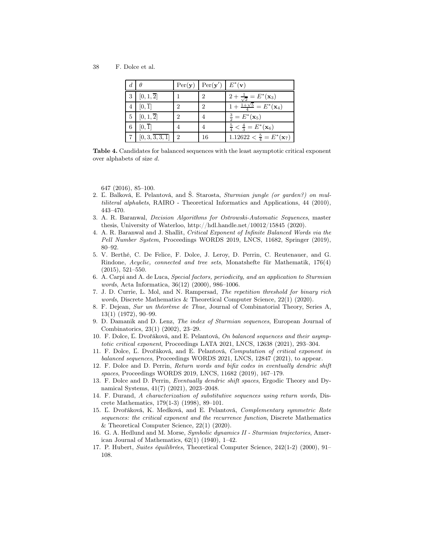38 F. Dolce et al.

| d. |                      |   | $\text{Per}(\mathbf{y})$   $\text{Per}(\mathbf{y}')$   $E^*(\mathbf{v})$ |                                                       |
|----|----------------------|---|--------------------------------------------------------------------------|-------------------------------------------------------|
| 3  | $[0,1,\overline{2}]$ |   |                                                                          | $2+\frac{1}{\sqrt{2}}=E^*(\mathbf{x}_3)$              |
|    | $[0,\overline{1}]$   | 2 | $\Omega$                                                                 | $\overline{1+\frac{1+\sqrt{5}}{4}}=E^*(\mathbf{x}_4)$ |
| 5  | $[0,1,\overline{2}]$ | 2 |                                                                          | $\frac{3}{2} = E^*(\mathbf{x}_5)$                     |
| 6  | $[0,\overline{1}]$   |   |                                                                          | $\frac{5}{4} < \frac{4}{3} = E^*(\mathbf{x}_6)$       |
|    | [0, 3, 3, 3, 1]      | 2 | 16                                                                       | $1.12622 < \frac{5}{4} = E^*(\mathbf{x}_7)$           |

<span id="page-37-16"></span>Table 4. Candidates for balanced sequences with the least asymptotic critical exponent over alphabets of size d.

647 (2016), 85–100.

- <span id="page-37-10"></span>2. Ľ. Balková, E. Pelantová, and Š. Starosta, Sturmian jungle (or garden?) on multiliteral alphabets, RAIRO - Theoretical Informatics and Applications, 44 (2010), 443–470.
- <span id="page-37-6"></span>3. A. R. Baranwal, Decision Algorithms for Ostrowski-Automatic Sequences, master thesis, University of Waterloo, http://hdl.handle.net/10012/15845 (2020).
- <span id="page-37-7"></span>4. A. R. Baranwal and J. Shallit, Critical Exponent of Infinite Balanced Words via the Pell Number System, Proceedings WORDS 2019, LNCS, 11682, Springer (2019), 80–92.
- <span id="page-37-2"></span>5. V. Berthé, C. De Felice, F. Dolce, J. Leroy, D. Perrin, C. Reutenauer, and G. Rindone, Acyclic, connected and tree sets, Monatshefte für Mathematik, 176(4) (2015), 521–550.
- <span id="page-37-4"></span>6. A. Carpi and A. de Luca, Special factors, periodicity, and an application to Sturmian words, Acta Informatica, 36(12) (2000), 986–1006.
- <span id="page-37-5"></span>7. J. D. Currie, L. Mol, and N. Rampersad, The repetition threshold for binary rich words, Discrete Mathematics & Theoretical Computer Science, 22(1) (2020).
- <span id="page-37-3"></span>8. F. Dejean, Sur un théorème de Thue, Journal of Combinatorial Theory, Series A, 13(1) (1972), 90–99.
- <span id="page-37-14"></span>9. D. Damanik and D. Lenz, The index of Sturmian sequences, European Journal of Combinatorics, 23(1) (2002), 23–29.
- <span id="page-37-8"></span>10. F. Dolce, Ľ. Dvořáková, and E. Pelantová, On balanced sequences and their asymptotic critical exponent, Proceedings LATA 2021, LNCS, 12638 (2021), 293–304.
- <span id="page-37-9"></span>11. F. Dolce, Ľ. Dvořáková, and E. Pelantová, Computation of critical exponent in balanced sequences, Proceedings WORDS 2021, LNCS, 12847 (2021), to appear.
- <span id="page-37-13"></span>12. F. Dolce and D. Perrin, Return words and bifix codes in eventually dendric shift spaces, Proceedings WORDS 2019, LNCS, 11682 (2019), 167–179.
- <span id="page-37-12"></span>13. F. Dolce and D. Perrin, Eventually dendric shift spaces, Ergodic Theory and Dynamical Systems, 41(7) (2021), 2023–2048.
- <span id="page-37-11"></span>14. F. Durand, A characterization of substitutive sequences using return words, Discrete Mathematics, 179(1-3) (1998), 89–101.
- <span id="page-37-15"></span>15. Ľ. Dvořáková, K. Medková, and E. Pelantová, Complementary symmetric Rote sequences: the critical exponent and the recurrence function, Discrete Mathematics & Theoretical Computer Science, 22(1) (2020).
- <span id="page-37-0"></span>16. G. A. Hedlund and M. Morse, Symbolic dynamics II - Sturmian trajectories, American Journal of Mathematics, 62(1) (1940), 1–42.
- <span id="page-37-1"></span>17. P. Hubert, Suites équilibrées, Theoretical Computer Science, 242(1-2) (2000), 91– 108.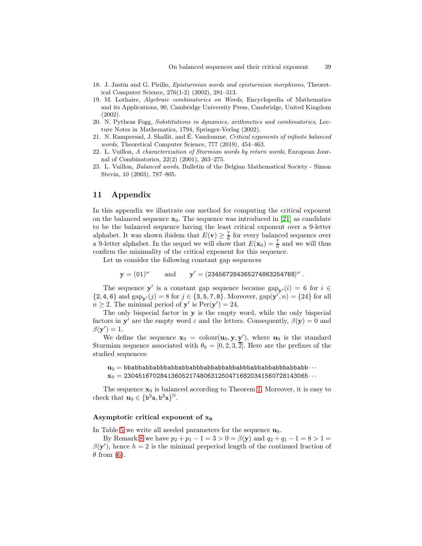- <span id="page-38-5"></span><span id="page-38-4"></span>18. J. Justin and G. Pirillo, Episturmian words and episturmian morphisms, Theoretical Computer Science, 276(1-2) (2002), 281–313.
- 19. M. Lothaire, Algebraic combinatorics on Words, Encyclopedia of Mathematics and its Applications, 90, Cambridge University Press, Cambridge, United Kingdom (2002).
- <span id="page-38-2"></span>20. N. Pytheas Fogg, Substitutions in dynamics, arithmetics and combinatorics, Lecture Notes in Mathematics, 1794, Springer-Verlag (2002).
- <span id="page-38-0"></span>21. N. Rampersad, J. Shallit, and É. Vandomme, Critical exponents of infinite balanced words, Theoretical Computer Science, 777 (2019), 454–463.
- <span id="page-38-3"></span>22. L. Vuillon, A characterization of Sturmian words by return words, European Journal of Combinatorics, 22(2) (2001), 263–275.
- <span id="page-38-1"></span>23. L. Vuillon, Balanced words, Bulletin of the Belgian Mathematical Society - Simon Stevin, 10 (2003), 787–805.

### 11 Appendix

In this appendix we illustrate our method for computing the critical exponent on the balanced sequence  $x_9$ . The sequence was introduced in [\[21\]](#page-38-0) as candidate to be the balanced sequence having the least critical exponent over a 9-letter alphabet. It was shown ibidem that  $E(\mathbf{v}) \geq \frac{7}{6}$  for every balanced sequence over a 9-letter alphabet. In the sequel we will show that  $E(\mathbf{x}_9) = \frac{7}{6}$  and we will thus confirm the minimality of the critical exponent for this sequence.

Let us consider the following constant gap sequences

$$
\mathbf{y} = (01)^{\omega}
$$
 and  $\mathbf{y}' = (234567284365274863254768)^{\omega}$ .

The sequence  $y'$  is a constant gap sequence because  $\text{gap}_{y'}(i) = 6$  for  $i \in$  ${2, 4, 6}$  and  $\text{gap}_{\mathbf{y}'}(j) = 8$  for  $j \in \{3, 5, 7, 8\}$ . Moreover,  $\text{gap}(\mathbf{y}', n) = \{24\}$  for all  $n \geq 2$ . The minimal period of **y'** is  $\text{Per}(\mathbf{y}') = 24$ .

The only bispecial factor in y is the empty word, while the only bispecial factors in  $y'$  are the empty word  $\varepsilon$  and the letters. Consequently,  $\beta(y) = 0$  and  $\beta(\mathbf{y}') = 1.$ 

We define the sequence  $\mathbf{x}_9 = \text{colour}(\mathbf{u}_9, \mathbf{y}, \mathbf{y}')$ , where  $\mathbf{u}_9$  is the standard Sturmian sequence associated with  $\theta_9 = [0, 2, 3, \overline{2}]$ . Here are the prefixes of the studied sequences:

 $\mathbf{u}_9 = \text{bbabbabbabbabbabbabbabbabbabbabbabbabbabbabbabbabb} \cdots$  $\mathbf{x}_9 = 230451670284136052174806312504716820341560728143065\cdots$ 

The sequence  $\mathbf{x}_9$  is balanced according to Theorem [1.](#page-4-1) Moreover, it is easy to check that  $\mathbf{u}_9 \in \{b^2a, b^3a\}^{\mathbb{N}}$ .

#### Asymptotic critical exponent of x<sup>9</sup>

In Table [5](#page-39-0) we write all needed parameters for the sequence  $\mathbf{u}_9$ .

By Remark [8](#page-23-1) we have  $p_2 + p_1 - 1 = 3 > 0 = \beta(y)$  and  $q_2 + q_1 - 1 = 8 > 1 =$  $\beta(\mathbf{y}')$ , hence  $h=2$  is the minimal preperiod length of the continued fraction of  $\theta$  from [\(6\)](#page-23-0).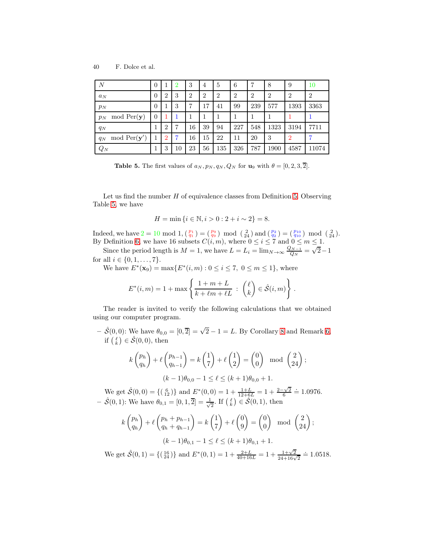| Ν                      | O              |                | 2  | 3              | $\overline{4}$ | 5              | 6   | 7              | 8              | 9              | $10\,$         |
|------------------------|----------------|----------------|----|----------------|----------------|----------------|-----|----------------|----------------|----------------|----------------|
| $a_N$                  | $\theta$       | $\overline{2}$ | 3  | $\overline{2}$ | $\overline{2}$ | $\overline{2}$ | 2   | $\overline{2}$ | $\overline{2}$ | $\overline{2}$ | $\overline{2}$ |
| $p_N$                  | $\overline{0}$ |                | 3  | 7              | 17             | 41             | 99  | 239            | 577            | 1393           | 3363           |
| mod Per(y)<br>$p_N$    | $\overline{0}$ |                | 1  | 1              |                |                |     |                |                |                |                |
| $q_N$                  |                | $\overline{2}$ | 7  | 16             | 39             | 94             | 227 | 548            | 1323           | 3194           | 7711           |
| mod $Per(y')$<br>$q_N$ |                | $\overline{2}$ | 7  | 16             | 15             | 22             | 11  | 20             | 3              | $\overline{2}$ | 7              |
| $Q_N$                  |                | 3              | 10 | 23             | 56             | 135            | 326 | 787            | 1900           | 4587           | 11074          |

<span id="page-39-0"></span>**Table 5.** The first values of  $a_N, p_N, q_N, Q_N$  for  $u_9$  with  $\theta = [0, 2, 3, \overline{2}]$ .

Let us find the number  $H$  of equivalence classes from Definition [5.](#page-24-0) Observing Table [5,](#page-39-0) we have

$$
H = \min\{i \in \mathbb{N}, i > 0 : 2 + i \sim 2\} = 8.
$$

Indeed, we have  $2 = 10 \mod 1$ ,  $\binom{p_1}{q_1} = \binom{p_9}{q_9} \mod \binom{2}{24}$  and  $\binom{p_2}{q_2} = \binom{p_{10}}{q_{10}} \mod \binom{2}{24}$ . By Definition [6,](#page-25-0) we have 16 subsets  $C(i, m)$ , where  $0 \leq i \leq 7$  and  $0 \leq m \leq 1$ .

Since the period length is  $M = 1$ , we have  $L = L_i = \lim_{N \to \infty} \frac{Q_{N-1}}{Q_N}$  $\frac{Q_{N-1}}{Q_N} = \sqrt{2} - 1$ for all  $i \in \{0, 1, ..., 7\}$ .

We have  $E^*(\mathbf{x}_9) = \max\{E^*(i, m) : 0 \le i \le 7, 0 \le m \le 1\}$ , where

$$
E^*(i,m) = 1 + \max\left\{\frac{1+m+L}{k+\ell m+\ell L} : \begin{pmatrix} \ell \\ k \end{pmatrix} \in \hat{\mathcal{S}}(i,m)\right\}.
$$

The reader is invited to verify the following calculations that we obtained using our computer program.

 $-\hat{\mathcal{S}}(0,0)$ : We have  $\theta_{0,0} = [0,\overline{2}] = \sqrt{2} - 1 = L$ . By Corollary [8](#page-28-3) and Remark [6,](#page-20-2) if  $\binom{\ell}{k} \in \hat{\mathcal{S}}(0,0)$ , then

$$
k\begin{pmatrix}p_h\\q_h\end{pmatrix} + \ell\begin{pmatrix}p_{h-1}\\q_{h-1}\end{pmatrix} = k\begin{pmatrix}1\\7\end{pmatrix} + \ell\begin{pmatrix}1\\2\end{pmatrix} = \begin{pmatrix}0\\0\end{pmatrix} \mod \begin{pmatrix}2\\24\end{pmatrix};
$$

$$
(k-1)\theta_{0,0} - 1 \le \ell \le (k+1)\theta_{0,0} + 1.
$$

We get  $\hat{S}(0,0) = \{(\begin{array}{c} 6 \\ 12 \end{array})\}$  and  $E^*(0,0) = 1 + \frac{1+L}{12+6L} = 1 + \frac{2-\sqrt{2}}{6} \doteq 1.0976$ .  $- \hat{S}(0,1)$ : We have  $\theta_{0,1} = [0,1,\overline{2}] = \frac{1}{\sqrt{2}}$  $\frac{1}{2}$ . If  $\left(\begin{array}{c} \ell \\ k \end{array}\right) \in \hat{\mathcal{S}}(0,1)$ , then

$$
k \binom{p_h}{q_h} + \ell \binom{p_h + p_{h-1}}{q_h + q_{h-1}} = k \binom{1}{7} + \ell \binom{0}{9} = \binom{0}{0} \mod \binom{2}{24};
$$
  

$$
(k-1)\theta_{0,1} - 1 \le \ell \le (k+1)\theta_{0,1} + 1.
$$

We get  $\hat{S}(0,1) = \{(\frac{16}{24})\}$  and  $E^*(0,1) = 1 + \frac{2+L}{40+16L} = 1 + \frac{1+\sqrt{2}}{24+16\sqrt{2}} = 1.0518$ .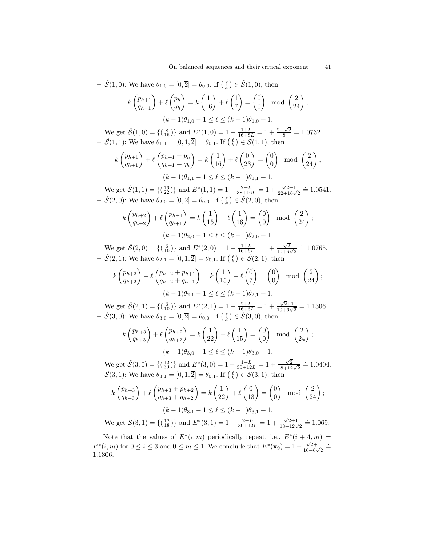$$
-\hat{\mathcal{S}}(1,0): \text{ We have } \theta_{1,0} = [0,\overline{2}] = \theta_{0,0}. \text{ If } \begin{pmatrix} \ell \\ k \end{pmatrix} \in \hat{\mathcal{S}}(1,0), \text{ then}
$$

$$
k\begin{pmatrix}p_{h+1} \ q_{h+1}\end{pmatrix} + \ell\begin{pmatrix}p_h \ q_h\end{pmatrix} = k\begin{pmatrix}1 \ 16\end{pmatrix} + \ell\begin{pmatrix}1 \ 7\end{pmatrix} = \begin{pmatrix}0 \ 0\end{pmatrix} \mod \begin{pmatrix}2 \ 24\end{pmatrix};
$$
  
\n
$$
(k-1)\theta_{1,0} - 1 \leq \ell \leq (k+1)\theta_{1,0} + 1.
$$

We get  $\hat{S}(1,0) = \{(\begin{smallmatrix}8\\16\end{smallmatrix})\}$  and  $E^*(1,0) = 1 + \frac{1+L}{16+8L} = 1 + \frac{2-\sqrt{2}}{8} \doteq 1.0732$ .  $-\hat{S}(1,1)$ : We have  $\theta_{1,1} = [0,1,\overline{2}] = \theta_{0,1}$ . If  $\begin{pmatrix} \ell \\ k \end{pmatrix} \in \hat{S}(1,1)$ , then

$$
k\binom{p_{h+1}}{q_{h+1}} + \ell\binom{p_{h+1} + p_h}{q_{h+1} + q_h} = k\binom{1}{16} + \ell\binom{0}{23} = \binom{0}{0} \mod \binom{2}{24};
$$
  

$$
(k-1)\theta_{1,1} - 1 \le \ell \le (k+1)\theta_{1,1} + 1.
$$

We get  $\hat{S}(1,1) = \{(\frac{16}{22})\}$  and  $E^*(1,1) = 1 + \frac{2+L}{38+16L} = 1 + \frac{\sqrt{2}+1}{22+16\sqrt{2}} = 1.0541$ .  $-\hat{S}(2,0)$ : We have  $\theta_{2,0} = [0,\overline{2}] = \theta_{0,0}$ . If  $\begin{pmatrix} \ell \\ k \end{pmatrix} \in \hat{S}(2,0)$ , then

$$
k\binom{p_{h+2}}{q_{h+2}} + \ell\binom{p_{h+1}}{q_{h+1}} = k\binom{1}{15} + \ell\binom{1}{16} = \binom{0}{0} \mod \binom{2}{24};
$$
  

$$
(k-1)\theta_{2,0} - 1 \le \ell \le (k+1)\theta_{2,0} + 1.
$$

We get  $\hat{S}(2,0) = \{(\begin{array}{c} 6 \\ 16 \end{array})\}$  and  $E^*(2,0) = 1 + \frac{1+L}{16+6L} = 1 + \frac{\sqrt{2}}{10+6\sqrt{2}} \doteq 1.0765$ .  $-\hat{S}(2,1)$ : We have  $\theta_{2,1} = [0,1,\overline{2}] = \theta_{0,1}$ . If  $\begin{pmatrix} \ell \\ k \end{pmatrix} \in \hat{S}(2,1)$ , then

$$
k\binom{p_{h+2}}{q_{h+2}} + \ell\binom{p_{h+2} + p_{h+1}}{q_{h+2} + q_{h+1}} = k\binom{1}{15} + \ell\binom{0}{7} = \binom{0}{0} \mod \binom{2}{24};
$$
  

$$
(k-1)\theta_{2,1} - 1 \le \ell \le (k+1)\theta_{2,1} + 1.
$$

We get  $\hat{S}(2,1) = \{(\begin{array}{c} 6\\10 \end{array})\}$  and  $E^*(2,1) = 1 + \frac{2+L}{16+6L} = 1 + \frac{\sqrt{2}+1}{10+6\sqrt{2}} \doteq 1.1306$ .  $-\hat{S}(3,0)$ : We have  $\theta_{3,0} = [0,\overline{2}] = \theta_{0,0}$ . If  $\begin{pmatrix} \ell \\ k \end{pmatrix} \in \hat{S}(3,0)$ , then

$$
k\binom{p_{h+3}}{q_{h+3}} + \ell\binom{p_{h+2}}{q_{h+2}} = k\binom{1}{22} + \ell\binom{1}{15} = \binom{0}{0} \mod \binom{2}{24};
$$
  

$$
(k-1)\theta_{3,0} - 1 \le \ell \le (k+1)\theta_{3,0} + 1.
$$

We get  $\hat{S}(3,0) = \{(\frac{12}{30})\}$  and  $E^*(3,0) = 1 + \frac{1+L}{30+12L} = 1 + \frac{\sqrt{2}}{18+12\sqrt{2}} = 1.0404$ .  $-\hat{S}(3,1)$ : We have  $\theta_{3,1} = [0,1,\overline{2}] = \theta_{0,1}$ . If  $\begin{pmatrix} \ell \\ k \end{pmatrix} \in \hat{S}(3,1)$ , then

$$
k\begin{pmatrix} p_{h+3} \\ q_{h+3} \end{pmatrix} + \ell \begin{pmatrix} p_{h+3} + p_{h+2} \\ q_{h+3} + q_{h+2} \end{pmatrix} = k \begin{pmatrix} 1 \\ 22 \end{pmatrix} + \ell \begin{pmatrix} 0 \\ 13 \end{pmatrix} = \begin{pmatrix} 0 \\ 0 \end{pmatrix} \mod \begin{pmatrix} 2 \\ 24 \end{pmatrix};
$$
  
\n
$$
(k-1)\theta_{3,1} - 1 \le \ell \le (k+1)\theta_{3,1} + 1.
$$

We get  $\hat{S}(3,1) = \{(\begin{smallmatrix} 12 \\ 18 \end{smallmatrix})\}$  and  $E^*(3,1) = 1 + \frac{2+L}{30+12L} = 1 + \frac{\sqrt{2}+1}{18+12\sqrt{2}} = 1.069$ .

Note that the values of  $E^*(i,m)$  periodically repeat, i.e.,  $E^*(i+4,m)$  $E^*(i,m)$  for  $0 \le i \le 3$  and  $0 \le m \le 1$ . We conclude that  $E^*(\mathbf{x}_9) = 1 + \frac{\sqrt{2}+1}{10+6\sqrt{2}} =$ 1.1306.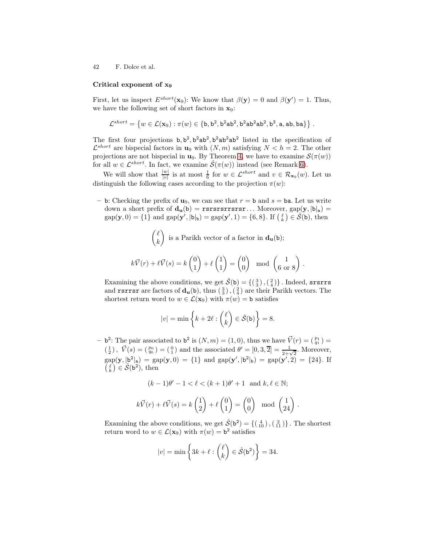#### Critical exponent of x<sup>9</sup>

First, let us inspect  $E^{short}(\mathbf{x}_9)$ : We know that  $\beta(\mathbf{y}) = 0$  and  $\beta(\mathbf{y}') = 1$ . Thus, we have the following set of short factors in  $x_9$ :

$$
\mathcal{L}^{short}=\left\{w\in\mathcal{L}(\mathbf{x}_9):\pi(w)\in\{\texttt{b},\texttt{b}^2,\texttt{b}^2\texttt{a}\texttt{b}^2,\texttt{b}^2\texttt{a}\texttt{b}^2,\texttt{b}^3,\texttt{a},\texttt{a}\texttt{b},\texttt{b}\texttt{a}\}\right\}\,.
$$

The first four projections  $b, b^2, b^2ab^2, b^2ab^2ab^2$  listed in the specification of  $\mathcal{L}^{short}$  are bispecial factors in  $\mathbf{u}_9$  with  $(N, m)$  satisfying  $N < h = 2$ . The other projections are not bispecial in  $\mathbf{u}_9$ . By Theorem [4,](#page-19-0) we have to examine  $\mathcal{S}(\pi(w))$ for all  $w \in \mathcal{L}^{short}$ . In fact, we examine  $\mathcal{S}(\pi(w))$  instead (see Remark [6\)](#page-20-2).

We will show that  $\frac{|w|}{|v|}$  is at most  $\frac{1}{6}$  for  $w \in \mathcal{L}^{short}$  and  $v \in \mathcal{R}_{\mathbf{x}_9}(w)$ . Let us distinguish the following cases according to the projection  $\pi(w)$ :

– b: Checking the prefix of  $u_9$ , we can see that  $r = b$  and  $s = ba$ . Let us write down a short prefix of  $d_u(b)$  = rsrsrsrrsrsr... Moreover,  $gap(y, |b|_a)$  =  $gap(\mathbf{y}, 0) = \{1\}$  and  $gap(\mathbf{y}', |b|_b) = gap(\mathbf{y}', 1) = \{6, 8\}$ . If  $\begin{pmatrix} \ell \\ k \end{pmatrix} \in \mathcal{S}(\mathbf{b})$ , then

$$
\begin{pmatrix} \ell \\ k \end{pmatrix}
$$
 is a Parikh vector of a factor in  $\mathbf{d}_{\mathbf{u}}(\mathbf{b})$ ;  

$$
k\vec{V}(r) + \ell \vec{V}(s) = k \begin{pmatrix} 0 \\ 1 \end{pmatrix} + \ell \begin{pmatrix} 1 \\ 1 \end{pmatrix} = \begin{pmatrix} 0 \\ 0 \end{pmatrix} \mod \begin{pmatrix} 1 \\ 6 \text{ or } 8 \end{pmatrix}
$$

.

Examining the above conditions, we get  $\hat{\mathcal{S}}(\mathsf{b}) = \{(\begin{smallmatrix}3\\ 3\end{smallmatrix}),(\begin{smallmatrix}2\\ 4\end{smallmatrix})\}$ . Indeed, srsrrs and **rsrrsr** are factors of  $\mathbf{d}_{\mathbf{u}}(\mathbf{b})$ , thus  $(\frac{3}{3})$ ,  $(\frac{2}{4})$  are their Parikh vectors. The shortest return word to  $w \in \mathcal{L}(\mathbf{x}_9)$  with  $\pi(w) = \mathbf{b}$  satisfies

$$
|v| = \min\left\{k + 2\ell : \binom{\ell}{k} \in \hat{\mathcal{S}}(\mathsf{b})\right\} = 8.
$$

 $-$  b<sup>2</sup>: The pair associated to b<sup>2</sup> is  $(N, m) = (1, 0)$ , thus we have  $\vec{V}(r) = \begin{pmatrix} p_1 \\ q_1 \end{pmatrix}$  $(\frac{1}{2})$ ,  $\vec{V}(s) = (\frac{p_0}{q_0}) = (\frac{0}{1})$  and the associated  $\theta' = [0, 3, \overline{2}] = \frac{1}{2+\sqrt{2}}$ . Moreover,  $\text{gap}(\mathbf{y}, |\mathbf{b}^2|_{\mathbf{a}}) = \text{gap}(\mathbf{y}, 0) = \{1\}$  and  $\text{gap}(\mathbf{y}', |\mathbf{b}^2|_{\mathbf{b}}) = \text{gap}(\mathbf{y}', 2) = \{24\}.$  If  $\begin{pmatrix} \ell \\ k \end{pmatrix} \in \mathcal{\hat{S}}(\mathbf{b}^2)$ , then

$$
(k-1)\theta' - 1 < \ell < (k+1)\theta' + 1 \quad \text{and } k, \ell \in \mathbb{N};
$$
\n
$$
k\vec{V}(r) + \ell\vec{V}(s) = k\begin{pmatrix} 1\\2 \end{pmatrix} + \ell\begin{pmatrix} 0\\1 \end{pmatrix} = \begin{pmatrix} 0\\0 \end{pmatrix} \mod \begin{pmatrix} 1\\24 \end{pmatrix}.
$$

Examining the above conditions, we get  $\hat{S}(\mathbf{b}^2) = \{(\begin{smallmatrix} 4 \\ 10 \end{smallmatrix}), (\begin{smallmatrix} 2 \\ 11 \end{smallmatrix})\}$ . The shortest return word to  $w \in \mathcal{L}(\mathbf{x}_9)$  with  $\pi(w) = \mathbf{b}^2$  satisfies

$$
|v| = \min\left\{3k + \ell : \binom{\ell}{k} \in \hat{\mathcal{S}}(\mathsf{b}^2)\right\} = 34.
$$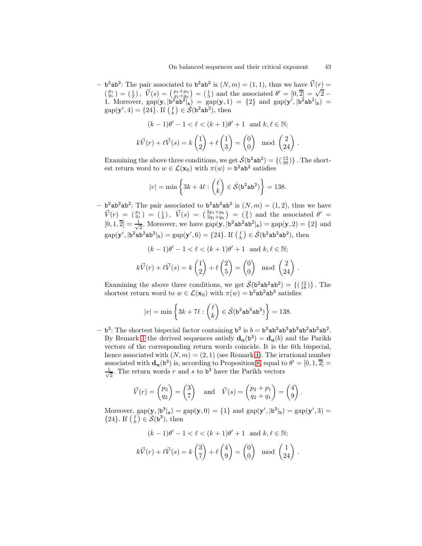- b<sup>2</sup>ab<sup>2</sup>: The pair associated to b<sup>2</sup>ab<sup>2</sup> is  $(N, m) = (1, 1)$ , thus we have  $\vec{V}(r) =$  $\begin{pmatrix} p_1 \\ q_1 \end{pmatrix} = \begin{pmatrix} 1 \\ 2 \end{pmatrix}, \ \vec{V}(s) = \begin{pmatrix} p_1 + p_0 \\ q_1 + q_0 \end{pmatrix} = \begin{pmatrix} 1 \\ 3 \end{pmatrix}$  and the associated  $\theta' = \begin{bmatrix} 0 \\ 2 \end{bmatrix} = \sqrt{2} - \frac{1}{2}$ 1. Moreover,  $\text{gap}(\mathbf{y}, |\mathbf{b}^2\mathbf{a}\mathbf{b}^2|_a) = \text{gap}(\mathbf{y}, 1) = \{2\}$  and  $\text{gap}(\mathbf{y}', |\mathbf{b}^2\mathbf{a}\mathbf{b}^2|_b) =$  $\text{gap}(\mathbf{y}', 4) = \{24\}.$  If  $\begin{pmatrix} \ell \\ k \end{pmatrix} \in \mathcal{\hat{S}}(\mathsf{b}^2\mathsf{ab}^2)$ , then

$$
(k-1)\theta' - 1 < \ell < (k+1)\theta' + 1 \quad \text{and } k, \ell \in \mathbb{N};
$$
\n
$$
k\vec{V}(r) + \ell\vec{V}(s) = k\begin{pmatrix} 1\\2 \end{pmatrix} + \ell\begin{pmatrix} 1\\3 \end{pmatrix} = \begin{pmatrix} 0\\0 \end{pmatrix} \mod \begin{pmatrix} 2\\24 \end{pmatrix}.
$$

Examining the above three conditions, we get  $\hat{\mathcal{S}}(\mathbf{b}^2 \mathbf{a} \mathbf{b}^2) = \{(\frac{12}{30})\}$ . The shortest return word to  $w \in \mathcal{L}(\mathbf{x}_9)$  with  $\pi(w) = \mathbf{b}^2 \mathbf{a} \mathbf{b}^2$  satisfies

$$
|v| = \min\left\{3k + 4\ell : \binom{\ell}{k} \in \hat{\mathcal{S}}(\mathbf{b}^2 \mathbf{a} \mathbf{b}^2)\right\} = 138.
$$

 $-$  b<sup>2</sup>ab<sup>2</sup>ab<sup>2</sup>: The pair associated to b<sup>2</sup>ab<sup>2</sup>ab<sup>2</sup> is  $(N, m) = (1, 2)$ , thus we have  $\vec{V}(r) = \begin{pmatrix} p_1 \\ q_1 \end{pmatrix} = \begin{pmatrix} 1 \\ 2 \end{pmatrix}$ ,  $\vec{V}(s) = \begin{pmatrix} 2p_1 + p_0 \\ 2q_1 + q_0 \end{pmatrix} = \begin{pmatrix} 2 \\ 5 \end{pmatrix}$  and the associated  $\theta' =$  $[0, 1, 2] = \frac{1}{\sqrt{2}}$  $\frac{1}{2}$ . Moreover, we have  $\text{gap}(\mathbf{y},|\mathbf{b}^2\mathbf{a}\mathbf{b}^2\mathbf{a}\mathbf{b}^2|\mathbf{a}) = \text{gap}(\mathbf{y},2) = \{2\}$  and  $gap(\mathbf{y}', | \mathbf{b}^2 \mathbf{a} \mathbf{b}^2 \mathbf{a} \mathbf{b}^2 |_{\mathbf{b}}) = gap(\mathbf{y}', 6) = \{24\}.$  If  $\left(\begin{matrix} \ell \\ k \end{matrix}\right) \in \hat{\mathcal{S}}(\mathbf{b}^2 \mathbf{a} \mathbf{b}^2 \mathbf{a} \mathbf{b}^2)$ , then

$$
(k-1)\theta' - 1 < \ell < (k+1)\theta' + 1 \quad \text{and } k, \ell \in \mathbb{N};
$$
\n
$$
k\vec{V}(r) + \ell\vec{V}(s) = k\left(\frac{1}{2}\right) + \ell\left(\frac{2}{5}\right) = \begin{pmatrix} 0\\0 \end{pmatrix} \mod \left(\frac{2}{24}\right)
$$

Examining the above three conditions, we get  $\hat{S}(\mathbf{b}^2 \mathbf{a} \mathbf{b}^2) = \{(\begin{smallmatrix}12\\18\end{smallmatrix})\}$ . The shortest return word to  $w \in \mathcal{L}(\mathbf{x}_9)$  with  $\pi(w) = \mathbf{b}^2 \mathbf{a} \mathbf{b}^2 \mathbf{a} \mathbf{b}^2$  satisfies

$$
|v| = \min\left\{3k + 7\ell : \binom{\ell}{k} \in \hat{\mathcal{S}}(\mathbf{b}^2 \mathbf{a} \mathbf{b}^2 \mathbf{a} \mathbf{b}^2)\right\} = 138.
$$

 $- b^3$ : The shortest bispecial factor containing  $b^3$  is  $b = b^2ab^2ab^3ab^2ab^2ab^2$ . By Remark [1](#page-3-2) the derived sequences satisfy  $\mathbf{d}_{\mathbf{u}}(\mathbf{b}^3) = \mathbf{d}_{\mathbf{u}}(b)$  and the Parikh vectors of the corresponding return words coincide. It is the 6th bispecial, hence associated with  $(N, m) = (2, 1)$  (see Remark [4\)](#page-16-1). The irrational number associated with  $\mathbf{d}_{\mathbf{u}}(\mathbf{b}^3)$  is, according to Proposition [8,](#page-15-0) equal to  $\theta' = [0, 1, 2] =$ √ 1  $\frac{1}{2}$ . The return words r and s to b<sup>3</sup> have the Parikh vectors

$$
\vec{V}(r) = \begin{pmatrix} p_2 \\ q_2 \end{pmatrix} = \begin{pmatrix} 3 \\ 7 \end{pmatrix}
$$
 and  $\vec{V}(s) = \begin{pmatrix} p_2 + p_1 \\ q_2 + q_1 \end{pmatrix} = \begin{pmatrix} 4 \\ 9 \end{pmatrix}$ .

Moreover,  $\text{gap}(\mathbf{y}, |\mathbf{b}^3|_a) = \text{gap}(\mathbf{y}, 0) = \{1\}$  and  $\text{gap}(\mathbf{y}', |\mathbf{b}^3|_b) = \text{gap}(\mathbf{y}', 3) =$  $\{24\}$ . If  $\left(\begin{matrix} \ell \\ k \end{matrix}\right) \in \widetilde{\mathcal{S}}(\mathsf{b}^3)$ , then

$$
(k-1)\theta'-1<\ell<(k+1)\theta'+1\ \text{ and }k,\ell\in\mathbb{N};
$$

$$
k\vec{V}(r) + \ell \vec{V}(s) = k\begin{pmatrix} 3\\7 \end{pmatrix} + \ell \begin{pmatrix} 4\\9 \end{pmatrix} = \begin{pmatrix} 0\\0 \end{pmatrix} \mod \begin{pmatrix} 1\\24 \end{pmatrix}.
$$

.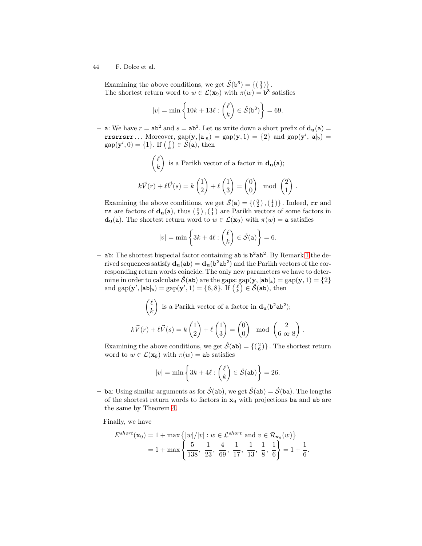Examining the above conditions, we get  $\hat{\mathcal{S}}(\mathsf{b}^3) = \{(\begin{smallmatrix}3\\3\end{smallmatrix})\}$ . The shortest return word to  $w \in \mathcal{L}(\mathbf{x}_9)$  with  $\pi(w) = \mathbf{b}^3$  satisfies

$$
|v| = \min\left\{10k + 13\ell : \binom{\ell}{k} \in \hat{\mathcal{S}}(\mathbf{b}^3)\right\} = 69.
$$

- a: We have  $r = ab^2$  and  $s = ab^3$ . Let us write down a short prefix of  $d_u(a) =$ rrsrrsrr... Moreover,  $\text{gap}(\mathbf{y},|\mathbf{a}|_{\mathbf{a}}) = \text{gap}(\mathbf{y},1) = \{2\}$  and  $\text{gap}(\mathbf{y}',|\mathbf{a}|_{\mathbf{b}}) =$  $\text{gap}(\mathbf{y}',0) = \{1\}$ . If  $\begin{pmatrix} \ell \\ k \end{pmatrix} \in \tilde{\mathcal{S}}(\mathbf{a})$ , then

$$
\binom{\ell}{k} \text{ is a Parikh vector of a factor in } \mathbf{d}_{\mathbf{u}}(\mathbf{a});
$$
\n
$$
k\vec{V}(r) + \ell \vec{V}(s) = k \binom{1}{2} + \ell \binom{1}{3} = \binom{0}{0} \mod \binom{2}{1}.
$$

Examining the above conditions, we get  $\hat{S}(a) = \{(\begin{smallmatrix} 0 \\ 2 \end{smallmatrix}), (\begin{smallmatrix} 1 \\ 1 \end{smallmatrix})\}$ . Indeed, rr and rs are factors of  $\mathbf{d}_{\mathbf{u}}(\mathbf{a})$ , thus  $\left(\begin{smallmatrix}0\\ 2\end{smallmatrix}\right)$ ,  $\left(\begin{smallmatrix}1\\ 1\end{smallmatrix}\right)$  are Parikh vectors of some factors in  $d_u(a)$ . The shortest return word to  $w \in \mathcal{L}(x_9)$  with  $\pi(w) = a$  satisfies

$$
|v| = \min\left\{3k + 4\ell : \binom{\ell}{k} \in \hat{\mathcal{S}}(\mathsf{a})\right\} = 6.
$$

 $-$  ab: The shortest bispecial factor containing ab is  $b^2ab^2$ . By Remark [1](#page-3-2) the derived sequences satisfy  $\mathbf{d}_{\mathbf{u}}(\mathbf{a}\mathbf{b}) = \mathbf{d}_{\mathbf{u}}(\mathbf{b}^2\mathbf{a}\mathbf{b}^2)$  and the Parikh vectors of the corresponding return words coincide. The only new parameters we have to determine in order to calculate  $\hat{\mathcal{S}}(ab)$  are the gaps:  $gap(\mathbf{y}, |ab|_a) = gap(\mathbf{y}, 1) = \{2\}$ and  $\text{gap}(\mathbf{y}',|\mathbf{ab}|_{\mathbf{b}}) = \text{gap}(\mathbf{y}',1) = \{6,8\}$ . If  $\begin{pmatrix} \ell \\ k \end{pmatrix} \in \mathcal{S}(\mathbf{ab})$ , then

$$
\binom{\ell}{k}
$$
 is a Parikh vector of a factor in  $\mathbf{d}_{\mathbf{u}}(\mathbf{b}^2 \mathbf{a} \mathbf{b}^2)$ ;  

$$
k\vec{V}(r) + \ell \vec{V}(s) = k \binom{1}{2} + \ell \binom{1}{3} = \binom{0}{0} \mod \binom{2}{6 \text{ or } 8}
$$

.

Examining the above conditions, we get  $\hat{\mathcal{S}}(\texttt{ab}) = \{(\begin{smallmatrix} 2 \\ 6 \end{smallmatrix})\}$ . The shortest return word to  $w \in \mathcal{L}(\mathbf{x}_9)$  with  $\pi(w) = ab$  satisfies

$$
|v| = \min\left\{3k + 4\ell : \binom{\ell}{k} \in \hat{\mathcal{S}}(\text{ab})\right\} = 26.
$$

– ba: Using similar arguments as for  $\hat{S}$ (ab), we get  $\hat{S}$ (ab) =  $\hat{S}$ (ba). The lengths of the shortest return words to factors in  $x_9$  with projections ba and ab are the same by Theorem [4.](#page-19-0)

Finally, we have

$$
E^{short}(\mathbf{x}_9) = 1 + \max\left\{|w|/|v| : w \in \mathcal{L}^{short} \text{ and } v \in \mathcal{R}_{\mathbf{x}_9}(w)\right\}
$$
  
= 1 + \max\left\{\frac{5}{138}, \frac{1}{23}, \frac{4}{69}, \frac{1}{17}, \frac{1}{13}, \frac{1}{8}, \frac{1}{6}\right\} = 1 + \frac{1}{6}.